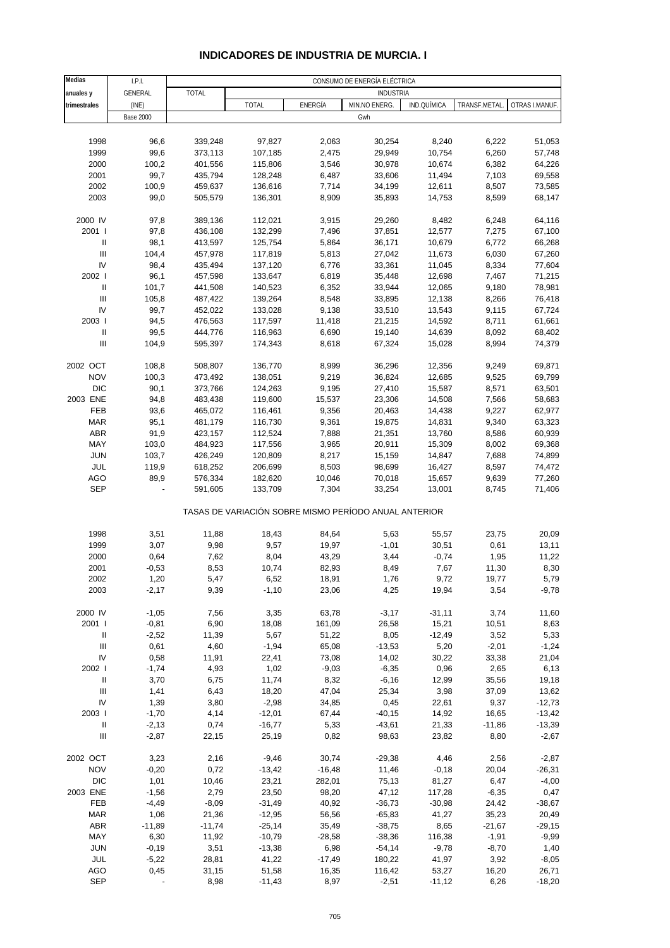### **INDICADORES DE INDUSTRIA DE MURCIA. I**

| <b>Medias</b>                      | I.P.I.           | CONSUMO DE ENERGÍA ELÉCTRICA |                                                       |          |                  |             |              |                |
|------------------------------------|------------------|------------------------------|-------------------------------------------------------|----------|------------------|-------------|--------------|----------------|
| anuales y                          | GENERAL          | <b>TOTAL</b>                 |                                                       |          | <b>INDUSTRIA</b> |             |              |                |
| trimestrales                       | (INE)            |                              | TOTAL                                                 | ENERGÍA  | MIN.NO ENERG.    | IND.QUÍMICA | TRANSF.METAL | OTRAS I.MANUF. |
|                                    | <b>Base 2000</b> |                              |                                                       |          | Gwh              |             |              |                |
|                                    |                  |                              |                                                       |          |                  |             |              |                |
| 1998                               | 96,6             | 339,248                      | 97,827                                                | 2,063    | 30,254           | 8,240       | 6,222        | 51,053         |
| 1999                               | 99,6             | 373,113                      | 107,185                                               | 2,475    | 29,949           | 10,754      | 6,260        | 57,748         |
| 2000                               | 100,2            | 401,556                      | 115,806                                               | 3,546    | 30,978           | 10,674      | 6,382        | 64,226         |
| 2001                               | 99,7             | 435,794                      | 128,248                                               | 6,487    | 33,606           | 11,494      | 7,103        | 69,558         |
| 2002                               | 100,9            | 459,637                      | 136,616                                               | 7,714    | 34,199           | 12,611      | 8,507        | 73,585         |
|                                    |                  |                              |                                                       |          |                  |             |              |                |
| 2003                               | 99,0             | 505,579                      | 136,301                                               | 8,909    | 35,893           | 14,753      | 8,599        | 68,147         |
| 2000 IV                            | 97,8             |                              |                                                       |          | 29,260           |             |              | 64,116         |
|                                    |                  | 389,136                      | 112,021                                               | 3,915    |                  | 8,482       | 6,248        |                |
| 2001                               | 97,8             | 436,108                      | 132,299                                               | 7,496    | 37,851           | 12,577      | 7,275        | 67,100         |
| $\ensuremath{\mathsf{II}}$         | 98,1             | 413,597                      | 125,754                                               | 5,864    | 36,171           | 10,679      | 6,772        | 66,268         |
| $\ensuremath{\mathsf{III}}\xspace$ | 104,4            | 457,978                      | 117,819                                               | 5,813    | 27,042           | 11,673      | 6,030        | 67,260         |
| IV                                 | 98,4             | 435,494                      | 137,120                                               | 6,776    | 33,361           | 11,045      | 8,334        | 77,604         |
| 2002                               | 96,1             | 457,598                      | 133,647                                               | 6,819    | 35,448           | 12,698      | 7,467        | 71,215         |
| Ш                                  | 101,7            | 441,508                      | 140,523                                               | 6,352    | 33,944           | 12,065      | 9,180        | 78,981         |
| $\ensuremath{\mathsf{III}}\xspace$ | 105,8            | 487,422                      | 139,264                                               | 8,548    | 33,895           | 12,138      | 8,266        | 76,418         |
| ${\sf IV}$                         | 99,7             | 452,022                      | 133,028                                               | 9,138    | 33,510           | 13,543      | 9,115        | 67,724         |
| 2003                               | 94,5             | 476,563                      | 117,597                                               | 11,418   | 21,215           | 14,592      | 8,711        | 61,661         |
| Ш                                  | 99,5             | 444,776                      | 116,963                                               | 6,690    | 19,140           | 14,639      | 8,092        | 68,402         |
| $\ensuremath{\mathsf{III}}\xspace$ | 104,9            | 595,397                      | 174,343                                               | 8,618    | 67,324           | 15,028      | 8,994        | 74,379         |
|                                    |                  |                              |                                                       |          |                  |             |              |                |
| 2002 OCT                           | 108,8            | 508,807                      | 136,770                                               | 8,999    | 36,296           | 12,356      | 9,249        | 69,871         |
| <b>NOV</b>                         | 100,3            | 473,492                      | 138,051                                               | 9,219    | 36,824           | 12,685      | 9,525        | 69,799         |
| <b>DIC</b>                         | 90,1             | 373,766                      | 124,263                                               | 9,195    | 27,410           | 15,587      | 8,571        | 63,501         |
| 2003 ENE                           | 94,8             | 483,438                      | 119,600                                               | 15,537   | 23,306           | 14,508      | 7,566        | 58,683         |
| FEB                                | 93,6             | 465,072                      | 116,461                                               | 9,356    | 20,463           | 14,438      | 9,227        | 62,977         |
| <b>MAR</b>                         | 95,1             | 481,179                      | 116,730                                               | 9,361    | 19,875           | 14,831      | 9,340        | 63,323         |
| ABR                                | 91,9             | 423,157                      | 112,524                                               | 7,888    | 21,351           | 13,760      | 8,586        | 60,939         |
| MAY                                | 103,0            | 484,923                      | 117,556                                               | 3,965    | 20,911           | 15,309      | 8,002        | 69,368         |
| <b>JUN</b>                         | 103,7            | 426,249                      | 120,809                                               | 8,217    | 15,159           | 14,847      | 7,688        | 74,899         |
| JUL                                | 119,9            | 618,252                      | 206,699                                               | 8,503    | 98,699           | 16,427      | 8,597        | 74,472         |
| AGO                                | 89,9             | 576,334                      | 182,620                                               | 10,046   | 70,018           | 15,657      | 9,639        | 77,260         |
| SEP                                |                  | 591,605                      | 133,709                                               | 7,304    | 33,254           | 13,001      | 8,745        | 71,406         |
|                                    |                  |                              |                                                       |          |                  |             |              |                |
|                                    |                  |                              | TASAS DE VARIACIÓN SOBRE MISMO PERÍODO ANUAL ANTERIOR |          |                  |             |              |                |
|                                    |                  |                              |                                                       |          |                  |             |              |                |
| 1998                               | 3,51             | 11,88                        | 18,43                                                 | 84,64    | 5,63             | 55,57       | 23,75        | 20,09          |
| 1999                               | 3,07             | 9,98                         | 9,57                                                  | 19,97    | $-1,01$          | 30,51       | 0,61         | 13,11          |
| 2000                               | 0,64             | 7,62                         | 8,04                                                  | 43,29    | 3,44             | $-0,74$     | 1,95         | 11,22          |
| 2001                               | $-0,53$          | 8,53                         | 10,74                                                 | 82,93    | 8,49             | 7,67        | 11,30        | 8,30           |
| 2002                               | 1,20             | 5,47                         | 6,52                                                  | 18,91    | 1,76             | 9,72        | 19,77        | 5,79           |
| 2003                               | $-2,17$          | 9,39                         | $-1,10$                                               | 23,06    | 4,25             | 19,94       | 3,54         | $-9,78$        |
|                                    |                  |                              |                                                       |          |                  |             |              |                |
| 2000 IV                            | $-1,05$          | 7,56                         | 3,35                                                  | 63,78    | $-3,17$          | $-31,11$    | 3,74         | 11,60          |
| 2001                               | $-0,81$          | 6,90                         | 18,08                                                 | 161,09   | 26,58            | 15,21       | 10,51        | 8,63           |
| Ш                                  | $-2,52$          | 11,39                        | 5,67                                                  | 51,22    | 8,05             | $-12,49$    | 3,52         | 5,33           |
| Ш                                  | 0,61             | 4,60                         | $-1,94$                                               | 65,08    | $-13,53$         | 5,20        | $-2,01$      | $-1,24$        |
| IV                                 | 0,58             | 11,91                        | 22,41                                                 | 73,08    | 14,02            | 30,22       | 33,38        | 21,04          |
| 2002                               | $-1,74$          | 4,93                         | 1,02                                                  | $-9,03$  | $-6,35$          | 0,96        | 2,65         | 6,13           |
| Ш                                  | 3,70             | 6,75                         | 11,74                                                 | 8,32     | $-6,16$          | 12,99       | 35,56        | 19,18          |
| Ш                                  |                  |                              | 18,20                                                 | 47,04    | 25,34            |             | 37,09        |                |
| ${\sf IV}$                         | 1,41             | 6,43                         |                                                       |          |                  | 3,98        |              | 13,62          |
|                                    | 1,39             | 3,80                         | $-2,98$                                               | 34,85    | 0,45             | 22,61       | 9,37         | $-12,73$       |
| 2003                               | $-1,70$          | 4,14                         | $-12,01$                                              | 67,44    | $-40,15$         | 14,92       | 16,65        | $-13,42$       |
| $\ensuremath{\mathsf{II}}$         | $-2,13$          | 0,74                         | $-16,77$                                              | 5,33     | $-43,61$         | 21,33       | $-11,86$     | $-13,39$       |
| Ш                                  | $-2,87$          | 22,15                        | 25,19                                                 | 0,82     | 98,63            | 23,82       | 8,80         | $-2,67$        |
|                                    |                  |                              |                                                       |          |                  |             |              |                |
| 2002 OCT                           | 3,23             | 2,16                         | $-9,46$                                               | 30,74    | $-29,38$         | 4,46        | 2,56         | $-2,87$        |
| <b>NOV</b>                         | $-0,20$          | 0,72                         | $-13,42$                                              | $-16,48$ | 11,46            | $-0,18$     | 20,04        | $-26,31$       |
| <b>DIC</b>                         | 1,01             | 10,46                        | 23,21                                                 | 282,01   | 75,13            | 81,27       | 6,47         | $-4,00$        |
| 2003 ENE                           | $-1,56$          | 2,79                         | 23,50                                                 | 98,20    | 47,12            | 117,28      | $-6,35$      | 0,47           |
| FEB                                | $-4,49$          | $-8,09$                      | $-31,49$                                              | 40,92    | $-36,73$         | $-30,98$    | 24,42        | $-38,67$       |
| <b>MAR</b>                         | 1,06             | 21,36                        | $-12,95$                                              | 56,56    | $-65,83$         | 41,27       | 35,23        | 20,49          |
| ABR                                | $-11,89$         | $-11,74$                     | $-25,14$                                              | 35,49    | $-38,75$         | 8,65        | $-21,67$     | $-29,15$       |
| MAY                                | 6,30             | 11,92                        | $-10,79$                                              | $-28,58$ | $-38,36$         | 116,38      | $-1,91$      | $-9,99$        |
| <b>JUN</b>                         | $-0,19$          | 3,51                         | $-13,38$                                              | 6,98     | $-54,14$         | $-9,78$     | $-8,70$      | 1,40           |
| JUL                                | $-5,22$          | 28,81                        | 41,22                                                 | $-17,49$ | 180,22           | 41,97       | 3,92         | $-8,05$        |
| <b>AGO</b>                         | 0,45             | 31,15                        | 51,58                                                 | 16,35    | 116,42           | 53,27       | 16,20        | 26,71          |
| <b>SEP</b>                         |                  | 8,98                         | $-11,43$                                              | 8,97     | $-2,51$          | $-11,12$    | 6,26         | $-18,20$       |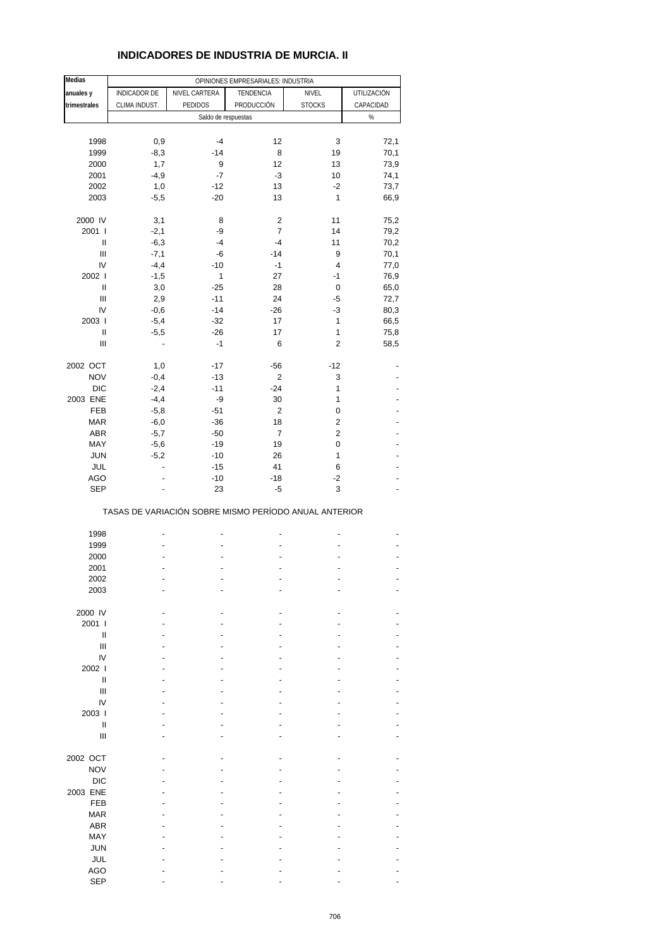### **INDICADORES DE INDUSTRIA DE MURCIA. II**

| <b>Medias</b>                      | OPINIONES EMPRESARIALES: INDUSTRIA |                |                                                       |                         |             |  |  |
|------------------------------------|------------------------------------|----------------|-------------------------------------------------------|-------------------------|-------------|--|--|
| anuales y                          | <b>INDICADOR DE</b>                | NIVEL CARTERA  | TENDENCIA                                             | NIVEL                   | UTILIZACIÓN |  |  |
|                                    |                                    | <b>PEDIDOS</b> |                                                       |                         |             |  |  |
| trimestrales                       | CLIMA INDUST.                      |                | PRODUCCIÓN                                            | <b>STOCKS</b>           | CAPACIDAD   |  |  |
|                                    |                                    |                | Saldo de respuestas                                   |                         | $\%$        |  |  |
|                                    |                                    |                |                                                       |                         |             |  |  |
| 1998                               | 0,9                                | $-4$           | 12                                                    | 3                       | 72,1        |  |  |
| 1999                               | $-8,3$                             | $-14$          | 8                                                     | 19                      | 70,1        |  |  |
| 2000                               | 1,7                                | 9              | 12                                                    | 13                      | 73,9        |  |  |
| 2001                               | $-4,9$                             | $-7$           | $-3$                                                  | 10                      | 74,1        |  |  |
| 2002                               | 1,0                                | $-12$          | 13                                                    | $-2$                    | 73,7        |  |  |
| 2003                               | $-5,5$                             | $-20$          | 13                                                    | $\mathbf{1}$            | 66,9        |  |  |
|                                    |                                    |                |                                                       |                         |             |  |  |
| 2000 IV                            | 3,1                                | 8              | 2                                                     | 11                      | 75,2        |  |  |
| 2001 l                             | $-2,1$                             | -9             | 7                                                     | 14                      | 79,2        |  |  |
| $\sf II$                           | $-6,3$                             | $-4$           | $-4$                                                  | 11                      | 70,2        |  |  |
| $\ensuremath{\mathsf{III}}\xspace$ | $-7,1$                             | -6             | $-14$                                                 | 9                       | 70,1        |  |  |
| IV                                 | $-4,4$                             | $-10$          | $-1$                                                  | 4                       | 77,0        |  |  |
| 2002                               | $-1,5$                             | 1              | 27                                                    | $-1$                    | 76,9        |  |  |
| Ш                                  | 3,0                                | $-25$          | 28                                                    | 0                       | 65,0        |  |  |
| Ш                                  | 2,9                                | $-11$          | 24                                                    | -5                      | 72,7        |  |  |
| IV                                 | $-0,6$                             | $-14$          | $-26$                                                 | $-3$                    | 80,3        |  |  |
| 2003                               | $-5,4$                             | $-32$          | 17                                                    | $\mathbf{1}$            | 66,5        |  |  |
| $\sf II$                           | $-5,5$                             | $-26$          | 17                                                    | 1                       | 75,8        |  |  |
| Ш                                  |                                    | $-1$           | 6                                                     | $\overline{\mathbf{c}}$ | 58,5        |  |  |
|                                    |                                    |                |                                                       |                         |             |  |  |
| 2002 OCT                           | 1,0                                | $-17$          | $-56$                                                 | $-12$                   |             |  |  |
| <b>NOV</b>                         | $-0,4$                             | $-13$          | 2                                                     | 3                       |             |  |  |
| <b>DIC</b>                         | $-2,4$                             | $-11$          | $-24$                                                 | 1                       |             |  |  |
| 2003 ENE                           | $-4,4$                             | -9             | 30                                                    | 1                       |             |  |  |
| FEB                                | $-5,8$                             | $-51$          | 2                                                     | 0                       |             |  |  |
| <b>MAR</b>                         | $-6,0$                             | $-36$          | 18                                                    | $\overline{c}$          |             |  |  |
| ABR                                | $-5,7$                             | $-50$          | $\overline{7}$                                        | $\overline{c}$          |             |  |  |
| MAY                                | $-5,6$                             | $-19$          | 19                                                    | 0                       |             |  |  |
| <b>JUN</b>                         | $-5,2$                             | $-10$          | 26                                                    | 1                       |             |  |  |
| JUL                                | $\overline{\phantom{a}}$           | $-15$          | 41                                                    | 6                       |             |  |  |
| <b>AGO</b>                         |                                    | $-10$          | $-18$                                                 | -2                      |             |  |  |
| <b>SEP</b>                         |                                    | 23             | $-5$                                                  | 3                       |             |  |  |
|                                    |                                    |                | TASAS DE VARIACIÓN SOBRE MISMO PERÍODO ANUAL ANTERIOR |                         |             |  |  |
|                                    |                                    |                |                                                       |                         |             |  |  |
| 1998                               |                                    |                |                                                       |                         |             |  |  |
| 1999                               |                                    |                |                                                       |                         |             |  |  |
| 2000                               |                                    |                |                                                       |                         |             |  |  |
| 2001                               |                                    | $\overline{a}$ |                                                       |                         |             |  |  |
| 2002                               |                                    |                |                                                       |                         |             |  |  |
| 2003                               |                                    |                |                                                       |                         |             |  |  |
|                                    |                                    |                |                                                       |                         |             |  |  |
| 2000 IV<br>2001 l                  |                                    |                |                                                       |                         |             |  |  |
|                                    |                                    |                |                                                       |                         |             |  |  |
| Ш<br>Ш                             |                                    |                |                                                       |                         |             |  |  |
|                                    |                                    |                |                                                       |                         |             |  |  |
| IV                                 |                                    |                |                                                       |                         |             |  |  |
| 2002                               |                                    |                |                                                       |                         |             |  |  |
| Ш                                  |                                    |                |                                                       |                         |             |  |  |
| III                                |                                    |                |                                                       |                         |             |  |  |
| IV                                 |                                    |                |                                                       |                         |             |  |  |
| 2003                               |                                    |                |                                                       |                         |             |  |  |
| Ш                                  |                                    |                |                                                       |                         |             |  |  |
| Ш                                  |                                    |                |                                                       |                         |             |  |  |
| 2002 OCT                           |                                    |                |                                                       |                         |             |  |  |
| <b>NOV</b>                         |                                    |                |                                                       |                         |             |  |  |
| <b>DIC</b>                         |                                    |                |                                                       |                         |             |  |  |
|                                    |                                    |                |                                                       |                         |             |  |  |
| 2003 ENE                           |                                    |                |                                                       |                         |             |  |  |
| <b>FEB</b>                         |                                    |                |                                                       |                         |             |  |  |
| <b>MAR</b>                         |                                    |                |                                                       |                         |             |  |  |
| <b>ABR</b>                         |                                    |                |                                                       |                         |             |  |  |
| MAY                                |                                    |                |                                                       |                         |             |  |  |
| <b>JUN</b>                         |                                    |                |                                                       |                         |             |  |  |
| JUL                                |                                    |                |                                                       |                         |             |  |  |
| <b>AGO</b>                         |                                    |                |                                                       |                         |             |  |  |
| <b>SEP</b>                         |                                    |                |                                                       |                         |             |  |  |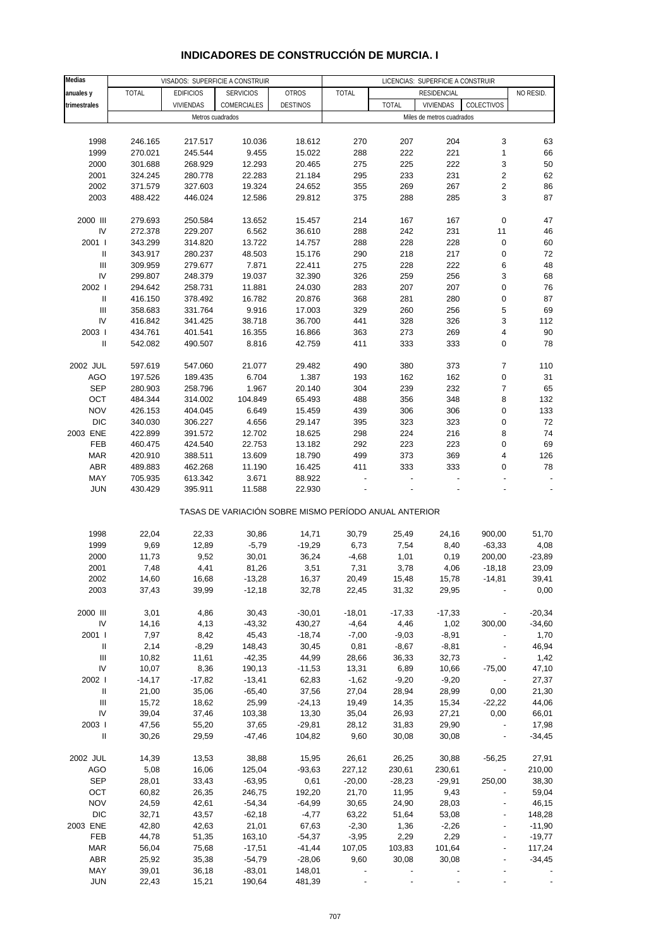| Medias                             |                |                  | VISADOS: SUPERFICIE A CONSTRUIR                       |                  | LICENCIAS: SUPERFICIE A CONSTRUIR |                |                           |                          |               |
|------------------------------------|----------------|------------------|-------------------------------------------------------|------------------|-----------------------------------|----------------|---------------------------|--------------------------|---------------|
| anuales y                          | <b>TOTAL</b>   | <b>EDIFICIOS</b> | <b>SERVICIOS</b>                                      | <b>OTROS</b>     | <b>TOTAL</b>                      |                | <b>RESIDENCIAL</b>        |                          | NO RESID.     |
| trimestrales                       |                | VIVIENDAS        | COMERCIALES                                           | <b>DESTINOS</b>  |                                   | <b>TOTAL</b>   | <b>VIVIENDAS</b>          | COLECTIVOS               |               |
|                                    |                |                  | Metros cuadrados                                      |                  |                                   |                | Miles de metros cuadrados |                          |               |
|                                    |                |                  |                                                       |                  |                                   |                |                           |                          |               |
| 1998                               | 246.165        | 217.517          | 10.036                                                | 18.612           | 270                               | 207            | 204                       | 3                        | 63            |
| 1999                               | 270.021        | 245.544          | 9.455                                                 | 15.022           | 288                               | 222            | 221                       | $\mathbf{1}$             | 66            |
| 2000                               | 301.688        | 268.929          | 12.293                                                | 20.465           | 275                               | 225            | 222                       | 3                        | $50\,$        |
| 2001                               | 324.245        | 280.778          | 22.283                                                | 21.184           | 295                               | 233            | 231                       | $\overline{\mathbf{c}}$  | 62            |
| 2002                               | 371.579        | 327.603          | 19.324                                                | 24.652           | 355                               | 269            | 267                       | $\sqrt{2}$               | 86            |
|                                    |                |                  |                                                       | 29.812           |                                   |                | 285                       | 3                        | 87            |
| 2003                               | 488.422        | 446.024          | 12.586                                                |                  | 375                               | 288            |                           |                          |               |
| 2000 III                           | 279.693        | 250.584          | 13.652                                                | 15.457           | 214                               | 167            | 167                       | 0                        | 47            |
| IV                                 | 272.378        | 229.207          | 6.562                                                 | 36.610           | 288                               | 242            | 231                       | 11                       | 46            |
| 2001 l                             | 343.299        | 314.820          | 13.722                                                | 14.757           | 288                               | 228            | 228                       | $\pmb{0}$                | 60            |
| $\sf II$                           | 343.917        | 280.237          | 48.503                                                | 15.176           | 290                               | 218            | 217                       | $\pmb{0}$                | 72            |
| $\ensuremath{\mathsf{III}}\xspace$ | 309.959        | 279.677          | 7.871                                                 | 22.411           | 275                               | 228            | 222                       | 6                        | 48            |
| IV                                 | 299.807        | 248.379          | 19.037                                                | 32.390           | 326                               | 259            | 256                       | 3                        | 68            |
| 2002 l                             | 294.642        | 258.731          | 11.881                                                | 24.030           | 283                               | 207            | 207                       | $\pmb{0}$                | 76            |
| $\sf II$                           | 416.150        | 378.492          | 16.782                                                | 20.876           | 368                               | 281            | 280                       | $\pmb{0}$                | 87            |
| Ш                                  | 358.683        | 331.764          | 9.916                                                 | 17.003           | 329                               | 260            | 256                       | 5                        | 69            |
| IV                                 | 416.842        | 341.425          | 38.718                                                |                  | 441                               | 328            | 326                       | 3                        | 112           |
| 2003                               | 434.761        | 401.541          | 16.355                                                | 36.700<br>16.866 | 363                               | 273            | 269                       | 4                        | $90\,$        |
| $\mathbf{I}$                       |                |                  |                                                       |                  |                                   |                |                           |                          |               |
|                                    | 542.082        | 490.507          | 8.816                                                 | 42.759           | 411                               | 333            | 333                       | $\mathbf 0$              | 78            |
|                                    | 597.619        |                  |                                                       |                  | 490                               |                |                           |                          |               |
| 2002 JUL                           |                | 547.060          | 21.077                                                | 29.482           |                                   | 380            | 373                       | $\overline{7}$           | 110           |
| AGO                                | 197.526        | 189.435          | 6.704                                                 | 1.387            | 193                               | 162            | 162                       | $\pmb{0}$                | 31            |
| <b>SEP</b>                         | 280.903        | 258.796          | 1.967                                                 | 20.140           | 304                               | 239            | 232                       | $\boldsymbol{7}$         | 65            |
| OCT                                | 484.344        | 314.002          | 104.849                                               | 65.493           | 488                               | 356            | 348                       | 8                        | 132           |
| <b>NOV</b>                         | 426.153        | 404.045          | 6.649                                                 | 15.459           | 439                               | 306            | 306                       | 0                        | 133           |
| <b>DIC</b>                         | 340.030        | 306.227          | 4.656                                                 | 29.147           | 395                               | 323            | 323                       | $\pmb{0}$                | 72            |
| 2003 ENE                           | 422.899        | 391.572          | 12.702                                                | 18.625           | 298                               | 224            | 216                       | 8                        | 74            |
| FEB                                | 460.475        | 424.540          | 22.753                                                | 13.182           | 292                               | 223            | 223                       | $\mathbf 0$              | 69            |
| <b>MAR</b>                         | 420.910        | 388.511          | 13.609                                                | 18.790           | 499                               | 373            | 369                       | 4                        | 126           |
| ABR                                | 489.883        | 462.268          | 11.190                                                | 16.425           | 411                               | 333            | 333                       | 0                        | 78            |
| MAY                                | 705.935        | 613.342          | 3.671                                                 | 88.922           |                                   |                |                           |                          |               |
| <b>JUN</b>                         | 430.429        | 395.911          | 11.588                                                | 22.930           |                                   |                |                           |                          |               |
|                                    |                |                  | TASAS DE VARIACIÓN SOBRE MISMO PERÍODO ANUAL ANTERIOR |                  |                                   |                |                           |                          |               |
| 1998                               | 22,04          | 22,33            | 30,86                                                 | 14,71            | 30,79                             | 25,49          | 24,16                     | 900,00                   | 51,70         |
| 1999                               | 9,69           | 12,89            | $-5,79$                                               | $-19,29$         | 6,73                              | 7,54           | 8,40                      | $-63,33$                 | 4,08          |
| 2000                               | 11,73          | 9,52             | 30,01                                                 | 36,24            | $-4,68$                           | 1,01           | 0,19                      | 200,00                   | $-23,89$      |
| 2001                               | 7,48           | 4,41             | 81,26                                                 | 3,51             | 7,31                              | 3,78           | 4,06                      | $-18,18$                 | 23,09         |
|                                    |                |                  |                                                       |                  |                                   |                |                           |                          |               |
| 2002<br>2003                       | 14,60<br>37,43 | 16,68<br>39,99   | $-13,28$<br>$-12,18$                                  | 16,37<br>32,78   | 20,49<br>22,45                    | 15,48<br>31,32 | 15,78<br>29,95            | -14,81                   | 39,41<br>0,00 |
|                                    |                |                  |                                                       |                  |                                   |                |                           |                          |               |
| 2000 III                           | 3,01           | 4,86             | 30,43                                                 | $-30,01$         | $-18,01$                          | $-17,33$       | $-17,33$                  |                          | $-20,34$      |
| IV                                 | 14,16          | 4,13             | $-43,32$                                              | 430,27           | $-4,64$                           | 4,46           | 1,02                      | 300,00                   | $-34,60$      |
| 2001 l                             | 7,97           | 8,42             | 45,43                                                 | $-18,74$         | $-7,00$                           | $-9,03$        | $-8,91$                   |                          | 1,70          |
| $\ensuremath{\mathsf{II}}$         | 2,14           | $-8,29$          | 148,43                                                | 30,45            | 0,81                              | $-8,67$        |                           |                          | 46,94         |
| III                                |                |                  |                                                       |                  | 28,66                             |                | $-8,81$<br>32,73          |                          |               |
| IV                                 | 10,82          | 11,61            | $-42,35$                                              | 44,99            |                                   | 36,33          |                           | $\overline{\phantom{a}}$ | 1,42          |
|                                    | 10,07          | 8,36             | 190,13                                                | $-11,53$         | 13,31                             | 6,89           | 10,66                     | $-75,00$                 | 47,10         |
| 2002                               | $-14,17$       | $-17,82$         | $-13,41$                                              | 62,83            | $-1,62$                           | $-9,20$        | $-9,20$                   | $\overline{\phantom{a}}$ | 27,37         |
| $\ensuremath{\mathsf{II}}$         | 21,00          | 35,06            | $-65,40$                                              | 37,56            | 27,04                             | 28,94          | 28,99                     | 0,00                     | 21,30         |
| $\ensuremath{\mathsf{III}}\xspace$ | 15,72          | 18,62            | 25,99                                                 | $-24, 13$        | 19,49                             | 14,35          | 15,34                     | $-22,22$                 | 44,06         |
| IV                                 | 39,04          | 37,46            | 103,38                                                | 13,30            | 35,04                             | 26,93          | 27,21                     | 0,00                     | 66,01         |
| 2003                               | 47,56          | 55,20            | 37,65                                                 | $-29,81$         | 28,12                             | 31,83          | 29,90                     | $\overline{\phantom{a}}$ | 17,98         |
| $\mathbf{I}$                       | 30,26          | 29,59            | $-47,46$                                              | 104,82           | 9,60                              | 30,08          | 30,08                     | $\overline{\phantom{a}}$ | $-34,45$      |
| 2002 JUL                           | 14,39          | 13,53            | 38,88                                                 | 15,95            | 26,61                             | 26,25          | 30,88                     | $-56,25$                 | 27,91         |
| AGO                                | 5,08           | 16,06            | 125,04                                                | $-93,63$         | 227,12                            | 230,61         | 230,61                    | $\blacksquare$           | 210,00        |
| <b>SEP</b>                         | 28,01          | 33,43            | $-63,95$                                              | 0,61             | $-20,00$                          | $-28,23$       | $-29,91$                  | 250,00                   | 38,30         |
| OCT                                | 60,82          | 26,35            | 246,75                                                | 192,20           | 21,70                             | 11,95          | 9,43                      | $\overline{a}$           | 59,04         |
| <b>NOV</b>                         | 24,59          | 42,61            | $-54,34$                                              | $-64,99$         | 30,65                             | 24,90          | 28,03                     | $\overline{\phantom{a}}$ | 46,15         |
| <b>DIC</b>                         | 32,71          | 43,57            | $-62,18$                                              | $-4,77$          | 63,22                             | 51,64          | 53,08                     |                          | 148,28        |
| 2003 ENE                           | 42,80          | 42,63            | 21,01                                                 | 67,63            | $-2,30$                           | 1,36           | $-2,26$                   | $\blacksquare$           | $-11,90$      |
| FEB                                | 44,78          | 51,35            | 163,10                                                | $-54,37$         | $-3,95$                           | 2,29           | 2,29                      |                          | $-19,77$      |
| <b>MAR</b>                         | 56,04          | 75,68            | $-17,51$                                              | $-41,44$         | 107,05                            | 103,83         | 101,64                    |                          | 117,24        |
| <b>ABR</b>                         | 25,92          | 35,38            | $-54,79$                                              | $-28,06$         | 9,60                              | 30,08          | 30,08                     |                          | $-34,45$      |
| MAY                                | 39,01          | 36,18            | $-83,01$                                              | 148,01           |                                   |                |                           |                          |               |
| <b>JUN</b>                         | 22,43          | 15,21            | 190,64                                                | 481,39           |                                   |                |                           |                          |               |

### **INDICADORES DE CONSTRUCCIÓN DE MURCIA. I**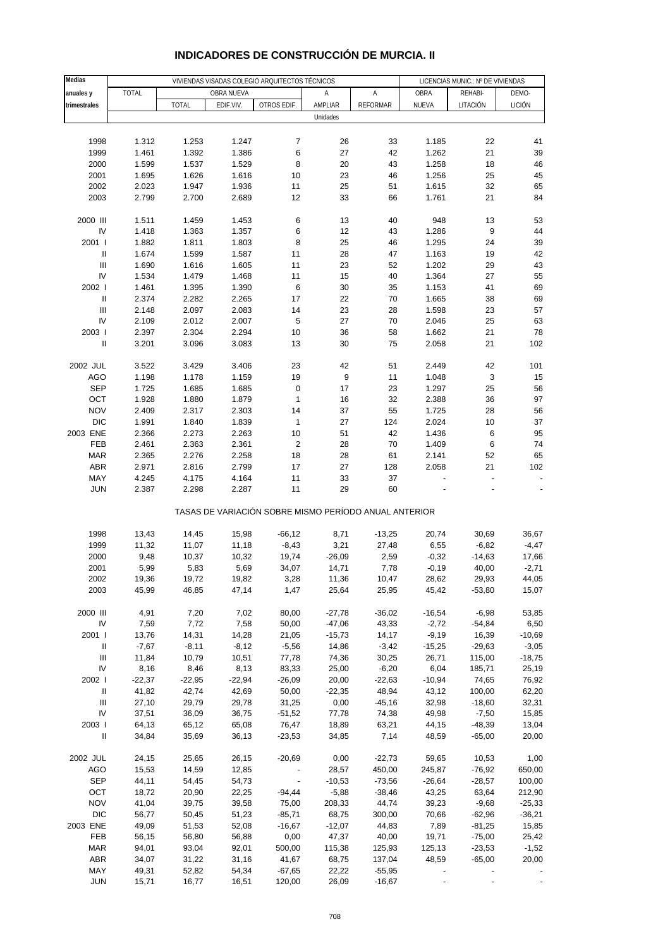| Medias                             |          |              | VIVIENDAS VISADAS COLEGIO ARQUITECTOS TÉCNICOS |                                                       |                  | LICENCIAS MUNIC.: Nº DE VIVIENDAS |          |          |          |
|------------------------------------|----------|--------------|------------------------------------------------|-------------------------------------------------------|------------------|-----------------------------------|----------|----------|----------|
|                                    | TOTAL    |              | OBRA NUEVA                                     |                                                       | Α                | Α                                 | OBRA     | REHABI-  | DEMO-    |
| anuales y                          |          | <b>TOTAL</b> |                                                | OTROS EDIF.                                           | AMPLIAR          | <b>REFORMAR</b>                   | NUEVA    |          | LICIÓN   |
| trimestrales                       |          |              | EDIF.VIV.                                      |                                                       |                  |                                   |          | LITACIÓN |          |
|                                    |          |              |                                                |                                                       | Unidades         |                                   |          |          |          |
|                                    |          |              |                                                |                                                       |                  |                                   |          |          |          |
| 1998                               | 1.312    | 1.253        | 1.247                                          | $\boldsymbol{7}$                                      | 26               | 33                                | 1.185    | 22       | 41       |
| 1999                               | 1.461    | 1.392        | 1.386                                          | 6                                                     | 27               | 42                                | 1.262    | 21       | 39       |
| 2000                               | 1.599    | 1.537        | 1.529                                          | 8                                                     | 20               | 43                                | 1.258    | 18       | 46       |
| 2001                               | 1.695    | 1.626        | 1.616                                          | 10                                                    | 23               | 46                                | 1.256    | 25       | 45       |
| 2002                               | 2.023    | 1.947        | 1.936                                          | 11                                                    | 25               | 51                                | 1.615    | 32       | 65       |
| 2003                               | 2.799    | 2.700        | 2.689                                          | 12                                                    | 33               | 66                                | 1.761    | 21       | 84       |
|                                    |          |              |                                                |                                                       |                  |                                   |          |          |          |
| 2000 III                           | 1.511    | 1.459        | 1.453                                          | 6                                                     | 13               | 40                                | 948      | 13       | 53       |
| IV                                 | 1.418    | 1.363        | 1.357                                          | 6                                                     | 12               | 43                                | 1.286    | 9        | 44       |
| 2001 l                             | 1.882    | 1.811        | 1.803                                          | 8                                                     | 25               | 46                                | 1.295    | 24       | 39       |
| $\sf II$                           | 1.674    | 1.599        | 1.587                                          | 11                                                    | 28               | 47                                | 1.163    | 19       | 42       |
| Ш                                  | 1.690    | 1.616        | 1.605                                          | 11                                                    | 23               | 52                                | 1.202    | 29       | 43       |
| IV                                 | 1.534    | 1.479        | 1.468                                          | 11                                                    | 15               | 40                                | 1.364    | 27       | 55       |
| 2002                               | 1.461    | 1.395        | 1.390                                          | 6                                                     | 30               | 35                                | 1.153    | 41       | 69       |
| $\ensuremath{\mathsf{II}}$         | 2.374    | 2.282        | 2.265                                          | 17                                                    | 22               | 70                                | 1.665    | 38       | 69       |
| $\begin{array}{c} \Pi \end{array}$ | 2.148    | 2.097        | 2.083                                          | 14                                                    | 23               | 28                                | 1.598    | 23       | 57       |
| IV                                 | 2.109    | 2.012        | 2.007                                          | 5                                                     | 27               | 70                                | 2.046    | 25       | 63       |
| 2003                               | 2.397    | 2.304        | 2.294                                          | 10                                                    | 36               | 58                                | 1.662    | 21       | 78       |
| $\sf II$                           |          |              |                                                |                                                       |                  |                                   |          |          | 102      |
|                                    | 3.201    | 3.096        | 3.083                                          | 13                                                    | 30               | 75                                | 2.058    | 21       |          |
|                                    |          |              |                                                |                                                       |                  |                                   |          |          |          |
| 2002 JUL                           | 3.522    | 3.429        | 3.406                                          | 23                                                    | 42               | 51                                | 2.449    | 42       | 101      |
| <b>AGO</b>                         | 1.198    | 1.178        | 1.159                                          | 19                                                    | $\boldsymbol{9}$ | 11                                | 1.048    | 3        | 15       |
| <b>SEP</b>                         | 1.725    | 1.685        | 1.685                                          | 0                                                     | 17               | 23                                | 1.297    | 25       | 56       |
| OCT                                | 1.928    | 1.880        | 1.879                                          | $\mathbf{1}$                                          | 16               | 32                                | 2.388    | 36       | 97       |
| <b>NOV</b>                         | 2.409    | 2.317        | 2.303                                          | 14                                                    | 37               | 55                                | 1.725    | 28       | 56       |
| <b>DIC</b>                         | 1.991    | 1.840        | 1.839                                          | $\mathbf{1}$                                          | 27               | 124                               | 2.024    | $10$     | 37       |
| 2003 ENE                           | 2.366    | 2.273        | 2.263                                          | 10                                                    | 51               | 42                                | 1.436    | 6        | 95       |
| FEB                                | 2.461    | 2.363        | 2.361                                          | $\overline{\mathbf{c}}$                               | 28               | 70                                | 1.409    | 6        | 74       |
| <b>MAR</b>                         | 2.365    | 2.276        | 2.258                                          | 18                                                    | 28               | 61                                | 2.141    | 52       | 65       |
| <b>ABR</b>                         | 2.971    | 2.816        | 2.799                                          | 17                                                    | 27               | 128                               | 2.058    | 21       | 102      |
| MAY                                | 4.245    | 4.175        | 4.164                                          | 11                                                    | 33               | 37                                |          |          |          |
| <b>JUN</b>                         | 2.387    | 2.298        | 2.287                                          | 11                                                    | 29               | 60                                |          |          |          |
|                                    |          |              |                                                | TASAS DE VARIACIÓN SOBRE MISMO PERÍODO ANUAL ANTERIOR |                  |                                   |          |          |          |
|                                    |          |              |                                                |                                                       |                  |                                   |          |          |          |
| 1998                               | 13,43    | 14,45        | 15,98                                          | $-66,12$                                              | 8,71             | $-13,25$                          | 20,74    | 30,69    | 36,67    |
| 1999                               | 11,32    | 11,07        | 11,18                                          | $-8,43$                                               | 3,21             | 27,48                             | 6,55     | $-6,82$  | $-4,47$  |
| 2000                               | 9,48     | 10,37        | 10,32                                          | 19,74                                                 | $-26,09$         | 2,59                              | $-0,32$  | $-14,63$ | 17,66    |
| 2001                               | 5,99     | 5,83         | 5,69                                           | 34,07                                                 | 14,71            | 7,78                              | $-0,19$  | 40,00    | $-2,71$  |
| 2002                               | 19,36    | 19,72        | 19,82                                          | 3,28                                                  | 11,36            | 10,47                             | 28,62    | 29,93    | 44,05    |
| 2003                               | 45,99    | 46,85        | 47,14                                          | 1,47                                                  | 25,64            | 25,95                             | 45,42    | $-53,80$ | 15,07    |
|                                    |          |              |                                                |                                                       |                  |                                   |          |          |          |
| 2000 III                           | 4,91     | 7,20         | 7,02                                           | 80,00                                                 | $-27,78$         | $-36,02$                          | $-16,54$ | $-6,98$  | 53,85    |
| IV                                 | 7,59     | 7,72         | 7,58                                           | 50,00                                                 | $-47,06$         | 43,33                             | $-2,72$  | $-54,84$ | 6,50     |
| 2001 l                             | 13,76    | 14,31        | 14,28                                          | 21,05                                                 | $-15,73$         | 14,17                             | $-9,19$  | 16,39    | $-10,69$ |
| Ш                                  | $-7,67$  | $-8,11$      | $-8,12$                                        | $-5,56$                                               | 14,86            | $-3,42$                           | $-15,25$ | $-29,63$ | $-3,05$  |
| $\ensuremath{\mathsf{III}}\xspace$ | 11,84    | 10,79        | 10,51                                          | 77,78                                                 | 74,36            | 30,25                             | 26,71    | 115,00   | $-18,75$ |
| IV                                 | 8,16     | 8,46         | 8,13                                           | 83,33                                                 | 25,00            | $-6,20$                           | 6,04     | 185,71   | 25,19    |
| 2002                               | $-22,37$ | $-22,95$     | $-22,94$                                       | $-26,09$                                              | 20,00            | $-22,63$                          | $-10,94$ | 74,65    | 76,92    |
| $\ensuremath{\mathsf{II}}$         | 41,82    | 42,74        | 42,69                                          | 50,00                                                 | $-22,35$         | 48,94                             | 43,12    | 100,00   | 62,20    |
| Ш                                  | 27,10    | 29,79        | 29,78                                          | 31,25                                                 | 0,00             | $-45,16$                          | 32,98    | $-18,60$ | 32,31    |
| IV                                 | 37,51    | 36,09        | 36,75                                          | $-51,52$                                              | 77,78            | 74,38                             | 49,98    | $-7,50$  | 15,85    |
| 2003                               | 64,13    | 65,12        | 65,08                                          | 76,47                                                 | 18,89            | 63,21                             | 44,15    | $-48,39$ | 13,04    |
|                                    |          |              |                                                |                                                       |                  |                                   |          |          |          |
| $\ensuremath{\mathsf{II}}$         | 34,84    | 35,69        | 36,13                                          | $-23,53$                                              | 34,85            | 7,14                              | 48,59    | $-65,00$ | 20,00    |
| 2002 JUL                           | 24,15    | 25,65        | 26,15                                          | $-20,69$                                              | 0,00             | $-22,73$                          | 59,65    | 10,53    | 1,00     |
| <b>AGO</b>                         | 15,53    | 14,59        | 12,85                                          | $\overline{\phantom{a}}$                              | 28,57            | 450,00                            | 245,87   | $-76,92$ | 650,00   |
| <b>SEP</b>                         | 44,11    | 54,45        | 54,73                                          |                                                       | $-10,53$         | $-73,56$                          | $-26,64$ | $-28,57$ | 100,00   |
| OCT                                | 18,72    | 20,90        | 22,25                                          | $-94,44$                                              | $-5,88$          | $-38,46$                          | 43,25    | 63,64    | 212,90   |
| <b>NOV</b>                         | 41,04    | 39,75        | 39,58                                          | 75,00                                                 | 208,33           | 44,74                             | 39,23    | $-9,68$  | $-25,33$ |
| <b>DIC</b>                         |          |              |                                                |                                                       | 68,75            | 300,00                            | 70,66    | $-62,96$ | $-36,21$ |
|                                    | 56,77    | 50,45        | 51,23                                          | $-85,71$                                              |                  |                                   |          |          |          |
| 2003 ENE                           | 49,09    | 51,53        | 52,08                                          | $-16,67$                                              | $-12,07$         | 44,83                             | 7,89     | $-81,25$ | 15,85    |
| FEB                                | 56,15    | 56,80        | 56,88                                          | 0,00                                                  | 47,37            | 40,00                             | 19,71    | $-75,00$ | 25,42    |
| <b>MAR</b>                         | 94,01    | 93,04        | 92,01                                          | 500,00                                                | 115,38           | 125,93                            | 125,13   | $-23,53$ | $-1,52$  |
| ABR                                | 34,07    | 31,22        | 31,16                                          | 41,67                                                 | 68,75            | 137,04                            | 48,59    | $-65,00$ | 20,00    |
| MAY                                | 49,31    | 52,82        | 54,34                                          | $-67,65$                                              | 22,22            | $-55,95$                          |          |          |          |
| <b>JUN</b>                         | 15,71    | 16,77        | 16,51                                          | 120,00                                                | 26,09            | $-16,67$                          |          |          |          |

### **INDICADORES DE CONSTRUCCIÓN DE MURCIA. II**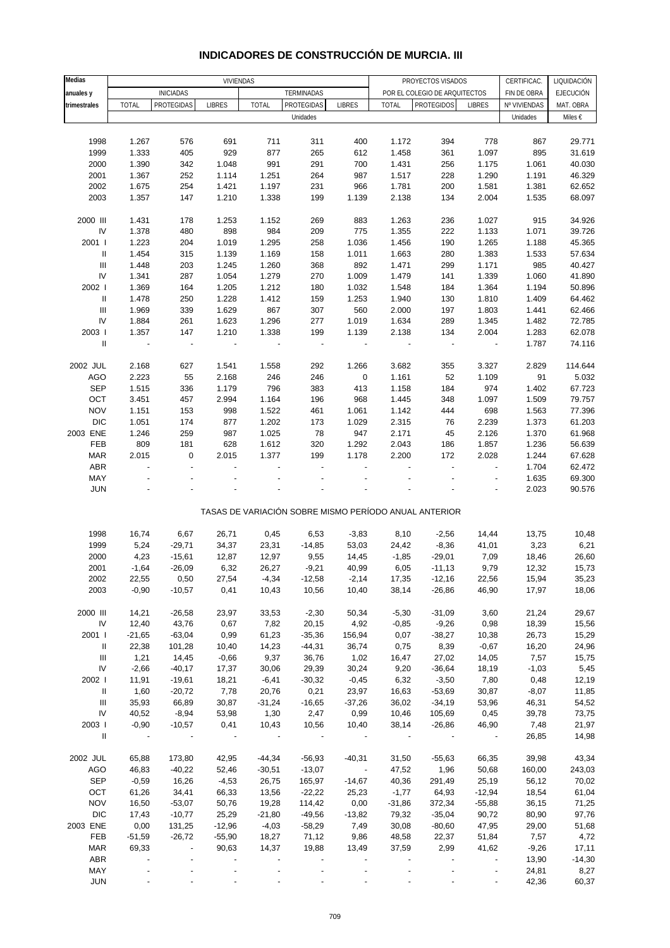| Medias                             |                   |                          | VIVIENDAS                |                  |                      |                          |                | PROYECTOS VISADOS                                     |                  | CERTIFICAC.    | LIQUIDACIÓN      |
|------------------------------------|-------------------|--------------------------|--------------------------|------------------|----------------------|--------------------------|----------------|-------------------------------------------------------|------------------|----------------|------------------|
| anuales y                          |                   | <b>INICIADAS</b>         |                          |                  | TERMINADAS           |                          |                | POR EL COLEGIO DE ARQUITECTOS                         |                  | FIN DE OBRA    | <b>EJECUCIÓN</b> |
| trimestrales                       | <b>TOTAL</b>      | <b>PROTEGIDAS</b>        | <b>LIBRES</b>            | <b>TOTAL</b>     | PROTEGIDAS           | <b>LIBRES</b>            | <b>TOTAL</b>   | <b>PROTEGIDOS</b>                                     | <b>LIBRES</b>    | Nº VIVIENDAS   | MAT. OBRA        |
|                                    |                   |                          |                          |                  | Unidades             |                          |                |                                                       |                  | Unidades       | Miles €          |
|                                    |                   |                          |                          |                  |                      |                          |                |                                                       |                  |                |                  |
| 1998                               | 1.267             | 576                      | 691                      | 711              | 311                  | 400                      | 1.172          | 394                                                   | 778              | 867            | 29.771           |
| 1999                               | 1.333             | 405                      | 929                      | 877              | 265                  | 612                      | 1.458          | 361                                                   | 1.097            | 895            | 31.619           |
| 2000                               | 1.390             | 342                      | 1.048                    | 991              | 291                  | 700                      | 1.431          | 256                                                   | 1.175            | 1.061          | 40.030           |
| 2001                               | 1.367             | 252                      | 1.114                    | 1.251            | 264                  | 987                      | 1.517          | 228                                                   | 1.290            | 1.191          | 46.329           |
| 2002                               | 1.675             | 254                      | 1.421                    | 1.197            | 231                  | 966                      | 1.781          | 200                                                   | 1.581            | 1.381          | 62.652           |
| 2003                               | 1.357             | 147                      | 1.210                    | 1.338            | 199                  | 1.139                    | 2.138          | 134                                                   | 2.004            | 1.535          | 68.097           |
|                                    |                   |                          |                          |                  |                      |                          |                |                                                       |                  |                |                  |
| 2000 III                           | 1.431             | 178                      | 1.253                    | 1.152            | 269                  | 883                      | 1.263          | 236                                                   | 1.027            | 915            | 34.926           |
| ${\sf IV}$                         | 1.378             | 480                      | 898                      | 984              | 209                  | 775                      | 1.355          | 222                                                   | 1.133            | 1.071          | 39.726           |
| 2001 l                             | 1.223             | 204                      | 1.019                    | 1.295            | 258                  | 1.036                    | 1.456          | 190                                                   | 1.265            | 1.188          | 45.365           |
| $\ensuremath{\mathsf{II}}$         | 1.454             | 315                      | 1.139                    | 1.169            | 158                  | 1.011                    | 1.663          | 280                                                   | 1.383            | 1.533          | 57.634           |
| $\ensuremath{\mathsf{III}}\xspace$ | 1.448             | 203                      | 1.245                    | 1.260            | 368                  | 892                      | 1.471          | 299                                                   | 1.171            | 985            | 40.427           |
| ${\sf IV}$                         | 1.341             | 287                      | 1.054                    | 1.279            | 270                  | 1.009                    | 1.479          | 141                                                   | 1.339            | 1.060          | 41.890           |
| 2002                               | 1.369             | 164                      | 1.205                    | 1.212            | 180                  | 1.032                    | 1.548          | 184                                                   | 1.364            | 1.194          | 50.896           |
| $\ensuremath{\mathsf{II}}$         | 1.478             | 250                      | 1.228                    | 1.412            | 159                  | 1.253                    | 1.940          | 130                                                   | 1.810            | 1.409          | 64.462           |
| $\mathbf{III}$                     | 1.969             | 339                      | 1.629                    | 867              | 307                  | 560                      | 2.000          | 197                                                   | 1.803            | 1.441          | 62.466           |
| IV                                 | 1.884             | 261                      | 1.623                    | 1.296            | 277                  | 1.019                    | 1.634          | 289                                                   | 1.345            | 1.482          | 72.785           |
| 2003                               | 1.357             | 147                      | 1.210                    | 1.338            | 199                  | 1.139                    | 2.138          | 134                                                   | 2.004            | 1.283          | 62.078           |
| $\ensuremath{\mathsf{II}}$         | $\blacksquare$    | $\overline{\phantom{a}}$ | ÷                        |                  |                      | ÷,                       |                | $\overline{\phantom{a}}$                              | $\overline{a}$   | 1.787          | 74.116           |
|                                    |                   |                          |                          |                  |                      |                          |                |                                                       |                  |                |                  |
| 2002 JUL                           | 2.168             | 627                      | 1.541                    | 1.558            | 292                  | 1.266                    | 3.682          | 355                                                   | 3.327            | 2.829          | 114.644          |
| <b>AGO</b>                         | 2.223             | 55                       | 2.168                    | 246              | 246                  | $\pmb{0}$                | 1.161          | 52                                                    | 1.109            | 91             | 5.032            |
| <b>SEP</b>                         | 1.515             | 336                      | 1.179                    | 796              | 383                  | 413                      | 1.158          | 184                                                   | 974              | 1.402          | 67.723           |
| OCT                                | 3.451             | 457                      | 2.994                    | 1.164            | 196                  | 968                      | 1.445          | 348                                                   | 1.097            | 1.509          | 79.757           |
| <b>NOV</b>                         | 1.151             | 153                      | 998                      | 1.522            | 461                  | 1.061                    | 1.142          | 444                                                   | 698              | 1.563          | 77.396           |
| <b>DIC</b>                         | 1.051             | 174                      | 877                      | 1.202            | 173                  | 1.029                    | 2.315          | 76                                                    | 2.239            | 1.373          | 61.203           |
| 2003 ENE                           | 1.246             | 259                      | 987                      | 1.025            | 78                   | 947                      | 2.171          | 45                                                    | 2.126            | 1.370          | 61.968           |
| FEB                                | 809               | 181                      | 628                      | 1.612            | 320                  | 1.292                    | 2.043          | 186                                                   | 1.857            | 1.236          | 56.639           |
|                                    | 2.015             | $\mathbf 0$              | 2.015                    | 1.377            | 199                  | 1.178                    | 2.200          | 172                                                   | 2.028            | 1.244          |                  |
| <b>MAR</b><br>ABR                  |                   |                          |                          |                  |                      |                          |                |                                                       | $\overline{a}$   | 1.704          | 67.628           |
| MAY                                |                   |                          |                          |                  |                      |                          |                |                                                       |                  | 1.635          | 62.472<br>69.300 |
| <b>JUN</b>                         |                   |                          |                          |                  |                      |                          |                |                                                       |                  | 2.023          | 90.576           |
|                                    |                   |                          |                          |                  |                      |                          |                |                                                       |                  |                |                  |
|                                    |                   |                          |                          |                  |                      |                          |                | TASAS DE VARIACIÓN SOBRE MISMO PERÍODO ANUAL ANTERIOR |                  |                |                  |
|                                    |                   |                          |                          |                  |                      |                          |                |                                                       |                  |                |                  |
| 1998<br>1999                       | 16,74<br>5,24     | 6,67<br>$-29,71$         | 26,71<br>34,37           | 0,45<br>23,31    | 6,53<br>$-14,85$     | $-3,83$<br>53,03         | 8,10<br>24,42  | $-2,56$<br>$-8,36$                                    | 14,44<br>41,01   | 13,75<br>3,23  | 10,48<br>6,21    |
|                                    |                   |                          |                          |                  |                      |                          |                |                                                       |                  |                |                  |
| 2000                               | 4,23              | $-15,61$                 | 12,87                    | 12,97            | 9,55                 | 14,45                    | $-1,85$        | $-29,01$                                              | 7,09             | 18,46          | 26,60<br>15,73   |
| 2001                               | $-1,64$           | $-26,09$                 | 6,32                     | 26,27            | $-9,21$              | 40,99                    | 6,05           | $-11,13$                                              | 9,79             | 12,32          |                  |
| 2002<br>2003                       | 22,55<br>$-0,90$  | 0,50<br>$-10,57$         | 27,54<br>0,41            | $-4,34$          | $-12,58$<br>10,56    | $-2,14$<br>10,40         | 17,35<br>38,14 | $-12,16$<br>$-26,86$                                  | 22,56<br>46,90   | 15,94<br>17,97 | 35,23<br>18,06   |
|                                    |                   |                          |                          | 10,43            |                      |                          |                |                                                       |                  |                |                  |
| 2000 III                           | 14,21             | $-26,58$                 | 23,97                    | 33,53            | $-2,30$              | 50,34                    | $-5,30$        | $-31,09$                                              | 3,60             | 21,24          | 29,67            |
| ${\sf IV}$                         | 12,40             | 43,76                    | 0,67                     | 7,82             | 20,15                | 4,92                     | $-0,85$        | $-9,26$                                               | 0,98             | 18,39          | 15,56            |
| 2001 l                             |                   |                          |                          |                  |                      |                          |                |                                                       |                  |                |                  |
| Ш                                  | $-21,65$<br>22,38 | $-63,04$<br>101,28       | 0,99<br>10,40            | 61,23<br>14,23   | $-35,36$<br>$-44,31$ | 156,94<br>36,74          | 0,07<br>0,75   | $-38,27$<br>8,39                                      | 10,38<br>$-0,67$ | 26,73          | 15,29            |
| Ш                                  | 1,21              | 14,45                    |                          | 9,37             | 36,76                |                          | 16,47          | 27,02                                                 | 14,05            | 16,20<br>7,57  | 24,96<br>15,75   |
| IV                                 | $-2,66$           | $-40,17$                 | $-0,66$<br>17,37         |                  | 29,39                | 1,02                     | 9,20           | $-36,64$                                              | 18,19            | $-1,03$        |                  |
| 2002                               | 11,91             | $-19,61$                 | 18,21                    | 30,06<br>$-6,41$ | $-30,32$             | 30,24<br>$-0,45$         | 6,32           | $-3,50$                                               | 7,80             | 0,48           | 5,45             |
| $\mathbf{II}$                      | 1,60              |                          | 7,78                     | 20,76            | 0,21                 | 23,97                    | 16,63          | $-53,69$                                              | 30,87            |                | 12,19            |
| Ш                                  | 35,93             | $-20,72$<br>66,89        | 30,87                    | $-31,24$         | $-16,65$             | $-37,26$                 | 36,02          | $-34,19$                                              | 53,96            | $-8,07$        | 11,85            |
| IV                                 | 40,52             |                          |                          |                  |                      |                          |                |                                                       |                  | 46,31          | 54,52            |
| 2003                               | $-0,90$           | $-8,94$<br>$-10,57$      | 53,98<br>0,41            | 1,30<br>10,43    | 2,47<br>10,56        | 0,99<br>10,40            | 10,46<br>38,14 | 105,69                                                | 0,45<br>46,90    | 39,78          | 73,75            |
| $\mathbf{II}$                      |                   |                          | $\overline{\phantom{a}}$ |                  |                      |                          |                | $-26,86$                                              |                  | 7,48<br>26,85  | 21,97<br>14,98   |
|                                    |                   |                          |                          |                  |                      |                          |                |                                                       |                  |                |                  |
| 2002 JUL                           | 65,88             | 173,80                   | 42,95                    | $-44,34$         | $-56,93$             | $-40,31$                 | 31,50          | $-55,63$                                              | 66,35            | 39,98          | 43,34            |
| AGO                                | 46,83             | $-40,22$                 | 52,46                    | $-30,51$         | $-13,07$             | $\overline{\phantom{a}}$ | 47,52          | 1,96                                                  | 50,68            | 160,00         | 243,03           |
| SEP                                | $-0,59$           | 16,26                    | $-4,53$                  | 26,75            | 165,97               | $-14,67$                 | 40,36          | 291,49                                                | 25,19            | 56,12          | 70,02            |
| OCT                                | 61,26             | 34,41                    | 66,33                    | 13,56            | $-22,22$             | 25,23                    | $-1,77$        | 64,93                                                 | $-12,94$         | 18,54          | 61,04            |
| <b>NOV</b>                         | 16,50             | $-53,07$                 | 50,76                    | 19,28            | 114,42               | 0,00                     | $-31,86$       | 372,34                                                | $-55,88$         | 36,15          | 71,25            |
| <b>DIC</b>                         | 17,43             | $-10,77$                 | 25,29                    | $-21,80$         | $-49,56$             | $-13,82$                 | 79,32          | $-35,04$                                              | 90,72            | 80,90          | 97,76            |
| 2003 ENE                           | 0,00              | 131,25                   | $-12,96$                 | $-4,03$          | $-58,29$             | 7,49                     | 30,08          | $-80,60$                                              | 47,95            | 29,00          | 51,68            |
| FEB                                | $-51,59$          | $-26,72$                 | $-55,90$                 | 18,27            | 71,12                | 9,86                     | 48,58          | 22,37                                                 | 51,84            | 7,57           | 4,72             |
| MAR                                | 69,33             | $\blacksquare$           | 90,63                    | 14,37            | 19,88                | 13,49                    | 37,59          | 2,99                                                  | 41,62            | $-9,26$        | 17,11            |
| ABR                                |                   |                          |                          |                  |                      |                          |                |                                                       |                  | 13,90          | $-14,30$         |
| MAY                                |                   |                          |                          |                  |                      |                          |                |                                                       |                  | 24,81          | 8,27             |
| <b>JUN</b>                         |                   |                          |                          |                  |                      |                          |                |                                                       |                  | 42,36          | 60,37            |

### **INDICADORES DE CONSTRUCCIÓN DE MURCIA. III**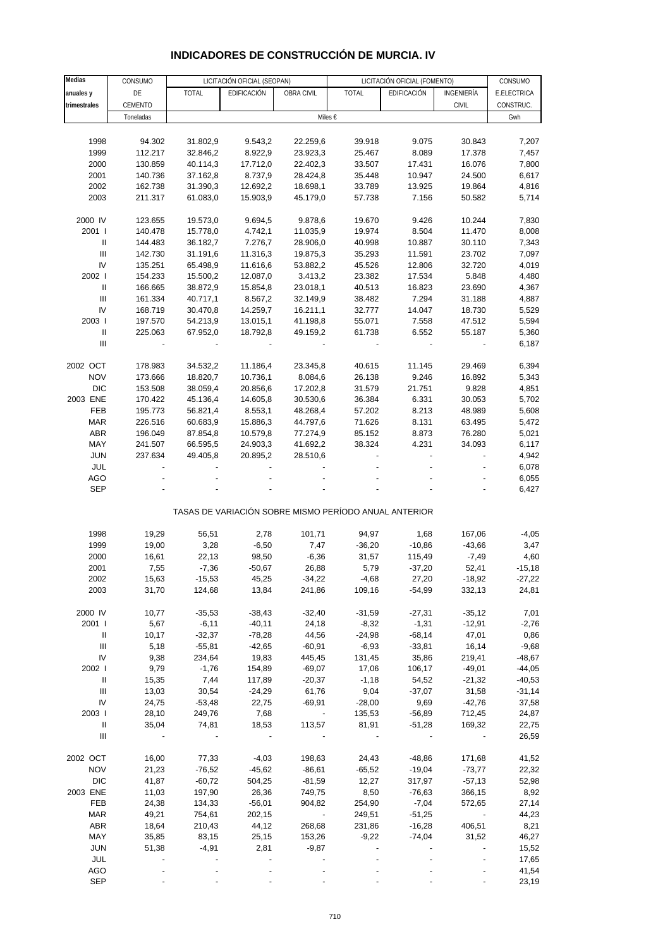#### **Medias** CONSUMO LICITACIÓN OFICIAL (SEOPAN) LICITACIÓN OFICIAL (FOMENTO) CONSUMO **anuales y** DE TOTAL EDIFICACIÓN OBRA CIVIL TOTAL EDIFICACIÓN INGENIERÍA E.ELECTRICA **trimestrales | CEMENTO | | | | | | | | | | | | | | | | | | CONSTRUC.** Toneladas in the second control of the Miles € the second control of the Gwhich in the Gwhich is the Gwhich in 1998 94.302 31.802,9 9.543,2 22.259,6 39.918 9.075 30.843 7,207 1999 112.217 32.846,2 8.922,9 23.923,3 25.467 8.089 17.378 7,457 2000 130.859 40.114,3 17.712,0 22.402,3 33.507 17.431 16.076 7,800 2001 140.736 37.162,8 8.737,9 28.424,8 35.448 10.947 24.500 6,617 2002 162.738 31.390,3 12.692,2 18.698,1 33.789 13.925 19.864 4,816 2003 211.317 61.083,0 15.903,9 45.179,0 57.738 7.156 50.582 5,714 2000 IV 123.655 19.573,0 9.694,5 9.878,6 19.670 9.426 10.244 7,830 2001 I 140.478 15.778,0 4.742,1 11.035,9 19.974 8.504 11.470 8,008 II 144.483 36.182,7 7.276,7 28.906,0 40.998 10.887 30.110 7,343 III 142.730 31.191,6 11.316,3 19.875,3 35.293 11.591 23.702 7,097 IV 135.251 65.498,9 11.616,6 53.882,2 45.526 12.806 32.720 4,019 2002 I 154.233 15.500,2 12.087,0 3.413,2 23.382 17.534 5.848 4,480 II 166.665 38.872,9 15.854,8 23.018,1 40.513 16.823 23.690 4,367 III 161.334 40.717,1 8.567,2 32.149,9 38.482 7.294 31.188 4,887 IV 168.719 30.470,8 14.259,7 16.211,1 32.777 14.047 18.730 5,529 2003 I 197.570 54.213,9 13.015,1 41.198,8 55.071 7.558 47.512 5,594 II 225.063 67.952,0 18.792,8 49.159,2 61.738 6.552 55.187 5,360  $\blacksquare$ 2002 OCT 178.983 34.532,2 11.186,4 23.345,8 40.615 11.145 29.469 6,394 NOV 173.666 18.820,7 10.736,1 8.084,6 26.138 9.246 16.892 5,343 DIC 153.508 38.059,4 20.856,6 17.202,8 31.579 21.751 9.828 4,851 2003 ENE 170.422 45.136,4 14.605,8 30.530,6 36.384 6.331 30.053 5,702 FEB 195.773 56.821,4 8.553,1 48.268,4 57.202 8.213 48.989 5,608 MAR 226.516 60.683,9 15.886,3 44.797,6 71.626 8.131 63.495 5,472 ABR 196.049 87.854,8 10.579,8 77.274,9 85.152 8.873 76.280 5,021 MAY 241.507 66.595,5 24.903,3 41.692,2 38.324 4.231 34.093 6,117 JUN 237.634 49.405,8 20.895,2 28.510,6 - - - 4,942 JUL - - - - - - - 6,078 AGO - - - - - - - 6,055  $SEP$  - - - - - - - - - - - - - - - - - 6,427 TASAS DE VARIACIÓN SOBRE MISMO PERÍODO ANUAL ANTERIOR 1998 19,29 56,51 2,78 101,71 94,97 1,68 167,06 -4,05 1999 19,00 3,28 -6,50 7,47 -36,20 -10,86 -43,66 3,47 2000 16,61 22,13 98,50 -6,36 31,57 115,49 -7,49 4,60 2001 7,55 -7,36 -50,67 26,88 5,79 -37,20 52,41 -15,18 2002 15,63 -15,53 45,25 -34,22 -4,68 27,20 -18,92 -27,22 2003 31,70 124,68 13,84 241,86 109,16 -54,99 332,13 24,81 2000 IV 10,77 -35,53 -38,43 -32,40 -31,59 -27,31 -35,12 7,01 2001 I 5,67 -6,11 -40,11 24,18 -8,32 -1,31 -12,91 -2,76 II 10,17 -32,37 -78,28 44,56 -24,98 -68,14 47,01 0,86 III 5,18 -55,81 -42,65 -60,91 -6,93 -33,81 16,14 -9,68 IV 9,38 234,64 19,83 445,45 131,45 35,86 219,41 -48,67 2002 I 9,79 -1,76 154,89 -69,07 17,06 106,17 -49,01 -44,05 II 15,35 7,44 117,89 -20,37 -1,18 54,52 -21,32 -40,53 III 13,03 30,54 -24,29 61,76 9,04 -37,07 31,58 -31,14 IV 24,75 -53,48 22,75 -69,91 -28,00 9,69 -42,76 37,58 2003 I 28,10 249,76 7,68 - 135,53 -56,89 712,45 24,87 II 35,04 74,81 18,53 113,57 81,91 -51,28 169,32 22,75  $\blacksquare$ 2002 OCT 16,00 77,33 -4,03 198,63 24,43 -48,86 171,68 41,52 NOV 21,23 -76,52 -45,62 -86,61 -65,52 -19,04 -73,77 22,32 DIC 41,87 -60,72 504,25 -81,59 12,27 317,97 -57,13 52,98 2003 ENE 11,03 197,90 26,36 749,75 8,50 -76,63 366,15 8,92 FEB 24,38 134,33 -56,01 904,82 254,90 -7,04 572,65 27,14 MAR 49,21 754,61 202,15 - 249,51 -51,25 - 44,23 ABR 18,64 210,43 44,12 268,68 231,86 -16,28 406,51 8,21 MAY 35,85 83,15 25,15 153,26 -9,22 -74,04 31,52 46,27 JUN 51,38 -4,91 2,81 -9,87 - - - 15,52 JUL - - - - - - - 17,65 Miles €

#### **INDICADORES DE CONSTRUCCIÓN DE MURCIA. IV**

 AGO - - - - - - - 41,54 SEP - - - - - - - 23,19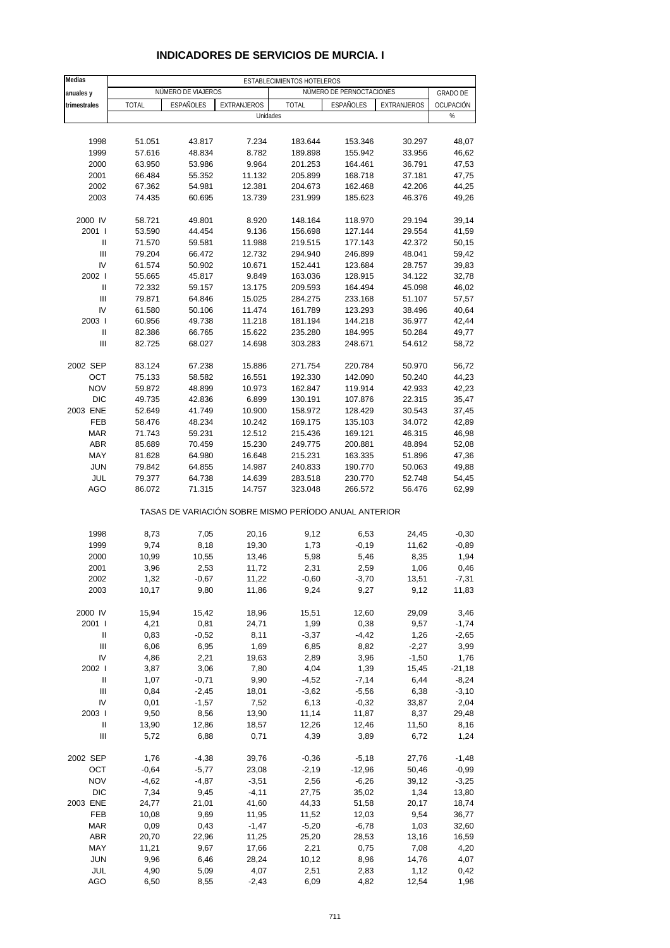| <b>Medias</b>                      | ESTABLECIMIENTOS HOTELEROS |                    |                                                       |                    |                          |                  |                 |
|------------------------------------|----------------------------|--------------------|-------------------------------------------------------|--------------------|--------------------------|------------------|-----------------|
| anuales y                          |                            | NÚMERO DE VIAJEROS |                                                       |                    | NÚMERO DE PERNOCTACIONES |                  | <b>GRADO DE</b> |
| trimestrales                       | <b>TOTAL</b>               | <b>ESPAÑOLES</b>   | EXTRANJEROS                                           | <b>TOTAL</b>       | <b>ESPAÑOLES</b>         | EXTRANJEROS      | OCUPACIÓN       |
|                                    |                            |                    | Unidades                                              |                    |                          |                  | %               |
|                                    |                            |                    |                                                       |                    |                          |                  |                 |
| 1998                               | 51.051                     | 43.817             | 7.234                                                 | 183.644            | 153.346                  | 30.297           | 48,07           |
| 1999                               | 57.616                     | 48.834             | 8.782                                                 | 189.898            | 155.942                  | 33.956           | 46,62           |
| 2000                               | 63.950                     | 53.986             | 9.964                                                 | 201.253            | 164.461                  | 36.791           | 47,53           |
| 2001                               | 66.484                     | 55.352             | 11.132                                                | 205.899            | 168.718                  | 37.181           | 47,75           |
| 2002                               | 67.362                     | 54.981             | 12.381                                                | 204.673            | 162.468                  | 42.206           | 44,25           |
| 2003                               | 74.435                     | 60.695             | 13.739                                                | 231.999            | 185.623                  | 46.376           | 49,26           |
|                                    |                            |                    |                                                       |                    |                          |                  |                 |
| 2000 IV                            | 58.721                     | 49.801             | 8.920                                                 | 148.164            | 118.970                  | 29.194           | 39,14           |
| 2001 l                             | 53.590                     | 44.454             | 9.136                                                 | 156.698            | 127.144                  | 29.554           | 41,59           |
| Ш                                  | 71.570                     | 59.581             | 11.988                                                | 219.515            | 177.143                  | 42.372           | 50,15           |
| Ш                                  | 79.204                     | 66.472             | 12.732                                                | 294.940            | 246.899                  | 48.041           | 59,42           |
| IV                                 | 61.574                     | 50.902             | 10.671                                                | 152.441            | 123.684                  | 28.757           | 39,83           |
| 2002                               | 55.665                     | 45.817             | 9.849                                                 | 163.036            | 128.915                  | 34.122           | 32,78           |
| $\mathbf{I}$                       | 72.332                     | 59.157             | 13.175                                                | 209.593            | 164.494                  | 45.098           | 46,02           |
| $\mathbf{III}$                     | 79.871                     | 64.846             | 15.025                                                | 284.275            | 233.168                  | 51.107           | 57,57           |
| IV                                 | 61.580                     | 50.106             | 11.474                                                | 161.789            | 123.293                  | 38.496           | 40,64           |
| 2003                               | 60.956                     | 49.738             | 11.218                                                | 181.194            | 144.218                  | 36.977           | 42,44           |
| $\sf II$                           | 82.386                     | 66.765             | 15.622                                                | 235.280            | 184.995                  | 50.284           | 49,77           |
| Ш                                  | 82.725                     | 68.027             | 14.698                                                | 303.283            | 248.671                  | 54.612           | 58,72           |
|                                    |                            |                    |                                                       |                    |                          |                  |                 |
| 2002 SEP                           | 83.124                     | 67.238             | 15.886                                                | 271.754            | 220.784                  | 50.970           | 56,72           |
| OCT                                | 75.133                     | 58.582             | 16.551                                                | 192.330            | 142.090                  | 50.240           | 44,23           |
| <b>NOV</b>                         | 59.872                     | 48.899             | 10.973                                                | 162.847            | 119.914                  | 42.933           | 42,23           |
| <b>DIC</b>                         | 49.735                     | 42.836             | 6.899                                                 | 130.191            | 107.876                  | 22.315           | 35,47           |
| 2003 ENE                           | 52.649                     | 41.749             | 10.900                                                | 158.972            | 128.429                  | 30.543           | 37,45           |
| FEB                                | 58.476                     | 48.234             | 10.242                                                | 169.175            | 135.103                  | 34.072           | 42,89           |
| <b>MAR</b>                         | 71.743                     | 59.231             | 12.512                                                | 215.436            | 169.121                  | 46.315           | 46,98           |
| <b>ABR</b>                         | 85.689                     | 70.459             | 15.230                                                | 249.775            | 200.881                  | 48.894           | 52,08           |
| MAY                                | 81.628                     | 64.980             | 16.648                                                | 215.231            | 163.335                  | 51.896           | 47,36           |
| <b>JUN</b>                         | 79.842                     | 64.855             | 14.987                                                | 240.833            | 190.770                  | 50.063           | 49,88           |
| JUL                                | 79.377                     |                    |                                                       |                    |                          |                  |                 |
| AGO                                | 86.072                     | 64.738<br>71.315   | 14.639<br>14.757                                      | 283.518<br>323.048 | 230.770<br>266.572       | 52.748<br>56.476 | 54,45<br>62,99  |
|                                    |                            |                    | TASAS DE VARIACIÓN SOBRE MISMO PERÍODO ANUAL ANTERIOR |                    |                          |                  |                 |
|                                    |                            |                    |                                                       |                    |                          |                  |                 |
| 1998                               | 8,73                       | 7,05               | 20,16                                                 | 9,12               | 6,53                     | 24,45            | $-0,30$         |
| 1999                               | 9,74                       | 8,18               | 19,30                                                 | 1,73               | $-0,19$                  | 11,62            | $-0,89$         |
| 2000                               | 10,99                      | 10,55              | 13,46                                                 | 5,98               | 5,46                     | 8,35             | 1,94            |
| 2001                               | 3,96                       | 2,53               | 11,72                                                 | 2,31               | 2,59                     | 1,06             | 0,46            |
| 2002                               | 1,32                       | $-0,67$            | 11,22                                                 | $-0,60$            | $-3,70$                  | 13,51            | -7,31           |
| 2003                               | 10,17                      | 9,80               | 11,86                                                 | 9,24               | 9,27                     | 9,12             | 11,83           |
|                                    |                            |                    |                                                       |                    |                          |                  |                 |
| 2000 IV                            | 15,94                      | 15,42              | 18,96                                                 | 15,51              | 12,60                    | 29,09            | 3,46            |
| 2001 l                             | 4,21                       | 0,81               | 24,71                                                 | 1,99               | 0,38                     | 9,57             | $-1,74$         |
| Ш                                  | 0,83                       | $-0,52$            | 8,11                                                  | $-3,37$            | $-4,42$                  | 1,26             | $-2,65$         |
| Ш                                  | 6,06                       | 6,95               | 1,69                                                  | 6,85               | 8,82                     | $-2,27$          | 3,99            |
| IV                                 | 4,86                       | 2,21               | 19,63                                                 | 2,89               | 3,96                     | $-1,50$          | 1,76            |
| 2002                               | 3,87                       | 3,06               | 7,80                                                  | 4,04               | 1,39                     | 15,45            | $-21,18$        |
| Ш                                  | 1,07                       | $-0,71$            | 9,90                                                  | $-4,52$            | $-7,14$                  | 6,44             | $-8,24$         |
| $\ensuremath{\mathsf{III}}\xspace$ | 0,84                       | $-2,45$            | 18,01                                                 | $-3,62$            | $-5,56$                  | 6,38             | $-3,10$         |
| IV                                 | 0,01                       | $-1,57$            | 7,52                                                  | 6,13               | $-0,32$                  | 33,87            | 2,04            |
| 2003                               | 9,50                       | 8,56               | 13,90                                                 | 11,14              | 11,87                    | 8,37             | 29,48           |
| Ш                                  | 13,90                      | 12,86              | 18,57                                                 | 12,26              | 12,46                    | 11,50            | 8,16            |
| Ш                                  | 5,72                       | 6,88               | 0,71                                                  | 4,39               | 3,89                     | 6,72             | 1,24            |
| 2002 SEP                           | 1,76                       | $-4,38$            | 39,76                                                 | $-0,36$            | $-5,18$                  | 27,76            | $-1,48$         |
| OCT                                | $-0,64$                    | $-5,77$            | 23,08                                                 | $-2,19$            | $-12,96$                 | 50,46            | $-0,99$         |
| <b>NOV</b>                         | $-4,62$                    | $-4,87$            | $-3,51$                                               | 2,56               | $-6,26$                  | 39,12            | $-3,25$         |
| <b>DIC</b>                         | 7,34                       | 9,45               | $-4, 11$                                              | 27,75              | 35,02                    | 1,34             | 13,80           |
| 2003 ENE                           | 24,77                      | 21,01              | 41,60                                                 | 44,33              | 51,58                    | 20,17            | 18,74           |
| FEB                                | 10,08                      | 9,69               | 11,95                                                 | 11,52              | 12,03                    | 9,54             | 36,77           |
| <b>MAR</b>                         | 0,09                       | 0,43               | $-1,47$                                               | $-5,20$            | $-6,78$                  | 1,03             | 32,60           |
| ABR                                | 20,70                      | 22,96              | 11,25                                                 | 25,20              | 28,53                    | 13,16            | 16,59           |
| MAY                                | 11,21                      | 9,67               | 17,66                                                 | 2,21               | 0,75                     | 7,08             | 4,20            |
| <b>JUN</b>                         | 9,96                       | 6,46               | 28,24                                                 | 10,12              | 8,96                     | 14,76            | 4,07            |
| JUL                                | 4,90                       | 5,09               | 4,07                                                  | 2,51               | 2,83                     | 1,12             | 0,42            |
| AGO                                | 6,50                       | 8,55               | $-2,43$                                               | 6,09               | 4,82                     | 12,54            | 1,96            |

### **INDICADORES DE SERVICIOS DE MURCIA. I**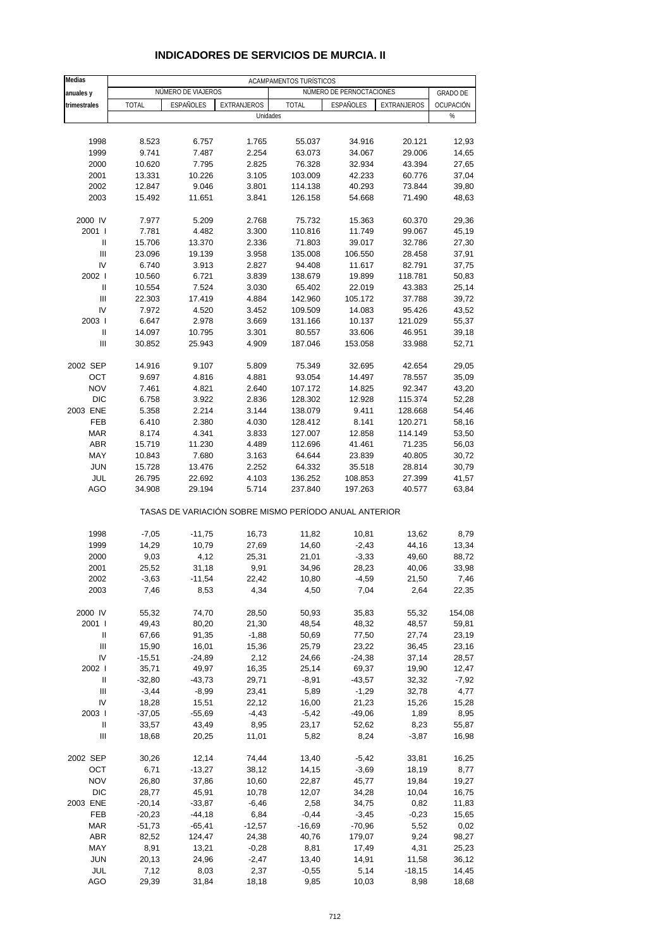| Medias                             | ACAMPAMENTOS TURÍSTICOS |                    |                                                       |               |                          |             |                 |  |
|------------------------------------|-------------------------|--------------------|-------------------------------------------------------|---------------|--------------------------|-------------|-----------------|--|
| anuales y                          |                         | NÚMERO DE VIAJEROS |                                                       |               | NÚMERO DE PERNOCTACIONES |             | <b>GRADO DE</b> |  |
| trimestrales                       | <b>TOTAL</b>            | <b>ESPAÑOLES</b>   | EXTRANJEROS                                           | <b>TOTAL</b>  | ESPAÑOLES                | EXTRANJEROS | OCUPACIÓN       |  |
|                                    |                         |                    | Unidades                                              |               |                          |             | %               |  |
|                                    |                         |                    |                                                       |               |                          |             |                 |  |
| 1998                               | 8.523                   | 6.757              | 1.765                                                 | 55.037        | 34.916                   | 20.121      | 12,93           |  |
| 1999                               | 9.741                   | 7.487              | 2.254                                                 | 63.073        | 34.067                   | 29.006      | 14,65           |  |
| 2000                               | 10.620                  | 7.795              | 2.825                                                 | 76.328        | 32.934                   | 43.394      | 27,65           |  |
| 2001                               | 13.331                  | 10.226             | 3.105                                                 | 103.009       | 42.233                   | 60.776      | 37,04           |  |
| 2002                               | 12.847                  | 9.046              | 3.801                                                 | 114.138       | 40.293                   | 73.844      | 39,80           |  |
| 2003                               | 15.492                  | 11.651             | 3.841                                                 | 126.158       | 54.668                   | 71.490      | 48,63           |  |
|                                    |                         |                    |                                                       |               |                          |             |                 |  |
| 2000 IV                            | 7.977                   | 5.209              | 2.768                                                 | 75.732        | 15.363                   | 60.370      | 29,36           |  |
| 2001 l                             | 7.781                   | 4.482              | 3.300                                                 | 110.816       | 11.749                   | 99.067      | 45,19           |  |
| Ш                                  | 15.706                  | 13.370             | 2.336                                                 | 71.803        | 39.017                   | 32.786      | 27,30           |  |
| $\ensuremath{\mathsf{III}}\xspace$ | 23.096                  | 19.139             | 3.958                                                 | 135.008       | 106.550                  | 28.458      | 37,91           |  |
| IV                                 | 6.740                   | 3.913              | 2.827                                                 | 94.408        | 11.617                   | 82.791      | 37,75           |  |
| 2002 l                             | 10.560                  | 6.721              | 3.839                                                 | 138.679       | 19.899                   | 118.781     | 50,83           |  |
| $\mathsf{I}$                       | 10.554                  | 7.524              | 3.030                                                 | 65.402        | 22.019                   | 43.383      | 25,14           |  |
| Ш                                  | 22.303                  | 17.419             | 4.884                                                 | 142.960       | 105.172                  | 37.788      | 39,72           |  |
| IV                                 | 7.972                   | 4.520              | 3.452                                                 | 109.509       | 14.083                   | 95.426      | 43,52           |  |
| 2003                               | 6.647                   | 2.978              | 3.669                                                 | 131.166       | 10.137                   | 121.029     | 55,37           |  |
| $\sf II$                           | 14.097                  | 10.795             | 3.301                                                 | 80.557        | 33.606                   | 46.951      | 39,18           |  |
| Ш                                  | 30.852                  | 25.943             | 4.909                                                 | 187.046       | 153.058                  | 33.988      | 52,71           |  |
|                                    |                         |                    |                                                       |               |                          |             |                 |  |
| 2002 SEP                           | 14.916                  | 9.107              | 5.809                                                 | 75.349        | 32.695                   | 42.654      | 29,05           |  |
| OCT                                | 9.697                   | 4.816              | 4.881                                                 | 93.054        | 14.497                   | 78.557      | 35,09           |  |
| <b>NOV</b>                         | 7.461                   | 4.821              | 2.640                                                 | 107.172       | 14.825                   | 92.347      | 43,20           |  |
| <b>DIC</b>                         | 6.758                   | 3.922              | 2.836                                                 | 128.302       | 12.928                   | 115.374     | 52,28           |  |
| 2003 ENE                           | 5.358                   | 2.214              | 3.144                                                 | 138.079       | 9.411                    | 128.668     | 54,46           |  |
| FEB                                | 6.410                   | 2.380              | 4.030                                                 | 128.412       | 8.141                    | 120.271     | 58,16           |  |
| <b>MAR</b>                         | 8.174                   | 4.341              | 3.833                                                 | 127.007       | 12.858                   | 114.149     | 53,50           |  |
| <b>ABR</b>                         | 15.719                  | 11.230             | 4.489                                                 | 112.696       | 41.461                   | 71.235      | 56,03           |  |
| MAY                                | 10.843                  | 7.680              | 3.163                                                 | 64.644        | 23.839                   | 40.805      | 30,72           |  |
| <b>JUN</b>                         | 15.728                  | 13.476             | 2.252                                                 | 64.332        | 35.518                   | 28.814      | 30,79           |  |
| JUL                                | 26.795                  | 22.692             | 4.103                                                 | 136.252       | 108.853                  | 27.399      | 41,57           |  |
| AGO                                | 34.908                  | 29.194             | 5.714                                                 | 237.840       | 197.263                  | 40.577      | 63,84           |  |
|                                    |                         |                    | TASAS DE VARIACIÓN SOBRE MISMO PERÍODO ANUAL ANTERIOR |               |                          |             |                 |  |
|                                    |                         |                    |                                                       |               |                          |             |                 |  |
| 1998                               | $-7,05$                 | $-11,75$           | 16,73                                                 | 11,82         | 10,81                    | 13,62       | 8,79            |  |
| 1999                               | 14,29                   | 10,79              | 27,69                                                 | 14,60         | $-2,43$                  | 44,16       | 13,34           |  |
| 2000                               | 9,03                    | 4,12               | 25,31                                                 | 21,01         | $-3,33$                  | 49,60       | 88,72           |  |
| 2001                               | 25,52                   | 31,18              | 9,91                                                  | 34,96         | 28,23                    | 40,06       | 33,98           |  |
| 2002<br>2003                       | -3,63<br>7,46           | -11,54<br>8,53     | 22,42<br>4,34                                         | 10,80<br>4,50 | -4,59<br>7,04            | 21,50       | 7,46<br>22,35   |  |
|                                    |                         |                    |                                                       |               |                          | 2,64        |                 |  |
| 2000 IV                            | 55,32                   | 74,70              | 28,50                                                 | 50,93         | 35,83                    | 55,32       | 154,08          |  |
| 2001 l                             | 49,43                   | 80,20              | 21,30                                                 | 48,54         | 48,32                    | 48,57       | 59,81           |  |
| Ш                                  | 67,66                   | 91,35              | $-1,88$                                               | 50,69         | 77,50                    | 27,74       | 23,19           |  |
| $\ensuremath{\mathsf{III}}\xspace$ | 15,90                   | 16,01              | 15,36                                                 | 25,79         | 23,22                    | 36,45       | 23,16           |  |
| IV                                 | $-15,51$                | $-24,89$           | 2,12                                                  | 24,66         | $-24,38$                 | 37,14       | 28,57           |  |
| 2002 l                             | 35,71                   | 49,97              | 16,35                                                 | 25,14         | 69,37                    | 19,90       | 12,47           |  |
| Ш                                  | $-32,80$                | $-43,73$           | 29,71                                                 | $-8,91$       | $-43,57$                 | 32,32       | $-7,92$         |  |
| $\ensuremath{\mathsf{III}}\xspace$ | $-3,44$                 | $-8,99$            | 23,41                                                 | 5,89          | $-1,29$                  | 32,78       | 4,77            |  |
| IV                                 | 18,28                   | 15,51              | 22,12                                                 | 16,00         | 21,23                    | 15,26       | 15,28           |  |
| 2003                               | $-37,05$                | $-55,69$           | $-4,43$                                               | $-5,42$       | $-49,06$                 | 1,89        | 8,95            |  |
| Ш                                  | 33,57                   | 43,49              | 8,95                                                  | 23,17         | 52,62                    | 8,23        | 55,87           |  |
| $\ensuremath{\mathsf{III}}\xspace$ | 18,68                   | 20,25              | 11,01                                                 | 5,82          | 8,24                     | $-3,87$     | 16,98           |  |
|                                    |                         |                    |                                                       |               |                          |             |                 |  |
| 2002 SEP                           | 30,26                   | 12,14              | 74,44                                                 | 13,40         | $-5,42$                  | 33,81       | 16,25           |  |
| OCT                                | 6,71                    | $-13,27$           | 38,12                                                 | 14,15         | $-3,69$                  | 18,19       | 8,77            |  |
| <b>NOV</b>                         | 26,80                   | 37,86              | 10,60                                                 | 22,87         | 45,77                    | 19,84       | 19,27           |  |
| <b>DIC</b>                         | 28,77                   | 45,91              | 10,78                                                 | 12,07         | 34,28                    | 10,04       | 16,75           |  |
| 2003 ENE                           | $-20,14$                | $-33,87$           | $-6,46$                                               | 2,58          | 34,75                    | 0,82        | 11,83           |  |
| FEB                                | $-20,23$                | $-44,18$           | 6,84                                                  | $-0,44$       | $-3,45$                  | $-0,23$     | 15,65           |  |
| <b>MAR</b>                         | $-51,73$                | $-65,41$           | $-12,57$                                              | $-16,69$      | $-70,96$                 | 5,52        | 0,02            |  |
| <b>ABR</b>                         | 82,52                   | 124,47             | 24,38                                                 | 40,76         | 179,07                   | 9,24        | 98,27           |  |
| MAY                                | 8,91                    | 13,21              | $-0,28$                                               | 8,81          | 17,49                    | 4,31        | 25,23           |  |
| <b>JUN</b>                         | 20,13                   | 24,96              | $-2,47$                                               | 13,40         | 14,91                    | 11,58       | 36,12           |  |
| JUL                                | 7,12                    | 8,03               | 2,37                                                  | $-0,55$       | 5,14                     | $-18,15$    | 14,45           |  |
| AGO                                | 29,39                   | 31,84              | 18,18                                                 | 9,85          | 10,03                    | 8,98        | 18,68           |  |

### **INDICADORES DE SERVICIOS DE MURCIA. II**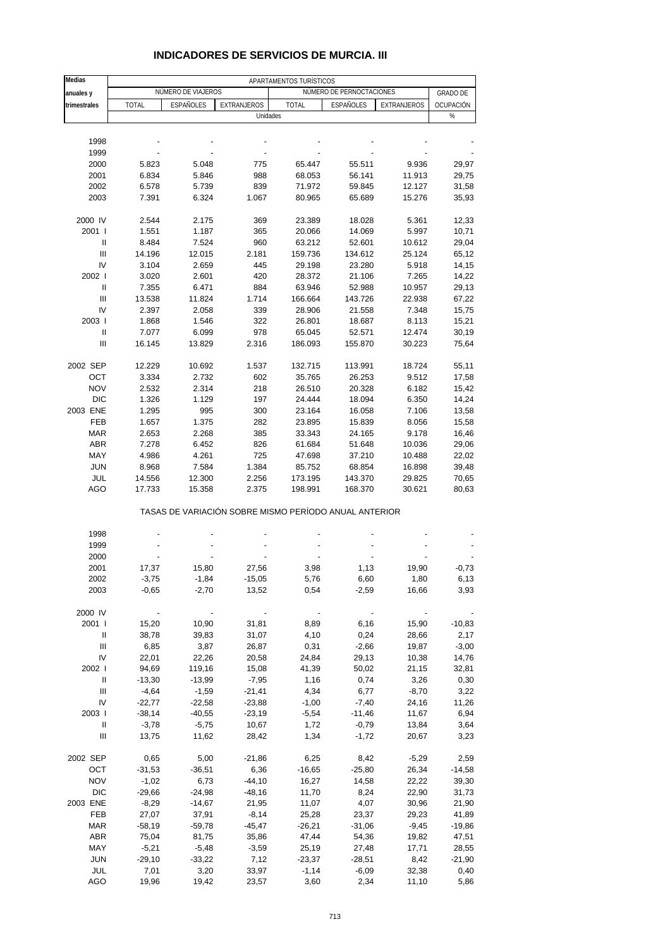| <b>Medias</b>                      | APARTAMENTOS TURÍSTICOS |                    |                                                       |              |                          |             |                 |  |  |
|------------------------------------|-------------------------|--------------------|-------------------------------------------------------|--------------|--------------------------|-------------|-----------------|--|--|
| anuales y                          |                         | NÚMERO DE VIAJEROS |                                                       |              | NÚMERO DE PERNOCTACIONES |             | <b>GRADO DE</b> |  |  |
| trimestrales                       | <b>TOTAL</b>            | ESPAÑOLES          | EXTRANJEROS                                           | <b>TOTAL</b> | ESPAÑOLES                | EXTRANJEROS | OCUPACIÓN       |  |  |
|                                    |                         |                    | Unidades                                              |              |                          |             | $\%$            |  |  |
|                                    |                         |                    |                                                       |              |                          |             |                 |  |  |
|                                    |                         |                    |                                                       |              |                          |             |                 |  |  |
| 1998                               |                         |                    |                                                       |              |                          |             |                 |  |  |
| 1999                               |                         |                    |                                                       |              |                          |             |                 |  |  |
| 2000                               | 5.823                   | 5.048              | 775                                                   | 65.447       | 55.511                   | 9.936       | 29,97           |  |  |
| 2001                               | 6.834                   | 5.846              | 988                                                   | 68.053       | 56.141                   | 11.913      | 29,75           |  |  |
| 2002                               | 6.578                   | 5.739              | 839                                                   | 71.972       | 59.845                   | 12.127      | 31,58           |  |  |
| 2003                               | 7.391                   | 6.324              | 1.067                                                 | 80.965       | 65.689                   | 15.276      | 35,93           |  |  |
|                                    |                         |                    |                                                       |              |                          |             |                 |  |  |
| 2000 IV                            | 2.544                   | 2.175              | 369                                                   | 23.389       | 18.028                   | 5.361       | 12,33           |  |  |
| 2001 l                             | 1.551                   | 1.187              | 365                                                   | 20.066       | 14.069                   | 5.997       | 10,71           |  |  |
| Ш                                  | 8.484                   | 7.524              | 960                                                   | 63.212       | 52.601                   | 10.612      | 29,04           |  |  |
| $\ensuremath{\mathsf{III}}\xspace$ | 14.196                  | 12.015             | 2.181                                                 | 159.736      | 134.612                  | 25.124      | 65,12           |  |  |
| IV                                 | 3.104                   | 2.659              | 445                                                   | 29.198       | 23.280                   | 5.918       | 14,15           |  |  |
| 2002 l                             | 3.020                   | 2.601              | 420                                                   | 28.372       | 21.106                   | 7.265       | 14,22           |  |  |
| Ш                                  | 7.355                   | 6.471              | 884                                                   | 63.946       | 52.988                   | 10.957      | 29,13           |  |  |
| Ш                                  | 13.538                  | 11.824             | 1.714                                                 | 166.664      | 143.726                  | 22.938      | 67,22           |  |  |
| IV                                 | 2.397                   | 2.058              | 339                                                   | 28.906       | 21.558                   | 7.348       |                 |  |  |
|                                    |                         |                    |                                                       |              |                          |             | 15,75           |  |  |
| 2003                               | 1.868                   | 1.546              | 322                                                   | 26.801       | 18.687                   | 8.113       | 15,21           |  |  |
| Ш                                  | 7.077                   | 6.099              | 978                                                   | 65.045       | 52.571                   | 12.474      | 30,19           |  |  |
| Ш                                  | 16.145                  | 13.829             | 2.316                                                 | 186.093      | 155.870                  | 30.223      | 75,64           |  |  |
|                                    |                         |                    |                                                       |              |                          |             |                 |  |  |
| 2002 SEP                           | 12.229                  | 10.692             | 1.537                                                 | 132.715      | 113.991                  | 18.724      | 55,11           |  |  |
| OCT                                | 3.334                   | 2.732              | 602                                                   | 35.765       | 26.253                   | 9.512       | 17,58           |  |  |
| <b>NOV</b>                         | 2.532                   | 2.314              | 218                                                   | 26.510       | 20.328                   | 6.182       | 15,42           |  |  |
| <b>DIC</b>                         | 1.326                   | 1.129              | 197                                                   | 24.444       | 18.094                   | 6.350       | 14,24           |  |  |
| 2003 ENE                           | 1.295                   | 995                | 300                                                   | 23.164       | 16.058                   | 7.106       | 13,58           |  |  |
| <b>FEB</b>                         | 1.657                   | 1.375              | 282                                                   | 23.895       | 15.839                   | 8.056       | 15,58           |  |  |
| <b>MAR</b>                         | 2.653                   | 2.268              | 385                                                   | 33.343       | 24.165                   | 9.178       | 16,46           |  |  |
| <b>ABR</b>                         | 7.278                   | 6.452              | 826                                                   | 61.684       | 51.648                   | 10.036      | 29,06           |  |  |
| MAY                                | 4.986                   | 4.261              | 725                                                   | 47.698       | 37.210                   | 10.488      | 22,02           |  |  |
| <b>JUN</b>                         | 8.968                   | 7.584              | 1.384                                                 | 85.752       | 68.854                   | 16.898      | 39,48           |  |  |
|                                    |                         |                    |                                                       |              |                          |             |                 |  |  |
| JUL                                | 14.556                  | 12.300             | 2.256                                                 | 173.195      | 143.370                  | 29.825      | 70,65           |  |  |
| AGO                                | 17.733                  | 15.358             | 2.375                                                 | 198.991      | 168.370                  | 30.621      | 80,63           |  |  |
|                                    |                         |                    | TASAS DE VARIACIÓN SOBRE MISMO PERÍODO ANUAL ANTERIOR |              |                          |             |                 |  |  |
|                                    |                         |                    |                                                       |              |                          |             |                 |  |  |
| 1998                               |                         |                    |                                                       |              |                          |             |                 |  |  |
| 1999                               |                         |                    |                                                       |              |                          |             |                 |  |  |
| 2000                               |                         |                    |                                                       |              |                          |             |                 |  |  |
| 2001                               | 17,37                   | 15,80              | 27,56                                                 | 3,98         | 1,13                     | 19,90       | $-0,73$         |  |  |
| 2002                               | $-3,75$                 | $-1,84$            | $-15,05$                                              | 5,76         | 6,60                     | 1,80        | 6,13            |  |  |
| 2003                               | $-0,65$                 | $-2,70$            | 13,52                                                 | 0,54         | $-2,59$                  | 16,66       | 3,93            |  |  |
|                                    |                         |                    |                                                       |              |                          |             |                 |  |  |
| 2000 IV                            |                         |                    |                                                       |              |                          |             |                 |  |  |
| 2001 l                             | 15,20                   | 10,90              | 31,81                                                 | 8,89         | 6,16                     | 15,90       | $-10,83$        |  |  |
| Ш                                  | 38,78                   | 39,83              | 31,07                                                 | 4,10         | 0,24                     | 28,66       | 2,17            |  |  |
| Ш                                  | 6,85                    | 3,87               | 26,87                                                 | 0,31         | $-2,66$                  | 19,87       | $-3,00$         |  |  |
| IV                                 | 22,01                   | 22,26              | 20,58                                                 | 24,84        | 29,13                    | 10,38       | 14,76           |  |  |
| 2002 l                             | 94,69                   | 119,16             | 15,08                                                 | 41,39        | 50,02                    | 21,15       | 32,81           |  |  |
| Ш                                  | $-13,30$                | $-13,99$           | $-7,95$                                               | 1,16         | 0,74                     | 3,26        | 0,30            |  |  |
| $\mathbf{III}$                     | $-4,64$                 | $-1,59$            | $-21,41$                                              | 4,34         | 6,77                     | $-8,70$     | 3,22            |  |  |
| IV                                 | $-22,77$                | $-22,58$           | $-23,88$                                              | $-1,00$      | $-7,40$                  | 24,16       | 11,26           |  |  |
| 2003                               | $-38,14$                | $-40,55$           | $-23,19$                                              | $-5,54$      | $-11,46$                 | 11,67       | 6,94            |  |  |
|                                    |                         |                    |                                                       |              |                          |             |                 |  |  |
| Ш                                  | $-3,78$                 | $-5,75$            | 10,67                                                 | 1,72         | $-0,79$                  | 13,84       | 3,64            |  |  |
| Ш                                  | 13,75                   | 11,62              | 28,42                                                 | 1,34         | $-1,72$                  | 20,67       | 3,23            |  |  |
| 2002 SEP                           | 0,65                    | 5,00               | $-21,86$                                              | 6,25         | 8,42                     | $-5,29$     | 2,59            |  |  |
| OCT                                | $-31,53$                | $-36,51$           | 6,36                                                  | $-16,65$     | $-25,80$                 | 26,34       | $-14,58$        |  |  |
| <b>NOV</b>                         | $-1,02$                 | 6,73               | $-44,10$                                              | 16,27        | 14,58                    | 22,22       | 39,30           |  |  |
| <b>DIC</b>                         | $-29,66$                | $-24,98$           | $-48,16$                                              | 11,70        | 8,24                     | 22,90       | 31,73           |  |  |
| 2003 ENE                           | $-8,29$                 | $-14,67$           | 21,95                                                 | 11,07        | 4,07                     | 30,96       | 21,90           |  |  |
| FEB                                | 27,07                   | 37,91              | $-8,14$                                               | 25,28        | 23,37                    | 29,23       | 41,89           |  |  |
| <b>MAR</b>                         | $-58,19$                | $-59,78$           | $-45,47$                                              | $-26,21$     | $-31,06$                 | $-9,45$     | $-19,86$        |  |  |
|                                    |                         |                    |                                                       |              |                          |             |                 |  |  |
| ABR                                | 75,04                   | 81,75              | 35,86                                                 | 47,44        | 54,36                    | 19,82       | 47,51           |  |  |
| MAY                                | $-5,21$                 | $-5,48$            | $-3,59$                                               | 25,19        | 27,48                    | 17,71       | 28,55           |  |  |
| <b>JUN</b>                         | $-29,10$                | $-33,22$           | 7,12                                                  | $-23,37$     | $-28,51$                 | 8,42        | $-21,90$        |  |  |
| JUL                                | 7,01                    | 3,20               | 33,97                                                 | $-1,14$      | $-6,09$                  | 32,38       | 0,40            |  |  |
| AGO                                | 19,96                   | 19,42              | 23,57                                                 | 3,60         | 2,34                     | 11,10       | 5,86            |  |  |

### **INDICADORES DE SERVICIOS DE MURCIA. III**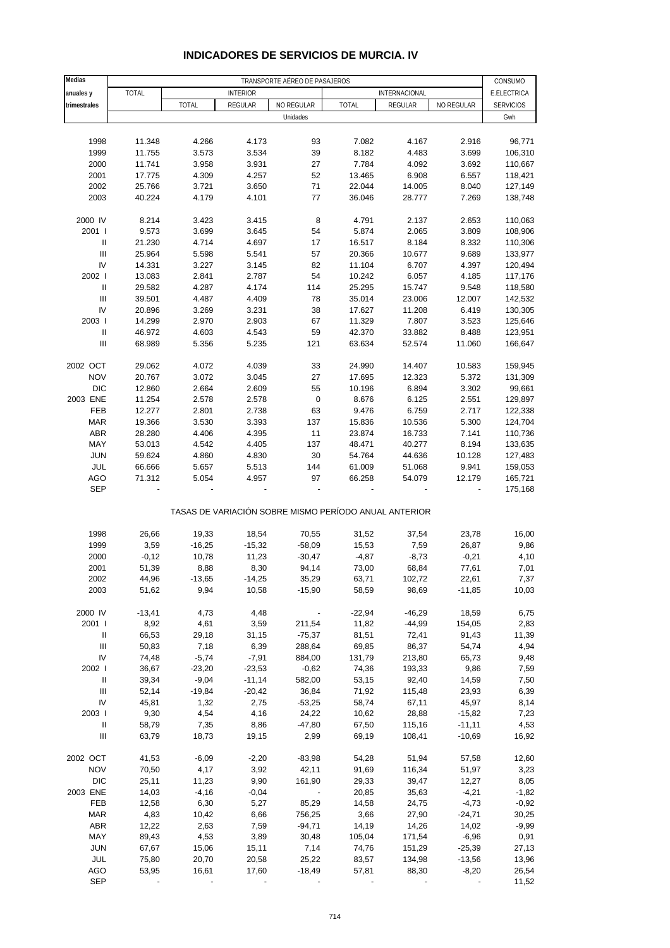| Medias                             |                  | TRANSPORTE AÉREO DE PASAJEROS |                 |            |                                                       |                      |                      |                  |  |
|------------------------------------|------------------|-------------------------------|-----------------|------------|-------------------------------------------------------|----------------------|----------------------|------------------|--|
| anuales y                          | TOTAL            |                               | <b>INTERIOR</b> |            |                                                       | INTERNACIONAL        |                      | E.ELECTRICA      |  |
| trimestrales                       |                  | <b>TOTAL</b>                  | REGULAR         | NO REGULAR | <b>TOTAL</b>                                          | REGULAR              | NO REGULAR           | <b>SERVICIOS</b> |  |
|                                    |                  |                               |                 | Unidades   |                                                       |                      |                      | Gwh              |  |
|                                    |                  |                               |                 |            |                                                       |                      |                      |                  |  |
| 1998                               | 11.348           | 4.266                         | 4.173           | 93         | 7.082                                                 | 4.167                | 2.916                | 96,771           |  |
| 1999                               | 11.755           | 3.573                         | 3.534           | 39         | 8.182                                                 | 4.483                | 3.699                | 106,310          |  |
| 2000                               | 11.741           | 3.958                         | 3.931           | 27         | 7.784                                                 | 4.092                | 3.692                | 110,667          |  |
| 2001                               | 17.775           | 4.309                         | 4.257           | 52         | 13.465                                                | 6.908                | 6.557                | 118,421          |  |
| 2002                               | 25.766           | 3.721                         | 3.650           | 71         | 22.044                                                | 14.005               | 8.040                | 127,149          |  |
| 2003                               | 40.224           | 4.179                         | 4.101           | 77         | 36.046                                                | 28.777               | 7.269                | 138,748          |  |
|                                    |                  |                               |                 |            |                                                       |                      |                      |                  |  |
| 2000 IV                            | 8.214            | 3.423                         | 3.415           | 8          | 4.791                                                 | 2.137                | 2.653                | 110,063          |  |
| 2001 l                             | 9.573            | 3.699                         | 3.645           | 54         | 5.874                                                 | 2.065                | 3.809                | 108,906          |  |
| $\, \parallel$                     | 21.230           | 4.714                         | 4.697           | 17         | 16.517                                                | 8.184                | 8.332                | 110,306          |  |
| Ш                                  | 25.964           | 5.598                         | 5.541           | 57         | 20.366                                                | 10.677               | 9.689                | 133,977          |  |
| IV                                 | 14.331           | 3.227                         | 3.145           | 82         | 11.104                                                | 6.707                | 4.397                | 120,494          |  |
| 2002                               | 13.083           | 2.841                         | 2.787           | 54         | 10.242                                                | 6.057                | 4.185                | 117,176          |  |
| $\, \parallel$                     | 29.582           | 4.287                         | 4.174           | 114        | 25.295                                                | 15.747               | 9.548                | 118,580          |  |
| $\mathbf{III}$                     | 39.501           | 4.487                         | 4.409           | 78         | 35.014                                                | 23.006               | 12.007               | 142,532          |  |
| IV                                 | 20.896           | 3.269                         | 3.231           | 38         | 17.627                                                | 11.208               | 6.419                | 130,305          |  |
| 2003                               | 14.299           | 2.970                         | 2.903           | 67         | 11.329                                                | 7.807                | 3.523                | 125,646          |  |
| $\mathbf{I}$                       | 46.972           | 4.603                         | 4.543           | 59         | 42.370                                                | 33.882               | 8.488                | 123,951          |  |
| $\mathbf{III}$                     | 68.989           | 5.356                         | 5.235           | 121        | 63.634                                                | 52.574               | 11.060               | 166,647          |  |
|                                    |                  |                               |                 |            |                                                       |                      |                      |                  |  |
| 2002 OCT                           | 29.062           | 4.072                         | 4.039           | 33         | 24.990                                                | 14.407               | 10.583               | 159,945          |  |
| <b>NOV</b>                         | 20.767           | 3.072                         | 3.045           | 27         | 17.695                                                | 12.323               | 5.372                | 131,309          |  |
| <b>DIC</b>                         | 12.860           | 2.664                         | 2.609           | 55         | 10.196                                                | 6.894                | 3.302                | 99,661           |  |
| 2003 ENE                           | 11.254           | 2.578                         | 2.578           | $\pmb{0}$  | 8.676                                                 | 6.125                | 2.551                | 129,897          |  |
| FEB                                | 12.277           | 2.801                         | 2.738           | 63         | 9.476                                                 | 6.759                | 2.717                | 122,338          |  |
| <b>MAR</b>                         | 19.366           | 3.530                         | 3.393           | 137        | 15.836                                                | 10.536               | 5.300                | 124,704          |  |
| <b>ABR</b>                         | 28.280           | 4.406                         | 4.395           | 11         | 23.874                                                | 16.733               | 7.141                | 110,736          |  |
| MAY                                | 53.013           | 4.542                         | 4.405           | 137        | 48.471                                                | 40.277               | 8.194                | 133,635          |  |
| <b>JUN</b>                         | 59.624           | 4.860                         | 4.830           | 30         | 54.764                                                | 44.636               | 10.128               | 127,483          |  |
| JUL                                | 66.666           | 5.657                         | 5.513           | 144        | 61.009                                                | 51.068               | 9.941                | 159,053          |  |
| <b>AGO</b>                         | 71.312           | 5.054                         | 4.957           | 97         | 66.258                                                | 54.079               | 12.179               | 165,721          |  |
| <b>SEP</b>                         |                  |                               |                 |            |                                                       |                      |                      | 175,168          |  |
|                                    |                  |                               |                 |            | TASAS DE VARIACIÓN SOBRE MISMO PERÍODO ANUAL ANTERIOR |                      |                      |                  |  |
|                                    |                  |                               |                 |            |                                                       |                      |                      |                  |  |
| 1998                               | 26,66            | 19,33                         | 18,54           | 70,55      | 31,52                                                 | 37,54                | 23,78                | 16,00            |  |
| 1999                               | 3,59             | $-16,25$                      | $-15,32$        | $-58,09$   | 15,53                                                 | 7,59                 | 26,87                | 9,86             |  |
| 2000                               | $-0,12$          | 10,78                         | 11,23           | $-30,47$   | $-4,87$                                               | $-8,73$              | $-0,21$              | 4,10             |  |
| 2001                               | 51,39            | 8,88                          | 8,30            | 94,14      | 73,00                                                 | 68,84                | 77,61                | 7,01             |  |
| 2002                               | 44,96            | $-13,65$                      | $-14,25$        | 35,29      | 63,71                                                 | 102,72               | 22,61                | 7,37             |  |
| 2003                               | 51,62            | 9,94                          | 10,58           | $-15,90$   | 58,59                                                 | 98,69                | $-11,85$             | 10,03            |  |
|                                    |                  |                               |                 |            |                                                       |                      |                      |                  |  |
| 2000 IV<br>2001 l                  | $-13,41$<br>8,92 | 4,73<br>4,61                  | 4,48<br>3,59    | 211,54     | $-22,94$<br>11,82                                     | $-46,29$<br>$-44,99$ | 18,59<br>154,05      | 6,75<br>2,83     |  |
| $\, \parallel$                     | 66,53            | 29,18                         | 31,15           | $-75,37$   | 81,51                                                 | 72,41                | 91,43                | 11,39            |  |
| Ш                                  | 50,83            | 7,18                          | 6,39            | 288,64     | 69,85                                                 | 86,37                | 54,74                | 4,94             |  |
| ${\sf IV}$                         | 74,48            | $-5,74$                       | $-7,91$         | 884,00     | 131,79                                                |                      | 65,73                | 9,48             |  |
| 2002                               | 36,67            | $-23,20$                      | $-23,53$        | $-0,62$    | 74,36                                                 | 213,80<br>193,33     | 9,86                 | 7,59             |  |
|                                    |                  | $-9,04$                       |                 |            |                                                       |                      |                      |                  |  |
| Ш                                  | 39,34            |                               | $-11,14$        | 582,00     | 53,15                                                 | 92,40                | 14,59                | 7,50             |  |
| Ш                                  | 52,14            | $-19,84$                      | $-20,42$        | 36,84      | 71,92                                                 | 115,48               | 23,93                | 6,39             |  |
| IV                                 | 45,81            | 1,32                          | 2,75            | $-53,25$   | 58,74                                                 | 67,11                | 45,97                | 8,14             |  |
| 2003                               | 9,30             | 4,54                          | 4,16            | 24,22      | 10,62                                                 | 28,88                | $-15,82$             | 7,23             |  |
| $\, \parallel$                     | 58,79            | 7,35                          | 8,86            | $-47,80$   | 67,50                                                 | 115,16               | $-11,11$             | 4,53             |  |
| $\ensuremath{\mathsf{III}}\xspace$ | 63,79            | 18,73                         | 19,15           | 2,99       | 69,19                                                 | 108,41               | $-10,69$             | 16,92            |  |
| 2002 OCT                           | 41,53            | $-6,09$                       | $-2,20$         | $-83,98$   | 54,28                                                 | 51,94                | 57,58                | 12,60            |  |
| <b>NOV</b>                         | 70,50            | 4,17                          | 3,92            | 42,11      | 91,69                                                 | 116,34               | 51,97                | 3,23             |  |
| <b>DIC</b>                         | 25,11            | 11,23                         | 9,90            | 161,90     | 29,33                                                 | 39,47                | 12,27                | 8,05             |  |
| 2003 ENE                           | 14,03            | $-4,16$                       | $-0,04$         |            | 20,85                                                 | 35,63                | $-4,21$              | $-1,82$          |  |
| FEB                                | 12,58            | 6,30                          | 5,27            | 85,29      | 14,58                                                 | 24,75                | $-4,73$              | $-0,92$          |  |
| MAR                                | 4,83             | 10,42                         | 6,66            | 756,25     | 3,66                                                  | 27,90                | $-24,71$             | 30,25            |  |
| <b>ABR</b>                         | 12,22            | 2,63                          | 7,59            | $-94,71$   | 14,19                                                 | 14,26                | 14,02                | $-9,99$          |  |
| MAY                                | 89,43            | 4,53                          | 3,89            | 30,48      | 105,04                                                | 171,54               | $-6,96$              |                  |  |
| <b>JUN</b>                         |                  |                               |                 | 7,14       |                                                       |                      |                      | 0,91             |  |
| JUL                                | 67,67<br>75,80   | 15,06<br>20,70                | 15,11<br>20,58  | 25,22      | 74,76                                                 | 151,29<br>134,98     | $-25,39$<br>$-13,56$ | 27,13<br>13,96   |  |
|                                    |                  |                               |                 |            | 83,57                                                 |                      |                      |                  |  |
| AGO<br><b>SEP</b>                  | 53,95            | 16,61                         | 17,60           | $-18,49$   | 57,81                                                 | 88,30                | $-8,20$              | 26,54<br>11,52   |  |
|                                    |                  |                               |                 |            |                                                       |                      |                      |                  |  |

### **INDICADORES DE SERVICIOS DE MURCIA. IV**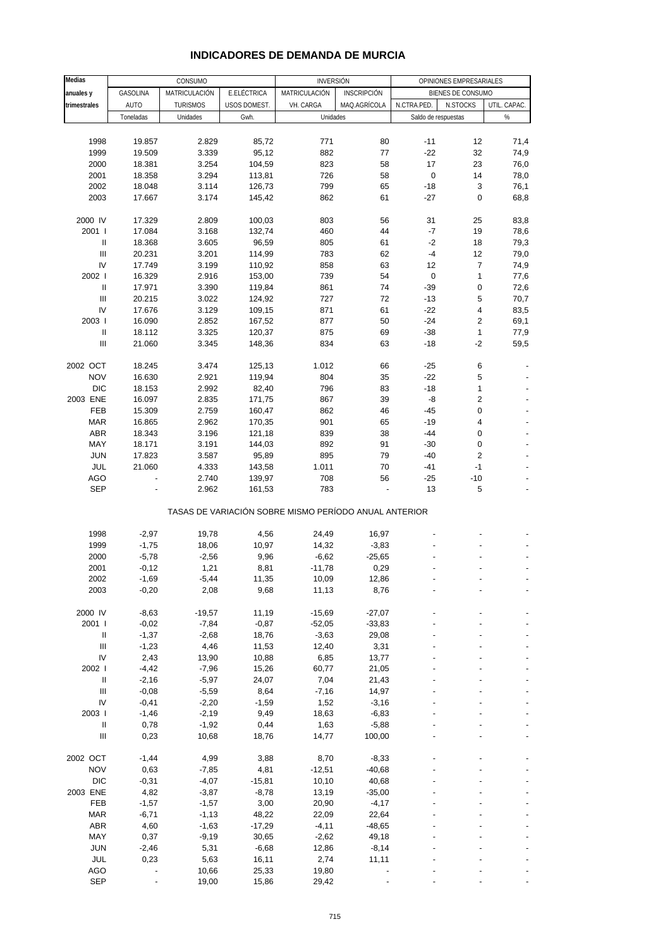| Medias                                  |                    | CONSUMO         |               | <b>INVERSIÓN</b>                                      |                     |             | OPINIONES EMPRESARIALES |                          |
|-----------------------------------------|--------------------|-----------------|---------------|-------------------------------------------------------|---------------------|-------------|-------------------------|--------------------------|
| anuales y                               | GASOLINA           | MATRICULACIÓN   | E.ELÉCTRICA   | MATRICULACIÓN                                         | <b>INSCRIPCIÓN</b>  |             | BIENES DE CONSUMO       |                          |
| trimestrales                            | AUTO               | <b>TURISMOS</b> | USOS DOMEST.  | VH. CARGA                                             | MAQ.AGRÍCOLA        | N.CTRA.PED. | N.STOCKS                | UTIL. CAPAC.             |
|                                         | Toneladas          | Unidades        | Gwh.          | Unidades                                              |                     |             | Saldo de respuestas     | %                        |
|                                         |                    |                 |               |                                                       |                     |             |                         |                          |
| 1998                                    | 19.857             | 2.829           | 85,72         | 771                                                   | 80                  | $-11$       | 12                      | 71,4                     |
| 1999                                    | 19.509             | 3.339           | 95,12         | 882                                                   | 77                  | $-22$       | 32                      | 74,9                     |
| 2000                                    | 18.381             | 3.254           | 104,59        | 823                                                   | 58                  | 17          | 23                      | 76,0                     |
| 2001                                    | 18.358             | 3.294           | 113,81        | 726                                                   | 58                  | $\pmb{0}$   | 14                      | 78,0                     |
| 2002                                    | 18.048             | 3.114           | 126,73        | 799                                                   | 65                  | $-18$       | 3                       | 76,1                     |
| 2003                                    | 17.667             | 3.174           | 145,42        | 862                                                   | 61                  | $-27$       | 0                       | 68,8                     |
|                                         |                    |                 |               |                                                       |                     |             |                         |                          |
| 2000 IV                                 | 17.329             | 2.809           | 100,03        | 803                                                   | 56                  | 31          | 25                      | 83,8                     |
| 2001 l                                  | 17.084             | 3.168           | 132,74        | 460                                                   | 44                  | $-7$        | 19                      | 78,6                     |
| Ш                                       | 18.368             | 3.605           | 96,59         | 805                                                   | 61                  | $-2$        | 18                      | 79,3                     |
| Ш                                       | 20.231             | 3.201           | 114,99        | 783                                                   | 62                  | $-4$        | 12                      | 79,0                     |
| IV                                      | 17.749             | 3.199           | 110,92        | 858                                                   | 63                  | 12          | $\overline{7}$          | 74,9                     |
| 2002                                    | 16.329             | 2.916           | 153,00        | 739                                                   | 54                  | $\pmb{0}$   | $\mathbf{1}$            | 77,6                     |
| Ш                                       | 17.971             | 3.390           | 119,84        | 861                                                   | 74                  | -39         | 0                       | 72,6                     |
| Ш                                       | 20.215             | 3.022           | 124,92        | 727                                                   | 72                  | $-13$       | 5                       | 70,7                     |
| IV                                      | 17.676             | 3.129           | 109,15        | 871                                                   | 61                  | $-22$       | 4                       | 83,5                     |
| 2003                                    | 16.090             | 2.852           | 167,52        | 877                                                   | 50                  | $-24$       | 2                       | 69,1                     |
| Ш<br>Ш                                  | 18.112             | 3.325           | 120,37        | 875                                                   | 69                  | $-38$       | 1<br>$-2$               | 77,9                     |
|                                         | 21.060             | 3.345           | 148,36        | 834                                                   | 63                  | -18         |                         | 59,5                     |
| 2002 OCT                                | 18.245             | 3.474           | 125,13        | 1.012                                                 | 66                  | -25         | 6                       |                          |
| <b>NOV</b>                              | 16.630             | 2.921           | 119,94        | 804                                                   | 35                  | $-22$       | 5                       |                          |
| <b>DIC</b>                              | 18.153             | 2.992           | 82,40         | 796                                                   | 83                  | $-18$       | 1                       |                          |
| 2003 ENE                                | 16.097             | 2.835           | 171,75        | 867                                                   | 39                  | -8          | $\overline{c}$          |                          |
| FEB                                     | 15.309             | 2.759           | 160,47        | 862                                                   | 46                  | $-45$       | 0                       |                          |
| <b>MAR</b>                              | 16.865             | 2.962           | 170,35        | 901                                                   | 65                  | $-19$       | 4                       |                          |
| <b>ABR</b>                              | 18.343             | 3.196           | 121,18        | 839                                                   | 38                  | -44         | 0                       |                          |
| MAY                                     | 18.171             | 3.191           | 144,03        | 892                                                   | 91                  | $-30$       | 0                       |                          |
| <b>JUN</b>                              | 17.823             | 3.587           | 95,89         | 895                                                   | 79                  | -40         | $\overline{c}$          |                          |
| JUL                                     | 21.060             | 4.333           | 143,58        | 1.011                                                 | 70                  | -41         | $-1$                    |                          |
| AGO                                     |                    | 2.740           | 139,97        | 708                                                   | 56                  | $-25$       | $-10$                   |                          |
| <b>SEP</b>                              |                    | 2.962           | 161,53        | 783                                                   |                     | 13          | 5                       |                          |
|                                         |                    |                 |               | TASAS DE VARIACIÓN SOBRE MISMO PERÍODO ANUAL ANTERIOR |                     |             |                         |                          |
|                                         |                    |                 |               |                                                       |                     |             |                         |                          |
| 1998<br>1999                            | $-2,97$<br>$-1,75$ | 19,78<br>18,06  | 4,56<br>10,97 | 24,49<br>14,32                                        | 16,97               |             |                         |                          |
| 2000                                    | $-5,78$            | $-2,56$         | 9,96          | $-6,62$                                               | $-3,83$<br>$-25,65$ |             |                         |                          |
| 2001                                    | $-0,12$            | 1,21            | 8,81          | $-11,78$                                              | 0,29                |             |                         |                          |
| 2002                                    | $-1,69$            | $-5,44$         | 11,35         | 10,09                                                 | 12,86               |             |                         |                          |
| 2003                                    | $-0,20$            | 2,08            | 9,68          | 11,13                                                 | 8,76                |             |                         |                          |
|                                         |                    |                 |               |                                                       |                     |             |                         |                          |
| 2000 IV                                 | $-8,63$            | $-19,57$        | 11,19         | $-15,69$                                              | $-27,07$            |             |                         |                          |
| 2001                                    | $-0,02$            | $-7,84$         | $-0,87$       | $-52,05$                                              | $-33,83$            |             |                         |                          |
| $\ensuremath{\mathsf{II}}$              | $-1,37$            | $-2,68$         | 18,76         | $-3,63$                                               | 29,08               |             |                         |                          |
| $\ensuremath{\mathsf{III}}\xspace$      | $-1,23$            | 4,46            | 11,53         | 12,40                                                 | 3,31                |             |                         |                          |
| IV                                      | 2,43               | 13,90           | 10,88         | 6,85                                                  | 13,77               |             |                         |                          |
| 2002                                    | $-4,42$            | $-7,96$         | 15,26         | 60,77                                                 | 21,05               |             |                         |                          |
| $\ensuremath{\mathsf{II}}$              | $-2,16$            | $-5,97$         | 24,07         | 7,04                                                  | 21,43               |             |                         |                          |
| $\ensuremath{\mathsf{III}}\xspace$      | $-0,08$            | $-5,59$         | 8,64          | $-7,16$                                               | 14,97               |             |                         |                          |
| IV                                      | $-0,41$            | $-2,20$         | $-1,59$       | 1,52                                                  | $-3,16$             |             |                         |                          |
| 2003 l                                  | $-1,46$            | $-2,19$         | 9,49          | 18,63                                                 | $-6,83$             |             |                         |                          |
| Ш<br>$\ensuremath{\mathsf{III}}\xspace$ | 0,78               | $-1,92$         | 0,44          | 1,63                                                  | $-5,88$             |             |                         |                          |
|                                         | 0,23               | 10,68           | 18,76         | 14,77                                                 | 100,00              |             |                         | $\overline{\phantom{a}}$ |
| 2002 OCT                                | $-1,44$            | 4,99            | 3,88          | 8,70                                                  | $-8,33$             |             |                         |                          |
| <b>NOV</b>                              | 0,63               | $-7,85$         | 4,81          | $-12,51$                                              | $-40,68$            |             |                         |                          |
| DIC                                     | $-0,31$            | $-4,07$         | $-15,81$      | 10,10                                                 | 40,68               |             |                         |                          |
| 2003 ENE                                | 4,82               | $-3,87$         | $-8,78$       | 13,19                                                 | $-35,00$            |             |                         |                          |
| FEB                                     | $-1,57$            | $-1,57$         | 3,00          | 20,90                                                 | $-4,17$             |             |                         |                          |
| <b>MAR</b>                              | $-6,71$            | $-1, 13$        | 48,22         | 22,09                                                 | 22,64               |             |                         |                          |
| ABR                                     | 4,60               | $-1,63$         | $-17,29$      | $-4, 11$                                              | $-48,65$            |             |                         |                          |
| MAY                                     | 0,37               | $-9,19$         | 30,65         | $-2,62$                                               | 49,18               |             |                         |                          |
| <b>JUN</b>                              | $-2,46$            | 5,31            | $-6,68$       | 12,86                                                 | $-8,14$             |             |                         |                          |
| JUL                                     | 0,23               | 5,63            | 16,11         | 2,74                                                  | 11,11               |             |                         |                          |
| AGO                                     |                    | 10,66           | 25,33         | 19,80                                                 |                     |             |                         |                          |
| <b>SEP</b>                              |                    | 19,00           | 15,86         | 29,42                                                 |                     |             |                         |                          |

#### **INDICADORES DE DEMANDA DE MURCIA**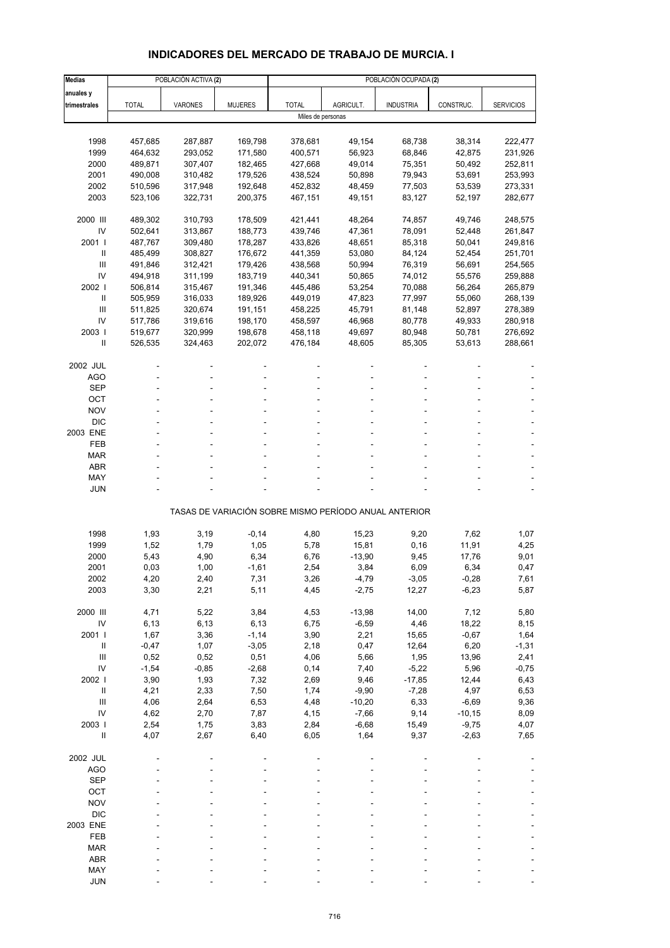# **INDICADORES DEL MERCADO DE TRABAJO DE MURCIA. I**

| <b>Medias</b>              |                 | POBLACIÓN ACTIVA (2) |                 |                   |              |                                                       |               | POBLACIÓN OCUPADA (2) |  |  |  |  |  |
|----------------------------|-----------------|----------------------|-----------------|-------------------|--------------|-------------------------------------------------------|---------------|-----------------------|--|--|--|--|--|
| anuales y                  |                 |                      |                 |                   |              |                                                       |               |                       |  |  |  |  |  |
| trimestrales               | <b>TOTAL</b>    | <b>VARONES</b>       | <b>MUJERES</b>  | <b>TOTAL</b>      | AGRICULT.    | <b>INDUSTRIA</b>                                      | CONSTRUC.     | <b>SERVICIOS</b>      |  |  |  |  |  |
|                            |                 |                      |                 | Miles de personas |              |                                                       |               |                       |  |  |  |  |  |
|                            |                 |                      |                 |                   |              |                                                       |               |                       |  |  |  |  |  |
| 1998                       | 457,685         | 287,887              | 169,798         | 378,681           | 49,154       | 68,738                                                | 38,314        | 222,477               |  |  |  |  |  |
| 1999                       | 464,632         | 293,052              | 171,580         | 400,571           | 56,923       | 68,846                                                | 42,875        | 231,926               |  |  |  |  |  |
| 2000                       | 489,871         | 307,407              | 182,465         | 427,668           | 49,014       | 75,351                                                | 50,492        | 252,811               |  |  |  |  |  |
| 2001                       | 490,008         | 310,482              | 179,526         | 438,524           | 50,898       | 79,943                                                | 53,691        | 253,993               |  |  |  |  |  |
| 2002                       | 510,596         | 317,948              | 192,648         | 452,832           | 48,459       | 77,503                                                | 53,539        | 273,331               |  |  |  |  |  |
| 2003                       | 523,106         | 322,731              | 200,375         | 467,151           | 49,151       | 83,127                                                | 52,197        | 282,677               |  |  |  |  |  |
|                            |                 |                      |                 |                   |              |                                                       |               |                       |  |  |  |  |  |
| 2000 III                   | 489,302         | 310,793              | 178,509         | 421,441           | 48,264       | 74,857                                                | 49,746        | 248,575               |  |  |  |  |  |
| IV                         | 502,641         | 313,867              | 188,773         | 439,746           | 47,361       | 78,091                                                | 52,448        | 261,847               |  |  |  |  |  |
| 2001                       | 487,767         | 309,480              | 178,287         | 433,826           | 48,651       | 85,318                                                | 50,041        | 249,816               |  |  |  |  |  |
| $\mathbf{I}$               | 485,499         | 308,827              | 176,672         | 441,359           | 53,080       | 84,124                                                | 52,454        | 251,701               |  |  |  |  |  |
| III                        | 491,846         | 312,421              | 179,426         | 438,568           | 50,994       | 76,319                                                | 56,691        | 254,565               |  |  |  |  |  |
| IV                         | 494,918         | 311,199              | 183,719         | 440,341           | 50,865       | 74,012                                                | 55,576        | 259,888               |  |  |  |  |  |
| 2002                       | 506,814         | 315,467              | 191,346         | 445,486           | 53,254       | 70,088                                                | 56,264        | 265,879               |  |  |  |  |  |
| Ш                          | 505,959         | 316,033              | 189,926         | 449,019           | 47,823       | 77,997                                                | 55,060        | 268,139               |  |  |  |  |  |
| III                        | 511,825         | 320,674              | 191,151         | 458,225           | 45,791       | 81,148                                                | 52,897        | 278,389               |  |  |  |  |  |
| IV                         | 517,786         | 319,616              | 198,170         | 458,597           | 46,968       | 80,778                                                | 49,933        | 280,918               |  |  |  |  |  |
| 2003                       | 519,677         | 320,999              | 198,678         | 458,118           | 49,697       | 80,948                                                | 50,781        | 276,692               |  |  |  |  |  |
| $\mathbf{I}$               | 526,535         | 324,463              | 202,072         | 476,184           | 48,605       | 85,305                                                | 53,613        | 288,661               |  |  |  |  |  |
|                            |                 |                      |                 |                   |              |                                                       |               |                       |  |  |  |  |  |
| 2002 JUL<br><b>AGO</b>     |                 |                      |                 |                   |              |                                                       |               |                       |  |  |  |  |  |
| <b>SEP</b>                 |                 |                      |                 |                   |              |                                                       |               |                       |  |  |  |  |  |
| OCT                        |                 |                      |                 |                   |              |                                                       |               |                       |  |  |  |  |  |
| <b>NOV</b>                 |                 |                      |                 |                   |              |                                                       |               |                       |  |  |  |  |  |
| <b>DIC</b>                 |                 |                      |                 |                   |              |                                                       |               |                       |  |  |  |  |  |
| 2003 ENE                   |                 |                      |                 |                   |              |                                                       |               |                       |  |  |  |  |  |
| FEB                        |                 |                      |                 |                   |              |                                                       |               |                       |  |  |  |  |  |
| <b>MAR</b>                 |                 |                      |                 |                   |              |                                                       |               |                       |  |  |  |  |  |
| ABR                        |                 |                      |                 |                   |              |                                                       |               |                       |  |  |  |  |  |
| MAY                        |                 |                      |                 |                   |              |                                                       |               |                       |  |  |  |  |  |
| JUN                        |                 |                      |                 |                   |              |                                                       |               |                       |  |  |  |  |  |
|                            |                 |                      |                 |                   |              |                                                       |               |                       |  |  |  |  |  |
|                            |                 |                      |                 |                   |              | TASAS DE VARIACIÓN SOBRE MISMO PERÍODO ANUAL ANTERIOR |               |                       |  |  |  |  |  |
|                            |                 |                      |                 |                   |              |                                                       |               |                       |  |  |  |  |  |
| 1998                       | 1,93            | 3,19                 | $-0,14$         | 4,80              | 15,23        | 9,20                                                  | 7,62          | 1,07                  |  |  |  |  |  |
| 1999                       | 1,52            | 1,79                 | 1,05            | 5,78              | 15,81        | 0, 16                                                 | 11,91         | 4,25                  |  |  |  |  |  |
| 2000                       | 5,43            | 4,90                 | 6,34            | 6,76              | $-13,90$     | 9,45                                                  | 17,76         | 9,01                  |  |  |  |  |  |
| 2001                       | 0,03            | 1,00                 | $-1,61$         | 2,54              | 3,84         | 6,09                                                  | 6,34          | 0,47                  |  |  |  |  |  |
| 2002                       | 4,20            | 2,40                 | 7,31            | 3,26              | $-4,79$      | $-3,05$                                               | $-0,28$       | 7,61                  |  |  |  |  |  |
| 2003                       | 3,30            | 2,21                 | 5,11            | 4,45              | $-2,75$      | 12,27                                                 | $-6,23$       | 5,87                  |  |  |  |  |  |
|                            |                 |                      |                 |                   |              |                                                       |               |                       |  |  |  |  |  |
| 2000 III                   | 4,71            | 5,22                 | 3,84            | 4,53              | $-13,98$     | 14,00                                                 | 7,12          | 5,80                  |  |  |  |  |  |
| IV                         | 6,13            | 6,13                 | 6,13            | 6,75              | $-6,59$      | 4,46                                                  | 18,22         | 8,15                  |  |  |  |  |  |
| 2001 l<br>$\mathbf{II}$    | 1,67            | 3,36                 | $-1,14$         | 3,90              | 2,21         | 15,65                                                 | $-0,67$       | 1,64                  |  |  |  |  |  |
| Ш                          | $-0,47$<br>0,52 | 1,07<br>0,52         | $-3,05$<br>0,51 | 2,18<br>4,06      | 0,47<br>5,66 | 12,64<br>1,95                                         | 6,20<br>13,96 | $-1,31$<br>2,41       |  |  |  |  |  |
| IV                         | $-1,54$         | $-0,85$              | $-2,68$         | 0,14              | 7,40         | $-5,22$                                               | 5,96          | $-0,75$               |  |  |  |  |  |
| 2002 l                     | 3,90            | 1,93                 | 7,32            | 2,69              | 9,46         | $-17,85$                                              | 12,44         | 6,43                  |  |  |  |  |  |
| $\, \parallel$             | 4,21            | 2,33                 | 7,50            | 1,74              | $-9,90$      | $-7,28$                                               | 4,97          | 6,53                  |  |  |  |  |  |
| III                        | 4,06            | 2,64                 | 6,53            | 4,48              | $-10,20$     | 6,33                                                  | $-6,69$       | 9,36                  |  |  |  |  |  |
| IV                         | 4,62            | 2,70                 | 7,87            | 4,15              | $-7,66$      | 9,14                                                  | $-10,15$      | 8,09                  |  |  |  |  |  |
| 2003                       | 2,54            | 1,75                 | 3,83            | 2,84              | $-6,68$      | 15,49                                                 | $-9,75$       | 4,07                  |  |  |  |  |  |
| $\ensuremath{\mathsf{II}}$ | 4,07            | 2,67                 | 6,40            | 6,05              | 1,64         | 9,37                                                  | $-2,63$       | 7,65                  |  |  |  |  |  |
|                            |                 |                      |                 |                   |              |                                                       |               |                       |  |  |  |  |  |
| 2002 JUL                   |                 |                      |                 |                   |              |                                                       |               |                       |  |  |  |  |  |
| <b>AGO</b>                 |                 |                      |                 |                   |              |                                                       |               |                       |  |  |  |  |  |
| <b>SEP</b>                 |                 |                      |                 |                   |              |                                                       |               |                       |  |  |  |  |  |
| OCT                        |                 |                      |                 |                   |              |                                                       |               |                       |  |  |  |  |  |
| <b>NOV</b>                 |                 |                      |                 |                   |              |                                                       |               |                       |  |  |  |  |  |
| <b>DIC</b>                 |                 |                      |                 |                   |              |                                                       |               |                       |  |  |  |  |  |
| 2003 ENE                   |                 |                      |                 |                   |              |                                                       |               |                       |  |  |  |  |  |
| FEB                        |                 |                      |                 |                   |              |                                                       |               |                       |  |  |  |  |  |
| <b>MAR</b>                 |                 |                      |                 |                   |              |                                                       |               |                       |  |  |  |  |  |
| ABR                        |                 |                      |                 |                   |              |                                                       |               |                       |  |  |  |  |  |
| MAY                        |                 |                      |                 |                   |              |                                                       |               |                       |  |  |  |  |  |
| <b>JUN</b>                 |                 |                      |                 |                   |              |                                                       |               |                       |  |  |  |  |  |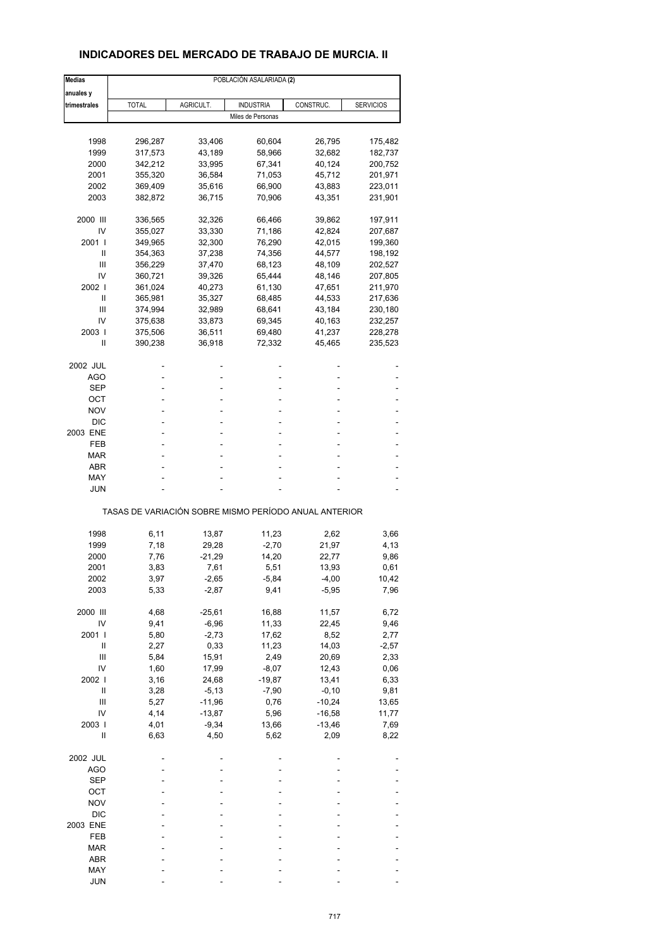### **INDICADORES DEL MERCADO DE TRABAJO DE MURCIA. II**

| <b>Medias</b>  | POBLACIÓN ASALARIADA (2) |           |                                                       |           |                  |  |  |  |
|----------------|--------------------------|-----------|-------------------------------------------------------|-----------|------------------|--|--|--|
| anuales y      |                          |           |                                                       |           |                  |  |  |  |
| trimestrales   | <b>TOTAL</b>             | AGRICULT. | <b>INDUSTRIA</b>                                      | CONSTRUC. | <b>SERVICIOS</b> |  |  |  |
|                |                          |           | Miles de Personas                                     |           |                  |  |  |  |
| 1998           | 296,287                  | 33,406    | 60,604                                                | 26,795    | 175,482          |  |  |  |
| 1999           | 317,573                  | 43,189    | 58,966                                                | 32,682    | 182,737          |  |  |  |
| 2000           | 342,212                  | 33,995    | 67,341                                                | 40,124    | 200,752          |  |  |  |
| 2001           | 355,320                  | 36,584    | 71,053                                                | 45,712    | 201,971          |  |  |  |
| 2002           | 369,409                  | 35,616    | 66,900                                                | 43,883    | 223,011          |  |  |  |
| 2003           | 382,872                  | 36,715    | 70,906                                                | 43,351    | 231,901          |  |  |  |
| 2000 III       | 336,565                  | 32,326    | 66,466                                                | 39,862    | 197,911          |  |  |  |
| IV             | 355,027                  | 33,330    | 71,186                                                | 42,824    | 207,687          |  |  |  |
| 2001 l         | 349,965                  | 32,300    | 76,290                                                | 42,015    | 199,360          |  |  |  |
| Ш              | 354,363                  | 37,238    | 74,356                                                | 44,577    | 198,192          |  |  |  |
| Ш              | 356,229                  | 37,470    | 68,123                                                | 48,109    | 202,527          |  |  |  |
| IV             | 360,721                  | 39,326    | 65,444                                                | 48,146    | 207,805          |  |  |  |
| 2002 l         | 361,024                  | 40,273    | 61,130                                                | 47,651    | 211,970          |  |  |  |
| Ш              | 365,981                  | 35,327    | 68,485                                                | 44,533    | 217,636          |  |  |  |
| Ш              | 374,994                  | 32,989    | 68,641                                                | 43,184    | 230,180          |  |  |  |
| IV             | 375,638                  | 33,873    | 69,345                                                | 40,163    | 232,257          |  |  |  |
| 2003           | 375,506                  | 36,511    | 69,480                                                | 41,237    | 228,278          |  |  |  |
| Ш              | 390,238                  | 36,918    | 72,332                                                | 45,465    | 235,523          |  |  |  |
| 2002 JUL       |                          |           |                                                       |           |                  |  |  |  |
| AGO            |                          |           | ٠                                                     |           |                  |  |  |  |
| SEP            |                          |           |                                                       |           |                  |  |  |  |
| ОСТ            | ٠                        |           | ٠                                                     |           |                  |  |  |  |
| NOV            |                          |           |                                                       |           |                  |  |  |  |
| DIC            |                          |           |                                                       |           |                  |  |  |  |
| 2003 ENE       | ä,                       |           | ٠                                                     |           |                  |  |  |  |
| FEB            |                          |           | ۰                                                     |           |                  |  |  |  |
| <b>MAR</b>     |                          |           |                                                       |           |                  |  |  |  |
| ABR            |                          |           | ٠                                                     |           |                  |  |  |  |
| MAY            |                          |           |                                                       |           |                  |  |  |  |
| <b>JUN</b>     |                          |           |                                                       |           |                  |  |  |  |
|                |                          |           | TASAS DE VARIACIÓN SOBRE MISMO PERÍODO ANUAL ANTERIOR |           |                  |  |  |  |
|                |                          |           |                                                       |           |                  |  |  |  |
| 1998           | 6,11                     | 13,87     | 11,23                                                 | 2,62      | 3,66             |  |  |  |
| 1999           | 7,18                     | 29,28     | $-2,70$                                               | 21,97     | 4,13             |  |  |  |
| 2000           | 7,76                     | -21,29    | 14,20                                                 | 22,77     | 9,86             |  |  |  |
| 2001           | 3,83                     | 7,61      | 5,51                                                  | 13,93     | 0,61             |  |  |  |
| 2002           | 3,97                     | -2,65     | -5,84                                                 | -4,00     | 10,42            |  |  |  |
| 2003           | 5,33                     | $-2,87$   | 9,41                                                  | $-5,95$   | 7,96             |  |  |  |
| 2000 III       | 4,68                     | $-25,61$  | 16,88                                                 | 11,57     | 6,72             |  |  |  |
| IV             | 9,41                     | $-6,96$   | 11,33                                                 | 22,45     | 9,46             |  |  |  |
| 2001           | 5,80                     | $-2,73$   | 17,62                                                 | 8,52      | 2,77             |  |  |  |
| Ш              | 2,27                     | 0,33      | 11,23                                                 | 14,03     | $-2,57$          |  |  |  |
| Ш              | 5,84                     | 15,91     | 2,49                                                  | 20,69     | 2,33             |  |  |  |
| IV             | 1,60                     | 17,99     | $-8,07$                                               | 12,43     | 0,06             |  |  |  |
| 2002           | 3,16                     | 24,68     | $-19,87$                                              | 13,41     | 6,33             |  |  |  |
| Ш              | 3,28                     | $-5, 13$  | $-7,90$                                               | $-0, 10$  | 9,81             |  |  |  |
| $\mathsf{III}$ | 5,27                     | $-11,96$  | 0,76                                                  | $-10,24$  | 13,65            |  |  |  |
| IV             | 4,14                     | $-13,87$  | 5,96                                                  | $-16,58$  | 11,77            |  |  |  |
| 2003           | 4,01                     | $-9,34$   | 13,66                                                 | $-13,46$  | 7,69             |  |  |  |
| Ш              | 6,63                     | 4,50      | 5,62                                                  | 2,09      | 8,22             |  |  |  |
| 2002 JUL       |                          |           |                                                       |           |                  |  |  |  |
| <b>AGO</b>     |                          |           |                                                       |           |                  |  |  |  |
| <b>SEP</b>     |                          |           |                                                       |           |                  |  |  |  |
| ОСТ            |                          |           |                                                       |           |                  |  |  |  |
| <b>NOV</b>     |                          |           |                                                       |           |                  |  |  |  |
| <b>DIC</b>     |                          |           |                                                       |           |                  |  |  |  |
| 2003 ENE       |                          |           |                                                       |           |                  |  |  |  |
| FEB            |                          |           |                                                       |           |                  |  |  |  |
| MAR            |                          |           |                                                       |           |                  |  |  |  |
| ABR            |                          |           |                                                       |           |                  |  |  |  |
| MAY            |                          |           |                                                       |           |                  |  |  |  |
| <b>JUN</b>     |                          |           |                                                       |           |                  |  |  |  |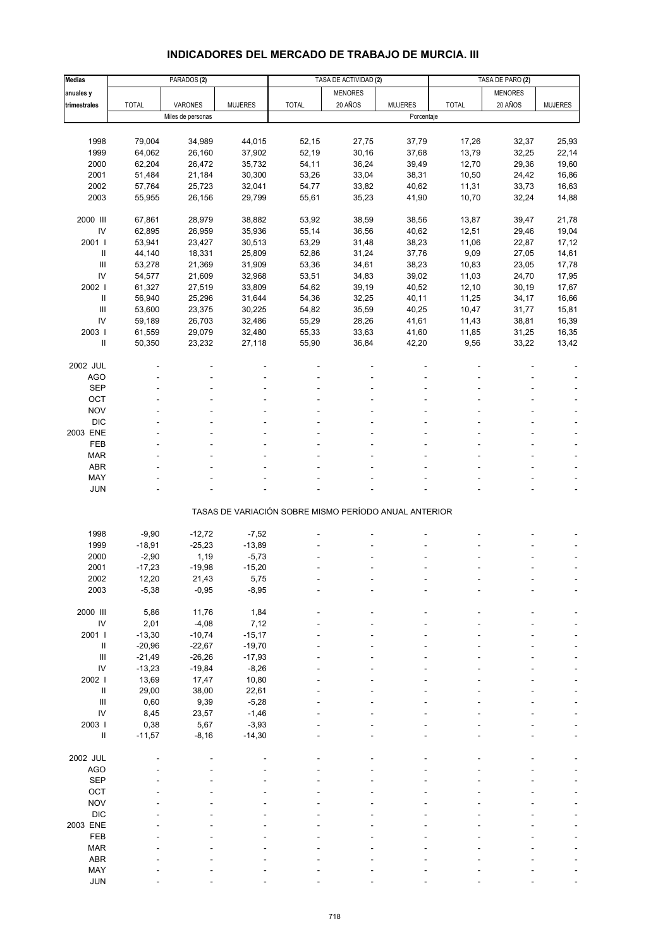# **INDICADORES DEL MERCADO DE TRABAJO DE MURCIA. III**

| Medias                             |              | PARADOS <sub>(2)</sub> |                |                                                       | TASA DE ACTIVIDAD (2) |                | TASA DE PARO (2) |                |                |
|------------------------------------|--------------|------------------------|----------------|-------------------------------------------------------|-----------------------|----------------|------------------|----------------|----------------|
| anuales y                          |              |                        |                |                                                       | <b>MENORES</b>        |                |                  | <b>MENORES</b> |                |
| trimestrales                       | <b>TOTAL</b> | VARONES                | <b>MUJERES</b> | <b>TOTAL</b>                                          | 20 AÑOS               | <b>MUJERES</b> | <b>TOTAL</b>     | 20 AÑOS        | <b>MUJERES</b> |
|                                    |              | Miles de personas      |                |                                                       |                       | Porcentaje     |                  |                |                |
|                                    |              |                        |                |                                                       |                       |                |                  |                |                |
| 1998                               | 79,004       | 34,989                 | 44,015         | 52,15                                                 | 27,75                 | 37,79          | 17,26            | 32,37          | 25,93          |
| 1999                               | 64,062       | 26,160                 | 37,902         | 52,19                                                 | 30, 16                | 37,68          | 13,79            | 32,25          | 22,14          |
| 2000                               | 62,204       | 26,472                 | 35,732         | 54,11                                                 | 36,24                 | 39,49          | 12,70            | 29,36          | 19,60          |
| 2001                               | 51,484       | 21,184                 | 30,300         | 53,26                                                 | 33,04                 | 38,31          | 10,50            | 24,42          | 16,86          |
| 2002                               | 57,764       | 25,723                 | 32,041         | 54,77                                                 | 33,82                 | 40,62          | 11,31            | 33,73          | 16,63          |
| 2003                               | 55,955       | 26,156                 | 29,799         | 55,61                                                 | 35,23                 | 41,90          | 10,70            | 32,24          | 14,88          |
|                                    |              |                        |                |                                                       |                       |                |                  |                |                |
| 2000 III                           | 67,861       | 28,979                 | 38,882         | 53,92                                                 | 38,59                 | 38,56          | 13,87            | 39,47          | 21,78          |
| IV                                 | 62,895       | 26,959                 | 35,936         | 55,14                                                 | 36,56                 | 40,62          | 12,51            | 29,46          | 19,04          |
| 2001 l                             | 53,941       | 23,427                 | 30,513         | 53,29                                                 | 31,48                 | 38,23          | 11,06            | 22,87          | 17,12          |
| $\sf II$                           | 44,140       | 18,331                 | 25,809         | 52,86                                                 | 31,24                 | 37,76          | 9,09             | 27,05          | 14,61          |
| $\mathbf{III}$                     | 53,278       | 21,369                 | 31,909         | 53,36                                                 | 34,61                 | 38,23          | 10,83            | 23,05          | 17,78          |
| IV                                 | 54,577       | 21,609                 | 32,968         | 53,51                                                 | 34,83                 | 39,02          | 11,03            | 24,70          | 17,95          |
|                                    |              |                        |                |                                                       |                       |                |                  |                |                |
| 2002 l                             | 61,327       | 27,519                 | 33,809         | 54,62                                                 | 39,19<br>32,25        | 40,52          | 12,10            | 30, 19         | 17,67          |
| $\,$ II                            | 56,940       | 25,296                 | 31,644         | 54,36                                                 |                       | 40,11          | 11,25            | 34,17          | 16,66          |
| $\mathbf{III}$                     | 53,600       | 23,375                 | 30,225         | 54,82                                                 | 35,59                 | 40,25          | 10,47            | 31,77          | 15,81          |
| IV                                 | 59,189       | 26,703                 | 32,486         | 55,29                                                 | 28,26                 | 41,61          | 11,43            | 38,81          | 16,39          |
| 2003                               | 61,559       | 29,079                 | 32,480         | 55,33                                                 | 33,63                 | 41,60          | 11,85            | 31,25          | 16,35          |
| $\sf II$                           | 50,350       | 23,232                 | 27,118         | 55,90                                                 | 36,84                 | 42,20          | 9,56             | 33,22          | 13,42          |
|                                    |              |                        |                |                                                       |                       |                |                  |                |                |
| 2002 JUL                           |              |                        |                |                                                       |                       |                |                  |                |                |
| <b>AGO</b>                         |              |                        |                |                                                       |                       |                |                  |                |                |
| <b>SEP</b>                         |              |                        |                |                                                       |                       |                |                  |                |                |
| OCT                                |              |                        |                |                                                       |                       |                |                  |                |                |
| <b>NOV</b>                         |              |                        |                |                                                       |                       |                |                  |                |                |
| <b>DIC</b>                         |              |                        |                |                                                       |                       |                |                  |                |                |
| 2003 ENE                           |              |                        |                |                                                       |                       |                |                  |                |                |
| FEB                                |              |                        |                |                                                       |                       |                |                  |                |                |
| <b>MAR</b>                         |              |                        |                |                                                       |                       |                |                  |                |                |
| <b>ABR</b>                         |              |                        |                |                                                       |                       |                |                  |                |                |
| MAY                                |              |                        |                |                                                       |                       |                |                  |                |                |
| <b>JUN</b>                         |              |                        |                |                                                       |                       |                |                  |                |                |
|                                    |              |                        |                | TASAS DE VARIACIÓN SOBRE MISMO PERÍODO ANUAL ANTERIOR |                       |                |                  |                |                |
|                                    |              |                        |                |                                                       |                       |                |                  |                |                |
| 1998                               | $-9,90$      | $-12,72$               | $-7,52$        |                                                       |                       |                |                  |                |                |
| 1999                               | $-18,91$     | $-25,23$               | $-13,89$       |                                                       |                       |                |                  |                |                |
| 2000                               | $-2,90$      | 1,19                   | $-5,73$        |                                                       |                       |                |                  |                |                |
| 2001                               | $-17,23$     | $-19,98$               | $-15,20$       |                                                       |                       |                |                  |                |                |
| 2002                               | 12,20        | 21,43                  | 5,75           |                                                       |                       |                |                  |                |                |
| 2003                               | $-5,38$      | $-0,95$                | $-8,95$        |                                                       |                       |                |                  |                |                |
|                                    |              |                        |                |                                                       |                       |                |                  |                |                |
| 2000 III                           | 5,86         | 11,76                  | 1,84           |                                                       |                       |                |                  |                |                |
| $\mathsf{IV}$                      | 2,01         | $-4,08$                | 7,12           |                                                       |                       |                |                  |                |                |
| 2001 l                             | $-13,30$     | $-10,74$               | $-15,17$       |                                                       |                       |                |                  |                |                |
| $\, \parallel$                     | $-20,96$     | $-22,67$               | $-19,70$       |                                                       |                       |                |                  |                |                |
| $\ensuremath{\mathsf{III}}\xspace$ | $-21,49$     | $-26,26$               | $-17,93$       |                                                       |                       |                |                  |                |                |
| IV                                 | $-13,23$     | $-19,84$               | $-8,26$        |                                                       |                       |                |                  |                |                |
| 2002                               | 13,69        | 17,47                  | 10,80          |                                                       |                       |                |                  |                |                |
| $\ensuremath{\mathsf{II}}$         | 29,00        | 38,00                  | 22,61          |                                                       |                       |                |                  |                |                |
| $\mathbf{III}$                     | 0,60         | 9,39                   | $-5,28$        |                                                       |                       |                |                  |                |                |
| IV                                 | 8,45         | 23,57                  | $-1,46$        |                                                       |                       |                |                  |                |                |
| 2003                               | 0,38         | 5,67                   | $-3,93$        |                                                       |                       |                |                  |                |                |
| Ш                                  | $-11,57$     | $-8,16$                | $-14,30$       |                                                       |                       |                |                  |                |                |
|                                    |              |                        |                |                                                       |                       |                |                  |                |                |
| 2002 JUL                           |              |                        |                |                                                       |                       |                |                  |                |                |
| <b>AGO</b>                         |              |                        |                |                                                       |                       |                |                  |                |                |
| <b>SEP</b>                         |              |                        |                |                                                       |                       |                |                  |                |                |
| OCT                                |              |                        |                |                                                       |                       |                |                  |                |                |
| <b>NOV</b>                         |              |                        |                |                                                       |                       |                |                  |                |                |
| <b>DIC</b>                         |              |                        |                |                                                       |                       |                |                  |                |                |
| 2003 ENE                           |              |                        |                |                                                       |                       |                |                  |                |                |
| FEB                                |              |                        |                |                                                       |                       |                |                  |                |                |
| <b>MAR</b>                         |              |                        |                |                                                       |                       |                |                  |                |                |
| <b>ABR</b>                         |              |                        |                |                                                       |                       |                |                  |                |                |
| MAY                                |              |                        |                |                                                       |                       |                |                  |                |                |
| <b>JUN</b>                         |              |                        |                |                                                       |                       |                |                  |                |                |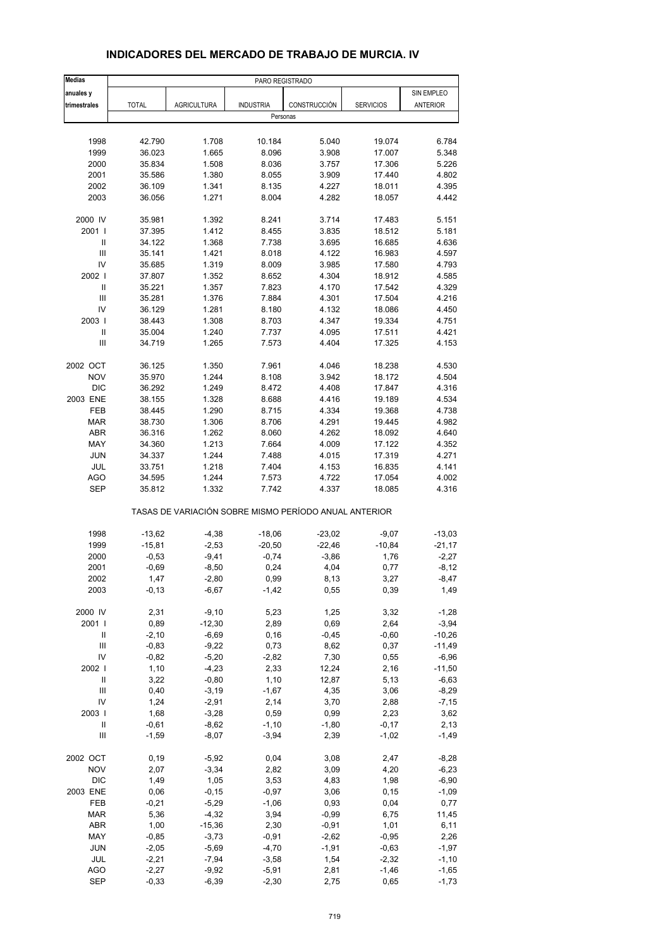| Medias                     | PARO REGISTRADO    |                                                       |                    |                 |                    |                 |
|----------------------------|--------------------|-------------------------------------------------------|--------------------|-----------------|--------------------|-----------------|
| anuales y                  |                    |                                                       |                    |                 |                    | SIN EMPLEO      |
| trimestrales               | <b>TOTAL</b>       | <b>AGRICULTURA</b>                                    | <b>INDUSTRIA</b>   | CONSTRUCCIÓN    | <b>SERVICIOS</b>   | <b>ANTERIOR</b> |
|                            |                    |                                                       | Personas           |                 |                    |                 |
|                            |                    |                                                       |                    |                 |                    |                 |
| 1998                       | 42.790             | 1.708                                                 | 10.184             | 5.040           | 19.074             | 6.784           |
| 1999                       | 36.023             | 1.665                                                 | 8.096              | 3.908           | 17.007             | 5.348           |
| 2000                       | 35.834<br>35.586   | 1.508                                                 | 8.036              | 3.757           | 17.306             | 5.226<br>4.802  |
| 2001<br>2002               | 36.109             | 1.380<br>1.341                                        | 8.055<br>8.135     | 3.909<br>4.227  | 17.440<br>18.011   | 4.395           |
| 2003                       | 36.056             | 1.271                                                 | 8.004              | 4.282           | 18.057             | 4.442           |
|                            |                    |                                                       |                    |                 |                    |                 |
| 2000 IV                    | 35.981             | 1.392                                                 | 8.241              | 3.714           | 17.483             | 5.151           |
| 2001 l                     | 37.395             | 1.412                                                 | 8.455              | 3.835           | 18.512             | 5.181           |
| $\mathbf{I}$               | 34.122             | 1.368                                                 | 7.738              | 3.695           | 16.685             | 4.636           |
| $\mathbf{III}$             | 35.141             | 1.421                                                 | 8.018              | 4.122           | 16.983             | 4.597           |
| IV                         | 35.685             | 1.319                                                 | 8.009              | 3.985           | 17.580             | 4.793           |
| 2002                       | 37.807             | 1.352                                                 | 8.652              | 4.304           | 18.912             | 4.585           |
| $\ensuremath{\mathsf{II}}$ | 35.221             | 1.357                                                 | 7.823              | 4.170           | 17.542             | 4.329           |
| Ш                          | 35.281             | 1.376                                                 | 7.884              | 4.301           | 17.504             | 4.216           |
| IV                         | 36.129             | 1.281                                                 | 8.180              | 4.132           | 18.086             | 4.450           |
| 2003                       | 38.443             | 1.308                                                 | 8.703              | 4.347           | 19.334             | 4.751           |
| $\mathbf{I}$               | 35.004             | 1.240                                                 | 7.737              | 4.095           | 17.511             | 4.421           |
| Ш                          | 34.719             | 1.265                                                 | 7.573              | 4.404           | 17.325             | 4.153           |
| 2002 OCT                   | 36.125             | 1.350                                                 | 7.961              | 4.046           | 18.238             | 4.530           |
| <b>NOV</b>                 | 35.970             | 1.244                                                 | 8.108              | 3.942           | 18.172             | 4.504           |
| <b>DIC</b>                 | 36.292             | 1.249                                                 | 8.472              | 4.408           | 17.847             | 4.316           |
| 2003 ENE                   | 38.155             | 1.328                                                 | 8.688              | 4.416           | 19.189             | 4.534           |
| <b>FEB</b>                 | 38.445             | 1.290                                                 | 8.715              | 4.334           | 19.368             | 4.738           |
| <b>MAR</b>                 | 38.730             | 1.306                                                 | 8.706              | 4.291           | 19.445             | 4.982           |
| <b>ABR</b>                 | 36.316             | 1.262                                                 | 8.060              | 4.262           | 18.092             | 4.640           |
| MAY                        | 34.360             | 1.213                                                 | 7.664              | 4.009           | 17.122             | 4.352           |
| <b>JUN</b>                 | 34.337             | 1.244                                                 | 7.488              | 4.015           | 17.319             | 4.271           |
| <b>JUL</b>                 | 33.751             | 1.218                                                 | 7.404              | 4.153           | 16.835             | 4.141           |
| <b>AGO</b>                 | 34.595             | 1.244                                                 | 7.573              | 4.722           | 17.054             | 4.002           |
| <b>SEP</b>                 | 35.812             | 1.332                                                 | 7.742              | 4.337           | 18.085             | 4.316           |
|                            |                    | TASAS DE VARIACIÓN SOBRE MISMO PERÍODO ANUAL ANTERIOR |                    |                 |                    |                 |
| 1998                       | $-13,62$           | $-4,38$                                               | $-18,06$           | $-23,02$        | $-9,07$            | $-13,03$        |
| 1999                       | $-15,81$           | $-2,53$                                               | $-20,50$           | $-22,46$        | $-10,84$           | $-21,17$        |
| 2000                       | $-0.53$            | $-9,41$                                               | $-0,74$            | $-3,86$         | 1,76               | $-2,27$         |
| 2001                       | $-0,69$            | $-8,50$                                               | 0,24               | 4,04            | 0,77               | $-8,12$         |
| 2002                       | 1,47               | $-2,80$                                               | 0,99               | 8,13            | 3,27               | $-8,47$         |
| 2003                       | $-0, 13$           | $-6,67$                                               | $-1,42$            | 0,55            | 0,39               | 1,49            |
|                            |                    |                                                       |                    |                 |                    |                 |
| 2000 IV                    | 2,31               | $-9,10$                                               | 5,23               | 1,25            | 3,32               | $-1,28$         |
| 2001 l                     | 0,89               | $-12,30$                                              | 2,89               | 0,69            | 2,64               | $-3,94$         |
| Ш                          | $-2,10$            | $-6,69$                                               | 0, 16              | $-0,45$         | $-0,60$            | $-10,26$        |
| Ш<br>IV                    | $-0,83$            | $-9,22$                                               | 0,73               | 8,62            | 0,37               | $-11,49$        |
| 2002                       | $-0,82$            | $-5,20$                                               | $-2,82$            | 7,30            | 0,55               | $-6,96$         |
| $\ensuremath{\mathsf{II}}$ | 1,10               | $-4,23$                                               | 2,33               | 12,24           | 2,16               | $-11,50$        |
| $\mathsf{III}$             | 3,22               | $-0,80$                                               | 1,10               | 12,87           | 5,13               | $-6,63$         |
|                            | 0,40               | $-3,19$                                               | $-1,67$            | 4,35            | 3,06               | $-8,29$         |
| IV                         | 1,24               | $-2,91$                                               | 2,14               | 3,70            | 2,88               | $-7,15$         |
| 2003                       | 1,68               | $-3,28$                                               | 0,59               | 0,99            | 2,23               | 3,62            |
| Ш<br>Ш                     | $-0,61$<br>$-1,59$ | $-8,62$<br>$-8,07$                                    | $-1,10$<br>$-3,94$ | $-1,80$<br>2,39 | $-0,17$<br>$-1,02$ | 2,13<br>$-1,49$ |
|                            |                    |                                                       |                    |                 |                    |                 |
| 2002 OCT                   | 0, 19              | $-5,92$                                               | 0,04               | 3,08            | 2,47               | $-8,28$         |
| <b>NOV</b>                 | 2,07               | $-3,34$                                               | 2,82               | 3,09            | 4,20               | $-6,23$         |
| <b>DIC</b>                 | 1,49               | 1,05                                                  | 3,53               | 4,83            | 1,98               | $-6,90$         |
| 2003 ENE                   | 0,06               | $-0,15$                                               | $-0,97$            | 3,06            | 0, 15              | $-1,09$         |
| FEB                        | $-0,21$            | $-5,29$                                               | $-1,06$            | 0,93            | 0,04               | 0,77            |
| <b>MAR</b>                 | 5,36               | $-4,32$                                               | 3,94               | -0,99           | 6,75               | 11,45           |
| ABR                        | 1,00               | $-15,36$                                              | 2,30               | $-0,91$         | 1,01               | 6,11            |
| MAY                        | $-0,85$            | $-3,73$                                               | $-0,91$            | $-2,62$         | $-0,95$            | 2,26            |
| <b>JUN</b>                 | $-2,05$            | $-5,69$                                               | $-4,70$            | $-1,91$         | $-0,63$            | $-1,97$         |
| JUL                        | $-2,21$            | $-7,94$                                               | $-3,58$            | 1,54            | $-2,32$            | $-1,10$         |
| <b>AGO</b>                 | $-2,27$            | $-9,92$                                               | $-5,91$            | 2,81            | $-1,46$            | $-1,65$         |
| <b>SEP</b>                 | $-0,33$            | $-6,39$                                               | $-2,30$            | 2,75            | 0,65               | $-1,73$         |

### **INDICADORES DEL MERCADO DE TRABAJO DE MURCIA. IV**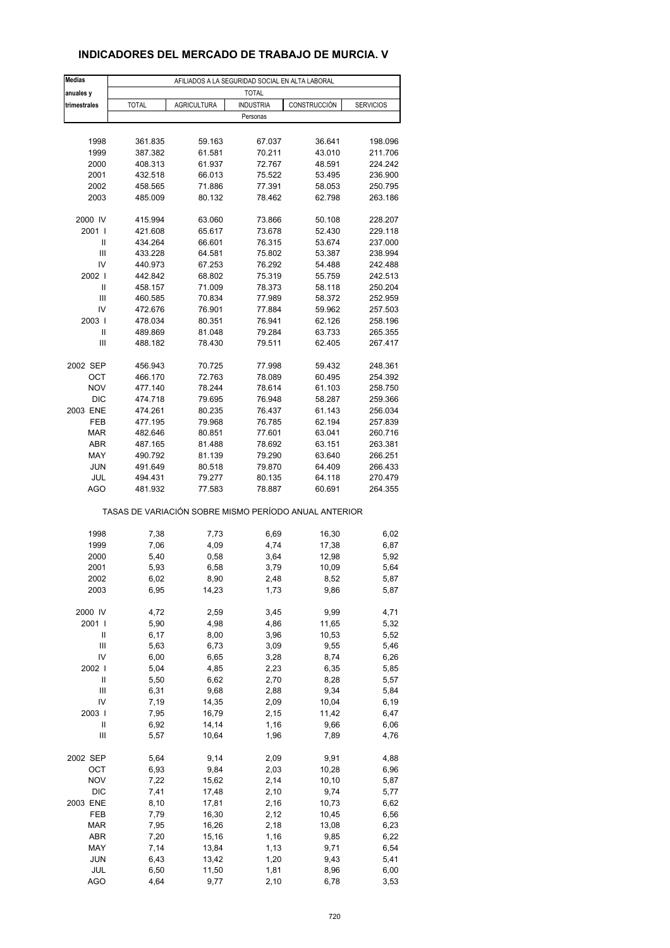### **INDICADORES DEL MERCADO DE TRABAJO DE MURCIA. V**

| <b>Medias</b>     |                                                       |                    | AFILIADOS A LA SEGURIDAD SOCIAL EN ALTA LABORAL |                  |                    |
|-------------------|-------------------------------------------------------|--------------------|-------------------------------------------------|------------------|--------------------|
| anuales y         |                                                       |                    | <b>TOTAL</b>                                    |                  |                    |
| trimestrales      | <b>TOTAL</b>                                          | <b>AGRICULTURA</b> | <b>INDUSTRIA</b>                                | CONSTRUCCIÓN     | <b>SERVICIOS</b>   |
|                   |                                                       |                    | Personas                                        |                  |                    |
|                   |                                                       |                    |                                                 |                  |                    |
| 1998              | 361.835                                               | 59.163             | 67.037                                          | 36.641           | 198.096            |
| 1999              | 387.382                                               | 61.581             | 70.211                                          | 43.010           | 211.706            |
| 2000              | 408.313                                               | 61.937             | 72.767                                          | 48.591           | 224.242            |
| 2001              | 432.518                                               | 66.013             | 75.522                                          | 53.495           | 236.900            |
| 2002              | 458.565                                               | 71.886             | 77.391                                          | 58.053           | 250.795            |
| 2003              | 485.009                                               | 80.132             | 78.462                                          | 62.798           | 263.186            |
|                   |                                                       |                    |                                                 |                  |                    |
| 2000 IV<br>2001 l | 415.994                                               | 63.060             | 73.866                                          | 50.108           | 228.207            |
| Ш                 | 421.608<br>434.264                                    | 65.617<br>66.601   | 73.678<br>76.315                                | 52.430<br>53.674 | 229.118<br>237.000 |
| Ш                 | 433.228                                               | 64.581             | 75.802                                          | 53.387           | 238.994            |
| IV                | 440.973                                               | 67.253             | 76.292                                          | 54.488           | 242.488            |
| 2002              | 442.842                                               | 68.802             | 75.319                                          | 55.759           | 242.513            |
| Ш                 | 458.157                                               | 71.009             | 78.373                                          | 58.118           | 250.204            |
| Ш                 | 460.585                                               | 70.834             | 77.989                                          | 58.372           | 252.959            |
| IV                | 472.676                                               | 76.901             | 77.884                                          | 59.962           | 257.503            |
| 2003              | 478.034                                               | 80.351             | 76.941                                          | 62.126           | 258.196            |
| Ш                 | 489.869                                               | 81.048             | 79.284                                          | 63.733           | 265.355            |
| Ш                 | 488.182                                               | 78.430             | 79.511                                          | 62.405           | 267.417            |
|                   |                                                       |                    |                                                 |                  |                    |
| 2002 SEP          | 456.943                                               | 70.725             | 77.998                                          | 59.432           | 248.361            |
| <b>OCT</b>        | 466.170                                               | 72.763             | 78.089                                          | 60.495           | 254.392            |
| <b>NOV</b>        | 477.140                                               | 78.244             | 78.614                                          | 61.103           | 258.750            |
| <b>DIC</b>        | 474.718                                               | 79.695             | 76.948                                          | 58.287           | 259.366            |
| 2003 ENE<br>FEB   | 474.261<br>477.195                                    | 80.235<br>79.968   | 76.437<br>76.785                                | 61.143<br>62.194 | 256.034<br>257.839 |
| <b>MAR</b>        | 482.646                                               | 80.851             | 77.601                                          | 63.041           | 260.716            |
| ABR               | 487.165                                               | 81.488             | 78.692                                          | 63.151           | 263.381            |
| MAY               | 490.792                                               | 81.139             | 79.290                                          | 63.640           | 266.251            |
| <b>JUN</b>        | 491.649                                               | 80.518             | 79.870                                          | 64.409           | 266.433            |
| JUL               | 494.431                                               | 79.277             | 80.135                                          | 64.118           | 270.479            |
| <b>AGO</b>        | 481.932                                               | 77.583             | 78.887                                          | 60.691           | 264.355            |
|                   | TASAS DE VARIACIÓN SOBRE MISMO PERÍODO ANUAL ANTERIOR |                    |                                                 |                  |                    |
|                   |                                                       |                    |                                                 |                  |                    |
| 1998<br>1999      | 7,38<br>7,06                                          | 7,73               | 6,69<br>4,74                                    | 16,30<br>17,38   | 6,02<br>6,87       |
| 2000              | 5,40                                                  | 4,09<br>0,58       | 3,64                                            | 12,98            | 5,92               |
| 2001              | 5,93                                                  | 6,58               | 3,79                                            | 10,09            | 5,64               |
| 2002              | 6,02                                                  | 8,90               | 2,48                                            | 8,52             | 5,87               |
| 2003              | 6,95                                                  | 14,23              | 1,73                                            | 9,86             | 5,87               |
|                   |                                                       |                    |                                                 |                  |                    |
| 2000 IV           | 4,72                                                  | 2,59               | 3,45                                            | 9,99             | 4,71               |
| 2001 l            | 5,90                                                  | 4,98               | 4,86                                            | 11,65            | 5,32               |
| Ш                 | 6,17                                                  | 8,00               | 3,96                                            | 10,53            | 5,52               |
| Ш                 | 5,63                                                  | 6,73               | 3,09                                            | 9,55             | 5,46               |
| IV                | 6,00                                                  | 6,65               | 3,28                                            | 8,74             | 6,26               |
| 2002              | 5,04                                                  | 4,85               | 2,23                                            | 6,35             | 5,85               |
| Ш                 | 5,50                                                  | 6,62               | 2,70                                            | 8,28             | 5,57               |
| Ш<br>IV           | 6,31                                                  | 9,68               | 2,88                                            | 9,34             | 5,84               |
| 2003              | 7,19<br>7,95                                          | 14,35<br>16,79     | 2,09<br>2,15                                    | 10,04<br>11,42   | 6,19<br>6,47       |
| Ш                 | 6,92                                                  | 14,14              | 1,16                                            | 9,66             | 6,06               |
| Ш                 | 5,57                                                  | 10,64              | 1,96                                            | 7,89             | 4,76               |
|                   |                                                       |                    |                                                 |                  |                    |
| 2002 SEP          | 5,64                                                  | 9,14               | 2,09                                            | 9,91             | 4,88               |
| OCT               | 6,93                                                  | 9,84               | 2,03                                            | 10,28            | 6,96               |
| <b>NOV</b>        | 7,22                                                  | 15,62              | 2,14                                            | 10, 10           | 5,87               |
| <b>DIC</b>        | 7,41                                                  | 17,48              | 2,10                                            | 9,74             | 5,77               |
| 2003 ENE          | 8,10                                                  | 17,81              | 2,16                                            | 10,73            | 6,62               |
| FEB               | 7,79                                                  | 16,30              | 2,12                                            | 10,45            | 6,56               |
| MAR               | 7,95                                                  | 16,26              | 2,18                                            | 13,08            | 6,23               |
| ABR               | 7,20                                                  | 15,16              | 1,16                                            | 9,85             | 6,22               |
| MAY               | 7,14                                                  | 13,84              | 1,13                                            | 9,71             | 6,54               |
| <b>JUN</b>        | 6,43                                                  | 13,42              | 1,20                                            | 9,43             | 5,41               |
| JUL               | 6,50                                                  | 11,50              | 1,81                                            | 8,96             | 6,00               |
| <b>AGO</b>        | 4,64                                                  | 9,77               | 2,10                                            | 6,78             | 3,53               |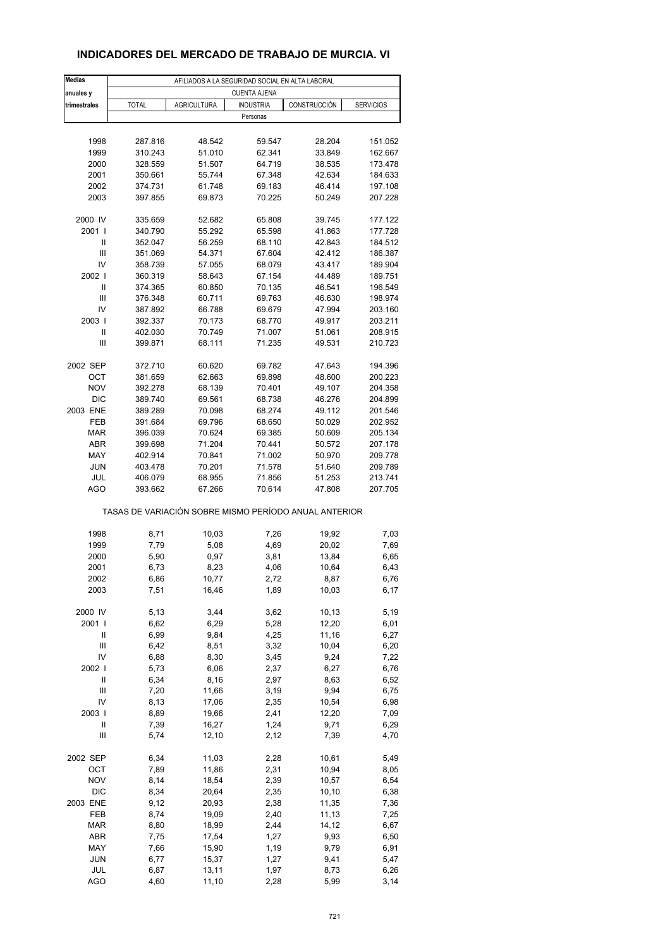### **INDICADORES DEL MERCADO DE TRABAJO DE MURCIA. VI**

| <b>Medias</b>              |                                                       |                    | AFILIADOS A LA SEGURIDAD SOCIAL EN ALTA LABORAL |              |                  |
|----------------------------|-------------------------------------------------------|--------------------|-------------------------------------------------|--------------|------------------|
| anuales y                  |                                                       |                    | <b>CUENTA AJENA</b>                             |              |                  |
| trimestrales               | <b>TOTAL</b>                                          | <b>AGRICULTURA</b> | <b>INDUSTRIA</b>                                | CONSTRUCCIÓN | <b>SERVICIOS</b> |
|                            |                                                       |                    | Personas                                        |              |                  |
|                            |                                                       |                    |                                                 |              |                  |
| 1998                       | 287.816                                               | 48.542             | 59.547                                          | 28.204       | 151.052          |
| 1999                       | 310.243                                               | 51.010             | 62.341                                          | 33.849       | 162.667          |
| 2000                       | 328.559                                               | 51.507             | 64.719                                          | 38.535       | 173.478          |
| 2001                       | 350.661                                               | 55.744             | 67.348                                          | 42.634       | 184.633          |
| 2002                       | 374.731                                               | 61.748             | 69.183                                          | 46.414       | 197.108          |
| 2003                       | 397.855                                               | 69.873             | 70.225                                          | 50.249       | 207.228          |
| 2000 IV                    | 335.659                                               | 52.682             | 65.808                                          | 39.745       | 177.122          |
| 2001 l                     | 340.790                                               | 55.292             | 65.598                                          | 41.863       | 177.728          |
| Ш                          | 352.047                                               | 56.259             | 68.110                                          | 42.843       | 184.512          |
| Ш                          | 351.069                                               | 54.371             | 67.604                                          | 42.412       | 186.387          |
| IV                         | 358.739                                               | 57.055             | 68.079                                          | 43.417       | 189.904          |
| 2002 l                     | 360.319                                               | 58.643             | 67.154                                          | 44.489       | 189.751          |
| Ш                          | 374.365                                               | 60.850             | 70.135                                          | 46.541       | 196.549          |
| Ш                          | 376.348                                               | 60.711             | 69.763                                          | 46.630       | 198.974          |
| IV                         | 387.892                                               | 66.788             | 69.679                                          | 47.994       | 203.160          |
| 2003                       | 392.337                                               | 70.173             | 68.770                                          | 49.917       | 203.211          |
| Ш                          | 402.030                                               | 70.749             | 71.007                                          | 51.061       | 208.915          |
| Ш                          | 399.871                                               | 68.111             | 71.235                                          | 49.531       | 210.723          |
| 2002 SEP                   | 372.710                                               | 60.620             | 69.782                                          | 47.643       | 194.396          |
| OCT                        | 381.659                                               | 62.663             | 69.898                                          | 48.600       | 200.223          |
| <b>NOV</b>                 | 392.278                                               | 68.139             | 70.401                                          | 49.107       | 204.358          |
| <b>DIC</b>                 | 389.740                                               | 69.561             | 68.738                                          | 46.276       | 204.899          |
| 2003 ENE                   | 389.289                                               | 70.098             | 68.274                                          | 49.112       | 201.546          |
| FEB                        | 391.684                                               | 69.796             | 68.650                                          | 50.029       | 202.952          |
| <b>MAR</b>                 | 396.039                                               | 70.624             | 69.385                                          | 50.609       | 205.134          |
| <b>ABR</b>                 | 399.698                                               | 71.204             | 70.441                                          | 50.572       | 207.178          |
| MAY                        | 402.914                                               | 70.841             | 71.002                                          | 50.970       | 209.778          |
| <b>JUN</b>                 | 403.478                                               | 70.201             | 71.578                                          | 51.640       | 209.789          |
| JUL                        | 406.079                                               | 68.955             | 71.856                                          | 51.253       | 213.741          |
| AGO                        | 393.662                                               | 67.266             | 70.614                                          | 47.808       | 207.705          |
|                            | TASAS DE VARIACIÓN SOBRE MISMO PERÍODO ANUAL ANTERIOR |                    |                                                 |              |                  |
| 1998                       | 8,71                                                  | 10,03              | 7,26                                            | 19,92        | 7,03             |
| 1999                       | 7,79                                                  | 5,08               | 4,69                                            | 20,02        | 7,69             |
| 2000                       | 5,90                                                  | 0,97               | 3,81                                            | 13,84        | 6,65             |
| 2001                       | 6,73                                                  | 8,23               | 4,06                                            | 10,64        | 6,43             |
| 2002                       | 6,86                                                  | 10,77              | 2,72                                            | 8,87         | 6,76             |
| 2003                       | 7,51                                                  | 16,46              | 1,89                                            | 10,03        | 6,17             |
| 2000 IV                    | 5,13                                                  | 3,44               | 3,62                                            | 10,13        | 5,19             |
| 2001 l                     | 6,62                                                  | 6,29               | 5,28                                            | 12,20        |                  |
| Ш                          | 6,99                                                  | 9,84               | 4,25                                            | 11,16        | 6,01<br>6,27     |
| Ш                          | 6,42                                                  | 8,51               | 3,32                                            | 10,04        | 6,20             |
| IV                         | 6,88                                                  | 8,30               | 3,45                                            | 9,24         | 7,22             |
| 2002                       | 5,73                                                  | 6,06               | 2,37                                            | 6,27         | 6,76             |
| $\ensuremath{\mathsf{II}}$ | 6,34                                                  | 8,16               | 2,97                                            | 8,63         | 6,52             |
| Ш                          | 7,20                                                  | 11,66              | 3,19                                            | 9,94         | 6,75             |
| IV                         | 8,13                                                  | 17,06              | 2,35                                            | 10,54        | 6,98             |
| 2003                       | 8,89                                                  | 19,66              | 2,41                                            | 12,20        | 7,09             |
| Ш                          | 7,39                                                  | 16,27              | 1,24                                            | 9,71         | 6,29             |
| Ш                          | 5,74                                                  | 12,10              | 2,12                                            | 7,39         | 4,70             |
| 2002 SEP                   | 6,34                                                  | 11,03              | 2,28                                            | 10,61        | 5,49             |
| OCT                        | 7,89                                                  | 11,86              | 2,31                                            | 10,94        | 8,05             |
| <b>NOV</b>                 | 8,14                                                  |                    | 2,39                                            | 10,57        |                  |
| <b>DIC</b>                 | 8,34                                                  | 18,54<br>20,64     | 2,35                                            | 10,10        | 6,54<br>6,38     |
| 2003 ENE                   | 9,12                                                  | 20,93              | 2,38                                            | 11,35        | 7,36             |
| FEB                        | 8,74                                                  | 19,09              | 2,40                                            | 11,13        | 7,25             |
| <b>MAR</b>                 | 8,80                                                  | 18,99              | 2,44                                            | 14,12        | 6,67             |
| ABR                        | 7,75                                                  | 17,54              | 1,27                                            | 9,93         | 6,50             |
| MAY                        | 7,66                                                  | 15,90              | 1,19                                            | 9,79         | 6,91             |
| <b>JUN</b>                 | 6,77                                                  | 15,37              | 1,27                                            | 9,41         | 5,47             |
| JUL                        | 6,87                                                  | 13,11              | 1,97                                            | 8,73         | 6,26             |
| <b>AGO</b>                 | 4,60                                                  | 11,10              | 2,28                                            | 5,99         | 3,14             |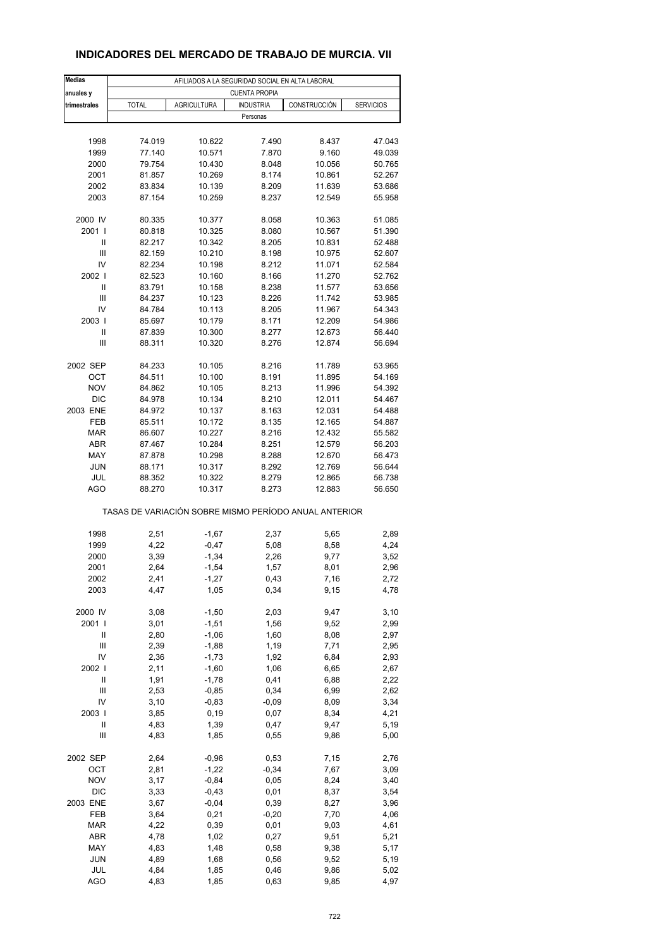### **INDICADORES DEL MERCADO DE TRABAJO DE MURCIA. VII**

| <b>Medias</b>                           | AFILIADOS A LA SEGURIDAD SOCIAL EN ALTA LABORAL |                    |                      |                                                       |                  |  |  |  |  |
|-----------------------------------------|-------------------------------------------------|--------------------|----------------------|-------------------------------------------------------|------------------|--|--|--|--|
| anuales y                               |                                                 |                    | <b>CUENTA PROPIA</b> |                                                       |                  |  |  |  |  |
| trimestrales                            | <b>TOTAL</b>                                    | <b>AGRICULTURA</b> | <b>INDUSTRIA</b>     | CONSTRUCCIÓN                                          | <b>SERVICIOS</b> |  |  |  |  |
|                                         |                                                 |                    | Personas             |                                                       |                  |  |  |  |  |
|                                         |                                                 |                    |                      |                                                       |                  |  |  |  |  |
| 1998                                    | 74.019                                          | 10.622             | 7.490                | 8.437                                                 | 47.043           |  |  |  |  |
| 1999                                    | 77.140                                          | 10.571             | 7.870                | 9.160                                                 | 49.039           |  |  |  |  |
| 2000<br>2001                            | 79.754<br>81.857                                | 10.430<br>10.269   | 8.048<br>8.174       | 10.056<br>10.861                                      | 50.765<br>52.267 |  |  |  |  |
| 2002                                    | 83.834                                          | 10.139             | 8.209                | 11.639                                                | 53.686           |  |  |  |  |
| 2003                                    | 87.154                                          | 10.259             | 8.237                | 12.549                                                | 55.958           |  |  |  |  |
|                                         |                                                 |                    |                      |                                                       |                  |  |  |  |  |
| 2000 IV                                 | 80.335                                          | 10.377             | 8.058                | 10.363                                                | 51.085           |  |  |  |  |
| 2001 l                                  | 80.818                                          | 10.325             | 8.080                | 10.567                                                | 51.390           |  |  |  |  |
| $\mathsf{I}$                            | 82.217                                          | 10.342             | 8.205                | 10.831                                                | 52.488           |  |  |  |  |
| $\mathsf{III}$                          | 82.159                                          | 10.210             | 8.198                | 10.975                                                | 52.607           |  |  |  |  |
| IV                                      | 82.234                                          | 10.198             | 8.212                | 11.071                                                | 52.584           |  |  |  |  |
| 2002  <br>Ш                             | 82.523                                          | 10.160             | 8.166                | 11.270                                                | 52.762           |  |  |  |  |
| Ш                                       | 83.791<br>84.237                                | 10.158<br>10.123   | 8.238<br>8.226       | 11.577<br>11.742                                      | 53.656<br>53.985 |  |  |  |  |
| IV                                      | 84.784                                          | 10.113             | 8.205                | 11.967                                                | 54.343           |  |  |  |  |
| 2003                                    | 85.697                                          | 10.179             | 8.171                | 12.209                                                | 54.986           |  |  |  |  |
| Ш                                       | 87.839                                          | 10.300             | 8.277                | 12.673                                                | 56.440           |  |  |  |  |
| Ш                                       | 88.311                                          | 10.320             | 8.276                | 12.874                                                | 56.694           |  |  |  |  |
|                                         |                                                 |                    |                      |                                                       |                  |  |  |  |  |
| 2002 SEP                                | 84.233                                          | 10.105             | 8.216                | 11.789                                                | 53.965           |  |  |  |  |
| OCT                                     | 84.511                                          | 10.100             | 8.191                | 11.895                                                | 54.169           |  |  |  |  |
| <b>NOV</b>                              | 84.862                                          | 10.105             | 8.213                | 11.996                                                | 54.392           |  |  |  |  |
| <b>DIC</b>                              | 84.978                                          | 10.134<br>10.137   | 8.210                | 12.011                                                | 54.467<br>54.488 |  |  |  |  |
| 2003 ENE<br>FEB                         | 84.972<br>85.511                                | 10.172             | 8.163<br>8.135       | 12.031<br>12.165                                      | 54.887           |  |  |  |  |
| <b>MAR</b>                              | 86.607                                          | 10.227             | 8.216                | 12.432                                                | 55.582           |  |  |  |  |
| <b>ABR</b>                              | 87.467                                          | 10.284             | 8.251                | 12.579                                                | 56.203           |  |  |  |  |
| MAY                                     | 87.878                                          | 10.298             | 8.288                | 12.670                                                | 56.473           |  |  |  |  |
| <b>JUN</b>                              | 88.171                                          | 10.317             | 8.292                | 12.769                                                | 56.644           |  |  |  |  |
| JUL                                     | 88.352                                          | 10.322             | 8.279                | 12.865                                                | 56.738           |  |  |  |  |
| AGO                                     | 88.270                                          | 10.317             | 8.273                | 12.883                                                | 56.650           |  |  |  |  |
|                                         |                                                 |                    |                      | TASAS DE VARIACIÓN SOBRE MISMO PERÍODO ANUAL ANTERIOR |                  |  |  |  |  |
| 1998                                    | 2,51                                            | $-1,67$            | 2,37                 | 5,65                                                  | 2,89             |  |  |  |  |
| 1999                                    | 4,22                                            | $-0,47$            | 5,08                 | 8,58                                                  | 4,24             |  |  |  |  |
| 2000                                    | 3,39                                            | $-1,34$            | 2,26                 | 9,77                                                  | 3,52             |  |  |  |  |
| 2001                                    | 2,64                                            | $-1,54$            | 1,57                 | 8,01                                                  | 2,96             |  |  |  |  |
| 2002                                    | 2,41                                            | -1,27              | 0,43                 | 7,16                                                  | 2,72             |  |  |  |  |
| 2003                                    | 4,47                                            | 1,05               | 0,34                 | 9,15                                                  | 4,78             |  |  |  |  |
|                                         |                                                 |                    |                      |                                                       |                  |  |  |  |  |
| 2000 IV                                 | 3,08                                            | $-1,50$            | 2,03                 | 9,47                                                  | 3,10             |  |  |  |  |
| 2001 l<br>Ш                             | 3,01<br>2,80                                    | $-1,51$<br>$-1,06$ | 1,56<br>1,60         | 9,52<br>8,08                                          | 2,99<br>2,97     |  |  |  |  |
| Ш                                       | 2,39                                            | $-1,88$            | 1,19                 | 7,71                                                  | 2,95             |  |  |  |  |
| IV                                      | 2,36                                            | $-1,73$            | 1,92                 | 6,84                                                  | 2,93             |  |  |  |  |
| 2002                                    | 2,11                                            | $-1,60$            | 1,06                 | 6,65                                                  | 2,67             |  |  |  |  |
| Ш                                       | 1,91                                            | $-1,78$            | 0,41                 | 6,88                                                  | 2,22             |  |  |  |  |
| Ш                                       | 2,53                                            | $-0,85$            | 0,34                 | 6,99                                                  | 2,62             |  |  |  |  |
| IV                                      | 3,10                                            | $-0,83$            | $-0,09$              | 8,09                                                  | 3,34             |  |  |  |  |
| 2003                                    | 3,85                                            | 0, 19              | 0,07                 | 8,34                                                  | 4,21             |  |  |  |  |
| Ш<br>$\ensuremath{\mathsf{III}}\xspace$ | 4,83                                            | 1,39               | 0,47                 | 9,47                                                  | 5,19             |  |  |  |  |
|                                         | 4,83                                            | 1,85               | 0,55                 | 9,86                                                  | 5,00             |  |  |  |  |
| 2002 SEP                                | 2,64                                            | $-0,96$            | 0,53                 | 7,15                                                  | 2,76             |  |  |  |  |
| OCT                                     | 2,81                                            | $-1,22$            | $-0,34$              | 7,67                                                  | 3,09             |  |  |  |  |
| <b>NOV</b>                              | 3,17                                            | $-0,84$            | 0,05                 | 8,24                                                  | 3,40             |  |  |  |  |
| DIC                                     | 3,33                                            | $-0,43$            | 0,01                 | 8,37                                                  | 3,54             |  |  |  |  |
| 2003 ENE                                | 3,67                                            | $-0,04$            | 0,39                 | 8,27                                                  | 3,96             |  |  |  |  |
| FEB<br><b>MAR</b>                       | 3,64<br>4,22                                    | 0,21<br>0,39       | $-0,20$<br>0,01      | 7,70<br>9,03                                          | 4,06<br>4,61     |  |  |  |  |
| ABR                                     | 4,78                                            | 1,02               | 0,27                 | 9,51                                                  | 5,21             |  |  |  |  |
| MAY                                     | 4,83                                            | 1,48               | 0,58                 | 9,38                                                  | 5,17             |  |  |  |  |
| <b>JUN</b>                              | 4,89                                            | 1,68               | 0,56                 | 9,52                                                  | 5,19             |  |  |  |  |
| JUL                                     | 4,84                                            | 1,85               | 0,46                 | 9,86                                                  | 5,02             |  |  |  |  |
| <b>AGO</b>                              | 4,83                                            | 1,85               | 0,63                 | 9,85                                                  | 4,97             |  |  |  |  |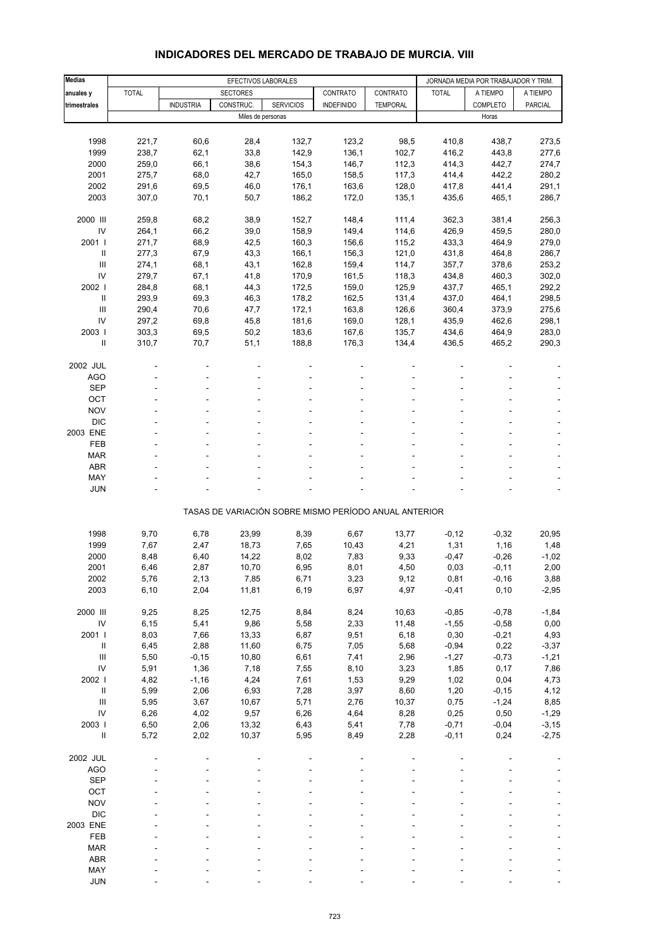| <b>Medias</b>                      | EFECTIVOS LABORALES |                  |                   |                  |                                                       |                 | JORNADA MEDIA POR TRABAJADOR Y TRIM. |          |                |
|------------------------------------|---------------------|------------------|-------------------|------------------|-------------------------------------------------------|-----------------|--------------------------------------|----------|----------------|
| anuales y                          | <b>TOTAL</b>        |                  | <b>SECTORES</b>   |                  | CONTRATO                                              | CONTRATO        | <b>TOTAL</b>                         | A TIEMPO | A TIEMPO       |
| trimestrales                       |                     | <b>INDUSTRIA</b> | CONSTRUC.         | <b>SERVICIOS</b> | <b>INDEFINIDO</b>                                     | <b>TEMPORAL</b> |                                      | COMPLETO | <b>PARCIAL</b> |
|                                    |                     |                  | Miles de personas |                  |                                                       |                 |                                      | Horas    |                |
|                                    |                     |                  |                   |                  |                                                       |                 |                                      |          |                |
|                                    |                     |                  |                   |                  |                                                       |                 |                                      |          |                |
| 1998                               | 221,7               | 60,6             | 28,4              | 132,7            | 123,2                                                 | 98,5            | 410,8                                | 438,7    | 273,5          |
| 1999                               | 238,7               | 62,1             | 33,8              | 142,9            | 136,1                                                 | 102,7           | 416,2                                | 443,8    | 277,6          |
| 2000                               | 259,0               | 66,1             | 38,6              | 154,3            | 146,7                                                 | 112,3           | 414,3                                | 442,7    | 274,7          |
| 2001                               | 275,7               | 68,0             | 42,7              | 165,0            | 158,5                                                 | 117,3           | 414,4                                | 442,2    | 280,2          |
| 2002                               | 291,6               | 69,5             | 46,0              | 176,1            | 163,6                                                 | 128,0           | 417,8                                | 441,4    | 291,1          |
| 2003                               | 307,0               | 70,1             | 50,7              | 186,2            | 172,0                                                 | 135,1           | 435,6                                | 465,1    | 286,7          |
| 2000 III                           | 259,8               | 68,2             | 38,9              | 152,7            | 148,4                                                 | 111,4           | 362,3                                | 381,4    | 256,3          |
| IV                                 | 264,1               | 66,2             | 39,0              | 158,9            | 149,4                                                 | 114,6           | 426,9                                | 459,5    | 280,0          |
| 2001 l                             |                     |                  |                   |                  |                                                       |                 |                                      |          |                |
|                                    | 271,7               | 68,9             | 42,5              | 160,3            | 156,6                                                 | 115,2           | 433,3                                | 464,9    | 279,0          |
| $\sf II$                           | 277,3               | 67,9             | 43,3              | 166,1            | 156,3                                                 | 121,0           | 431,8                                | 464,8    | 286,7          |
| III                                | 274,1               | 68,1             | 43,1              | 162,8            | 159,4                                                 | 114,7           | 357,7                                | 378,6    | 253,2          |
| IV                                 | 279,7               | 67,1             | 41,8              | 170,9            | 161,5                                                 | 118,3           | 434,8                                | 460,3    | 302,0          |
| 2002                               | 284,8               | 68,1             | 44,3              | 172,5            | 159,0                                                 | 125,9           | 437,7                                | 465,1    | 292,2          |
| Ш                                  | 293,9               | 69,3             | 46,3              | 178,2            | 162,5                                                 | 131,4           | 437,0                                | 464,1    | 298,5          |
| Ш                                  | 290,4               | 70,6             | 47,7              | 172,1            | 163,8                                                 | 126,6           | 360,4                                | 373,9    | 275,6          |
| IV                                 | 297,2               | 69,8             | 45,8              | 181,6            | 169,0                                                 | 128,1           | 435,9                                | 462,6    | 298,1          |
| 2003                               | 303,3               | 69,5             | 50,2              | 183,6            | 167,6                                                 | 135,7           | 434,6                                | 464,9    | 283,0          |
| $\mathbf{I}$                       | 310,7               | 70,7             | 51,1              | 188,8            | 176,3                                                 | 134,4           | 436,5                                | 465,2    | 290,3          |
|                                    |                     |                  |                   |                  |                                                       |                 |                                      |          |                |
| 2002 JUL<br>AGO                    |                     |                  |                   |                  |                                                       |                 |                                      |          |                |
|                                    |                     |                  |                   |                  |                                                       |                 |                                      |          |                |
| <b>SEP</b>                         |                     |                  |                   |                  |                                                       |                 |                                      |          |                |
| OCT                                |                     |                  |                   |                  |                                                       |                 |                                      |          |                |
| <b>NOV</b>                         |                     |                  |                   |                  |                                                       |                 |                                      |          |                |
| <b>DIC</b>                         |                     |                  |                   |                  |                                                       |                 |                                      |          |                |
| 2003 ENE                           |                     |                  |                   |                  |                                                       |                 |                                      |          |                |
| FEB                                |                     |                  |                   |                  |                                                       |                 |                                      |          |                |
| <b>MAR</b>                         |                     |                  |                   |                  |                                                       |                 |                                      |          |                |
| <b>ABR</b>                         |                     |                  |                   |                  |                                                       |                 |                                      |          |                |
| MAY                                |                     |                  |                   |                  |                                                       |                 |                                      |          |                |
| <b>JUN</b>                         |                     |                  |                   |                  |                                                       |                 |                                      |          |                |
|                                    |                     |                  |                   |                  |                                                       |                 |                                      |          |                |
|                                    |                     |                  |                   |                  | TASAS DE VARIACIÓN SOBRE MISMO PERÍODO ANUAL ANTERIOR |                 |                                      |          |                |
| 1998                               | 9,70                | 6,78             | 23,99             | 8,39             | 6,67                                                  | 13,77           | $-0,12$                              | $-0,32$  | 20,95          |
|                                    |                     |                  |                   |                  |                                                       |                 |                                      |          |                |
| 1999                               | 7,67                | 2,47             | 18,73             | 7,65             | 10,43                                                 | 4,21            | 1,31                                 | 1,16     | 1,48           |
| 2000                               | 8,48                | 6,40             | 14,22             | 8,02             | 7,83                                                  | 9,33            | $-0,47$                              | $-0,26$  | $-1,02$        |
| 2001                               | 6,46                | 2,87             | 10,70             | 6,95             | 8,01                                                  | 4,50            | 0,03                                 | $-0, 11$ | 2,00           |
| 2002                               | 5,76                | 2,13             | 7,85              | 6,71             | 3,23                                                  | 9,12            | 0,81                                 | $-0, 16$ | 3,88           |
| 2003                               | 6, 10               | 2,04             | 11,81             | 6,19             | 6,97                                                  | 4,97            | $-0,41$                              | 0, 10    | $-2,95$        |
| 2000 III                           | 9,25                | 8,25             | 12,75             | 8,84             | 8,24                                                  | 10,63           | $-0,85$                              | $-0,78$  | $-1,84$        |
| ${\sf IV}$                         | 6, 15               | 5,41             | 9,86              | 5,58             | 2,33                                                  | 11,48           | $-1,55$                              | $-0,58$  | 0,00           |
| 2001                               | 8,03                | 7,66             | 13,33             | 6,87             | 9,51                                                  | 6,18            | 0,30                                 | $-0,21$  | 4,93           |
| $\ensuremath{\mathsf{II}}$         | 6,45                | 2,88             | 11,60             | 6,75             | 7,05                                                  | 5,68            | $-0,94$                              | 0,22     | $-3,37$        |
| $\mathop{\mathsf{III}}\nolimits$   | 5,50                | $-0,15$          | 10,80             | 6,61             | 7,41                                                  | 2,96            | $-1,27$                              | $-0,73$  | $-1,21$        |
| IV                                 |                     |                  |                   |                  |                                                       |                 |                                      | 0,17     |                |
|                                    | 5,91                | 1,36             | 7,18              | 7,55             | 8,10                                                  | 3,23            | 1,85                                 |          | 7,86           |
| 2002 l                             | 4,82                | $-1,16$          | 4,24              | 7,61             | 1,53                                                  | 9,29            | 1,02                                 | 0,04     | 4,73           |
| $\ensuremath{\mathsf{II}}$         | 5,99                | 2,06             | 6,93              | 7,28             | 3,97                                                  | 8,60            | 1,20                                 | $-0, 15$ | 4,12           |
| $\ensuremath{\mathsf{III}}\xspace$ | 5,95                | 3,67             | 10,67             | 5,71             | 2,76                                                  | 10,37           | 0,75                                 | $-1,24$  | 8,85           |
| IV                                 | 6,26                | 4,02             | 9,57              | 6,26             | 4,64                                                  | 8,28            | 0,25                                 | 0,50     | $-1,29$        |
| 2003                               | 6,50                | 2,06             | 13,32             | 6,43             | 5,41                                                  | 7,78            | $-0,71$                              | $-0,04$  | $-3,15$        |
| $\rm{II}$                          | 5,72                | 2,02             | 10,37             | 5,95             | 8,49                                                  | 2,28            | $-0, 11$                             | 0,24     | $-2,75$        |
| 2002 JUL                           |                     |                  |                   |                  |                                                       |                 |                                      |          |                |
| <b>AGO</b>                         |                     |                  |                   |                  |                                                       |                 |                                      |          |                |
| <b>SEP</b>                         |                     |                  |                   |                  |                                                       |                 |                                      |          |                |
|                                    |                     |                  |                   |                  |                                                       |                 |                                      |          |                |
| OCT                                |                     |                  |                   |                  |                                                       |                 |                                      |          |                |
| <b>NOV</b>                         |                     |                  |                   |                  |                                                       |                 |                                      |          |                |
| <b>DIC</b>                         |                     |                  |                   |                  |                                                       |                 |                                      |          |                |
| 2003 ENE                           |                     |                  |                   |                  |                                                       |                 |                                      |          |                |
| FEB                                |                     |                  |                   |                  |                                                       |                 |                                      |          |                |
| MAR                                |                     |                  |                   |                  |                                                       |                 |                                      |          |                |
| ABR                                |                     |                  |                   |                  |                                                       |                 |                                      |          |                |
| MAY                                |                     |                  |                   |                  |                                                       |                 |                                      |          |                |

### **INDICADORES DEL MERCADO DE TRABAJO DE MURCIA. VIII**

JUN - - - - - ----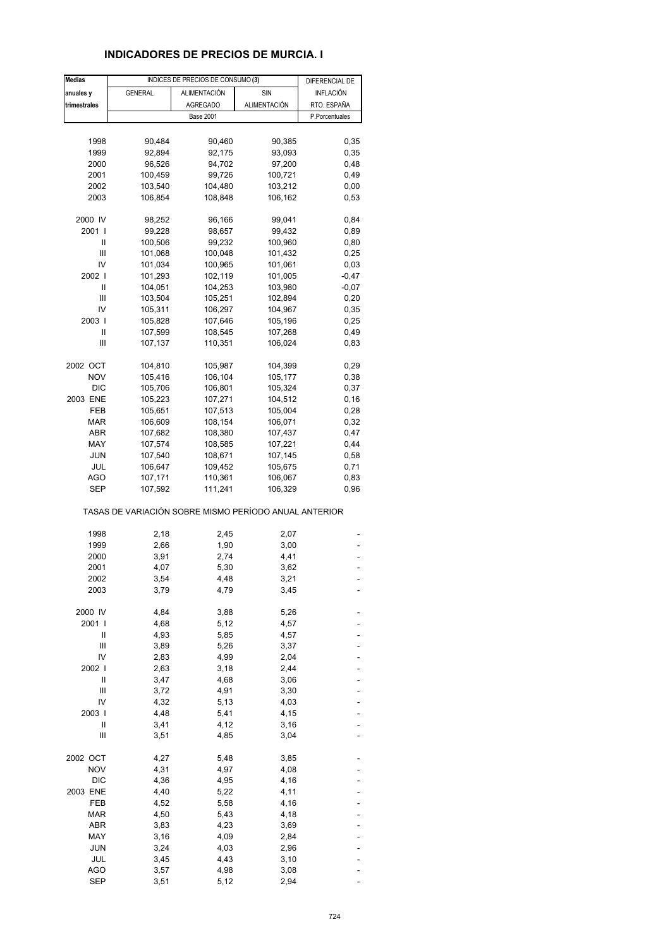### **INDICADORES DE PRECIOS DE MURCIA. I**

| <b>Medias</b> |                                                       | INDICES DE PRECIOS DE CONSUMO (3) |                     | DIFERENCIAL DE   |
|---------------|-------------------------------------------------------|-----------------------------------|---------------------|------------------|
| anuales y     | <b>GENERAL</b>                                        | <b>ALIMENTACIÓN</b>               | SIN                 | <b>INFLACIÓN</b> |
| trimestrales  |                                                       | <b>AGREGADO</b>                   | <b>ALIMENTACIÓN</b> | RTO. ESPAÑA      |
|               |                                                       | <b>Base 2001</b>                  |                     | P.Porcentuales   |
|               |                                                       |                                   |                     |                  |
| 1998          | 90,484                                                | 90,460                            |                     |                  |
|               |                                                       |                                   | 90,385              | 0,35             |
| 1999          | 92,894                                                | 92,175                            | 93,093              | 0,35             |
| 2000          | 96,526                                                | 94,702                            | 97,200              | 0,48             |
| 2001          | 100,459                                               | 99,726                            | 100,721             | 0,49             |
| 2002          | 103,540                                               | 104,480                           | 103,212             | 0,00             |
| 2003          | 106,854                                               | 108,848                           | 106,162             | 0,53             |
| 2000 IV       | 98,252                                                | 96,166                            | 99,041              | 0,84             |
| 2001 l        | 99,228                                                | 98,657                            | 99,432              | 0,89             |
| Ш             | 100,506                                               | 99,232                            | 100,960             | 0,80             |
| Ш             | 101,068                                               | 100,048                           | 101,432             | 0,25             |
| IV            | 101,034                                               | 100,965                           | 101,061             | 0,03             |
| 2002 l        | 101,293                                               | 102,119                           | 101,005             | $-0,47$          |
| Ш             | 104,051                                               | 104,253                           | 103,980             | $-0,07$          |
| Ш             | 103,504                                               | 105,251                           | 102,894             | 0,20             |
| IV            | 105,311                                               | 106,297                           | 104,967             | 0,35             |
| 2003          | 105,828                                               | 107,646                           | 105,196             | 0,25             |
| Ш             |                                                       |                                   |                     |                  |
|               | 107,599                                               | 108,545                           | 107,268             | 0,49             |
| Ш             | 107,137                                               | 110,351                           | 106,024             | 0,83             |
| 2002 OCT      | 104,810                                               | 105,987                           | 104,399             | 0,29             |
| <b>NOV</b>    | 105,416                                               | 106,104                           | 105,177             | 0,38             |
| <b>DIC</b>    | 105,706                                               | 106,801                           | 105,324             | 0,37             |
| 2003 ENE      | 105,223                                               | 107,271                           | 104,512             | 0, 16            |
| FEB           | 105,651                                               | 107,513                           | 105,004             | 0,28             |
| MAR           | 106,609                                               | 108,154                           | 106,071             | 0,32             |
| ABR           | 107,682                                               | 108,380                           | 107,437             | 0,47             |
| MAY           | 107,574                                               | 108,585                           | 107,221             | 0,44             |
| <b>JUN</b>    | 107,540                                               | 108,671                           | 107,145             | 0,58             |
| JUL           | 106,647                                               | 109,452                           | 105,675             | 0,71             |
| AGO           | 107,171                                               | 110,361                           | 106,067             | 0,83             |
| SEP           | 107,592                                               | 111,241                           | 106,329             | 0,96             |
|               | TASAS DE VARIACIÓN SOBRE MISMO PERÍODO ANUAL ANTERIOR |                                   |                     |                  |
|               |                                                       |                                   |                     |                  |
| 1998          | 2,18                                                  | 2,45                              | 2,07                |                  |
| 1999          | 2,66                                                  | 1,90                              | 3,00                |                  |
| 2000          | 3,91                                                  | 2,74                              | 4,41                |                  |
| 2001          | 4,07                                                  | 5,30                              | 3,62                |                  |
| 2002          | 3,54                                                  | 4,48                              | 3,21                |                  |
| 2003          | 3,79                                                  | 4,79                              | 3,45                |                  |
| 2000 IV       | 4,84                                                  | 3,88                              | 5,26                |                  |
| 2001 l        | 4,68                                                  | 5,12                              | 4,57                |                  |
| Ш             | 4,93                                                  | 5,85                              | 4,57                |                  |
| Ш             | 3,89                                                  | 5,26                              | 3,37                |                  |
| IV            | 2,83                                                  | 4,99                              | 2,04                |                  |
| 2002          | 2,63                                                  | 3,18                              | 2,44                |                  |
| Ш             | 3,47                                                  | 4,68                              | 3,06                |                  |
| Ш             | 3,72                                                  | 4,91                              | 3,30                |                  |
| IV            | 4,32                                                  | 5,13                              | 4,03                |                  |
| 2003 l        | 4,48                                                  | 5,41                              | 4,15                |                  |
| $\mathsf{I}$  | 3,41                                                  | 4,12                              | 3,16                |                  |
| Ш             | 3,51                                                  | 4,85                              | 3,04                |                  |
|               |                                                       |                                   |                     |                  |
| 2002 OCT      | 4,27                                                  | 5,48                              | 3,85                |                  |
| <b>NOV</b>    | 4,31                                                  | 4,97                              | 4,08                |                  |
| DIC           | 4,36                                                  | 4,95                              | 4,16                |                  |
| 2003 ENE      | 4,40                                                  | 5,22                              | 4,11                |                  |
| FEB           | 4,52                                                  | 5,58                              | 4,16                |                  |
| <b>MAR</b>    | 4,50                                                  | 5,43                              | 4,18                |                  |
| ABR           | 3,83                                                  | 4,23                              | 3,69                |                  |
| MAY           | 3,16                                                  | 4,09                              | 2,84                |                  |
| JUN           | 3,24                                                  | 4,03                              | 2,96                |                  |
| JUL           | 3,45                                                  | 4,43                              | 3,10                |                  |
| AGO           | 3,57                                                  | 4,98                              | 3,08                |                  |
| <b>SEP</b>    | 3,51                                                  | 5,12                              | 2,94                |                  |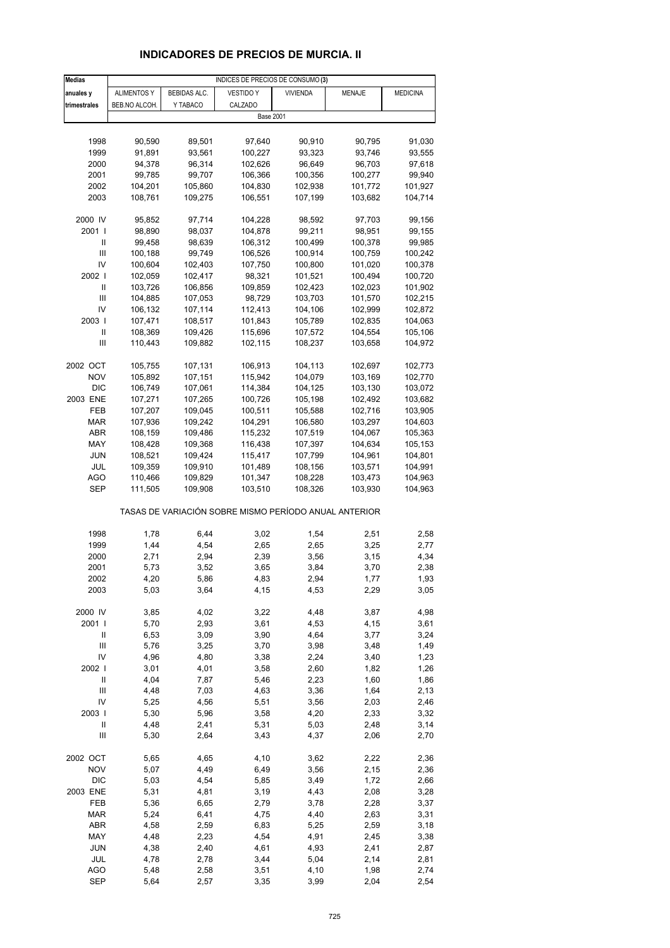# **INDICADORES DE PRECIOS DE MURCIA. II**

| <b>Medias</b>                      |                    |                     | INDICES DE PRECIOS DE CONSUMO (3)                     |                 |         |                 |
|------------------------------------|--------------------|---------------------|-------------------------------------------------------|-----------------|---------|-----------------|
| anuales y                          | <b>ALIMENTOS Y</b> | <b>BEBIDAS ALC.</b> | <b>VESTIDO Y</b>                                      | <b>VIVIENDA</b> | MENAJE  | <b>MEDICINA</b> |
| trimestrales                       | BEB.NO ALCOH.      | Y TABACO            | CALZADO                                               |                 |         |                 |
|                                    |                    |                     | <b>Base 2001</b>                                      |                 |         |                 |
|                                    |                    |                     |                                                       |                 |         |                 |
| 1998                               | 90,590             | 89,501              | 97,640                                                | 90,910          | 90,795  | 91,030          |
| 1999                               | 91,891             | 93,561              | 100,227                                               | 93,323          | 93,746  | 93,555          |
| 2000                               | 94,378             | 96,314              | 102,626                                               | 96,649          | 96,703  | 97,618          |
| 2001                               | 99,785             | 99,707              | 106,366                                               | 100,356         | 100,277 | 99,940          |
| 2002                               | 104,201            | 105,860             | 104,830                                               | 102,938         | 101,772 | 101,927         |
| 2003                               | 108,761            | 109,275             | 106,551                                               | 107,199         | 103,682 | 104,714         |
|                                    |                    |                     |                                                       |                 |         |                 |
| 2000 IV                            | 95,852             | 97,714              | 104,228                                               | 98,592          | 97,703  | 99,156          |
| 2001                               | 98,890             | 98,037              | 104,878                                               | 99,211          | 98,951  | 99,155          |
| Ш                                  |                    |                     |                                                       |                 | 100,378 |                 |
| Ш                                  | 99,458             | 98,639              | 106,312                                               | 100,499         |         | 99,985          |
| IV                                 | 100,188            | 99,749              | 106,526                                               | 100,914         | 100,759 | 100,242         |
|                                    | 100,604            | 102,403             | 107,750                                               | 100,800         | 101,020 | 100,378         |
| 2002                               | 102,059            | 102,417             | 98,321                                                | 101,521         | 100,494 | 100,720         |
| Ш                                  | 103,726            | 106,856             | 109,859                                               | 102,423         | 102,023 | 101,902         |
| Ш                                  | 104,885            | 107,053             | 98,729                                                | 103,703         | 101,570 | 102,215         |
| IV                                 | 106,132            | 107,114             | 112,413                                               | 104,106         | 102,999 | 102,872         |
| 2003                               | 107,471            | 108,517             | 101,843                                               | 105,789         | 102,835 | 104,063         |
| Ш                                  | 108,369            | 109,426             | 115,696                                               | 107,572         | 104,554 | 105,106         |
| Ш                                  | 110,443            | 109,882             | 102,115                                               | 108,237         | 103,658 | 104,972         |
|                                    |                    |                     |                                                       |                 |         |                 |
| 2002 OCT                           | 105,755            | 107,131             | 106,913                                               | 104,113         | 102,697 | 102,773         |
| <b>NOV</b>                         | 105,892            | 107,151             | 115,942                                               | 104,079         | 103,169 | 102,770         |
| <b>DIC</b>                         | 106,749            | 107,061             | 114,384                                               | 104,125         | 103,130 | 103,072         |
| 2003 ENE                           | 107,271            | 107,265             | 100,726                                               | 105,198         | 102,492 | 103,682         |
| FEB                                | 107,207            | 109,045             | 100,511                                               | 105,588         | 102,716 | 103,905         |
| MAR                                | 107,936            | 109,242             | 104,291                                               | 106,580         | 103,297 | 104,603         |
| ABR                                | 108,159            | 109,486             | 115,232                                               | 107,519         | 104,067 | 105,363         |
| MAY                                | 108,428            | 109,368             | 116,438                                               | 107,397         | 104,634 | 105,153         |
| JUN                                | 108,521            | 109,424             | 115,417                                               | 107,799         | 104,961 | 104,801         |
| JUL                                | 109,359            | 109,910             | 101,489                                               | 108,156         | 103,571 | 104,991         |
| AGO                                | 110,466            | 109,829             | 101,347                                               | 108,228         | 103,473 | 104,963         |
| SEP                                | 111,505            | 109,908             | 103,510                                               | 108,326         | 103,930 | 104,963         |
|                                    |                    |                     | TASAS DE VARIACIÓN SOBRE MISMO PERÍODO ANUAL ANTERIOR |                 |         |                 |
|                                    |                    |                     |                                                       |                 |         |                 |
| 1998                               | 1,78               | 6,44                | 3,02                                                  | 1,54            | 2,51    | 2,58            |
| 1999                               | 1,44               | 4,54                | 2,65                                                  | 2,65            | 3,25    | 2,77            |
| 2000                               | 2,71               | 2,94                | 2,39                                                  | 3,56            | 3,15    | 4,34            |
| 2001                               | 5,73               | 3,52                | 3,65                                                  | 3,84            | 3,70    | 2,38            |
| 2002                               | 4,20               | 5,86                | 4,83                                                  | 2,94            | 1, 11   | 1,93            |
| 2003                               | 5,03               | 3,64                | 4,15                                                  | 4,53            | 2,29    | 3,05            |
|                                    |                    |                     |                                                       |                 |         |                 |
| 2000 IV                            | 3,85               | 4,02                | 3,22                                                  | 4,48            | 3,87    | 4,98            |
| 2001 l                             | 5,70               | 2,93                | 3,61                                                  | 4,53            | 4,15    | 3,61            |
| Ш                                  | 6,53               | 3,09                | 3,90                                                  | 4,64            | 3,77    | 3,24            |
| $\ensuremath{\mathsf{III}}\xspace$ | 5,76               | 3,25                | 3,70                                                  | 3,98            | 3,48    | 1,49            |
| IV                                 | 4,96               | 4,80                | 3,38                                                  | 2,24            | 3,40    | 1,23            |
| 2002 l                             | 3,01               | 4,01                | 3,58                                                  | 2,60            | 1,82    | 1,26            |
| $\ensuremath{\mathsf{II}}$         | 4,04               | 7,87                | 5,46                                                  | 2,23            | 1,60    | 1,86            |
| $\mathsf{III}$                     | 4,48               | 7,03                | 4,63                                                  | 3,36            | 1,64    | 2,13            |
| IV                                 | 5,25               | 4,56                | 5,51                                                  | 3,56            | 2,03    | 2,46            |
| 2003                               | 5,30               |                     | 3,58                                                  | 4,20            |         |                 |
|                                    |                    | 5,96                |                                                       |                 | 2,33    | 3,32            |
| $\ensuremath{\mathsf{II}}$         | 4,48               | 2,41                | 5,31                                                  | 5,03            | 2,48    | 3,14            |
| Ш                                  | 5,30               | 2,64                | 3,43                                                  | 4,37            | 2,06    | 2,70            |
| 2002 OCT                           | 5,65               | 4,65                | 4,10                                                  | 3,62            | 2,22    | 2,36            |
| <b>NOV</b>                         | 5,07               | 4,49                | 6,49                                                  | 3,56            | 2,15    | 2,36            |
| <b>DIC</b>                         | 5,03               | 4,54                | 5,85                                                  | 3,49            | 1,72    | 2,66            |
| 2003 ENE                           | 5,31               | 4,81                | 3,19                                                  | 4,43            | 2,08    | 3,28            |
| FEB                                | 5,36               | 6,65                | 2,79                                                  | 3,78            | 2,28    | 3,37            |
| <b>MAR</b>                         | 5,24               | 6,41                | 4,75                                                  | 4,40            | 2,63    | 3,31            |
| ABR                                | 4,58               | 2,59                | 6,83                                                  | 5,25            | 2,59    | 3,18            |
| MAY                                | 4,48               | 2,23                | 4,54                                                  | 4,91            | 2,45    | 3,38            |
| <b>JUN</b>                         | 4,38               | 2,40                | 4,61                                                  | 4,93            | 2,41    | 2,87            |
| JUL                                | 4,78               | 2,78                | 3,44                                                  | 5,04            | 2,14    | 2,81            |
| <b>AGO</b>                         | 5,48               | 2,58                | 3,51                                                  | 4,10            | 1,98    | 2,74            |
| <b>SEP</b>                         | 5,64               | 2,57                | 3,35                                                  | 3,99            | 2,04    | 2,54            |
|                                    |                    |                     |                                                       |                 |         |                 |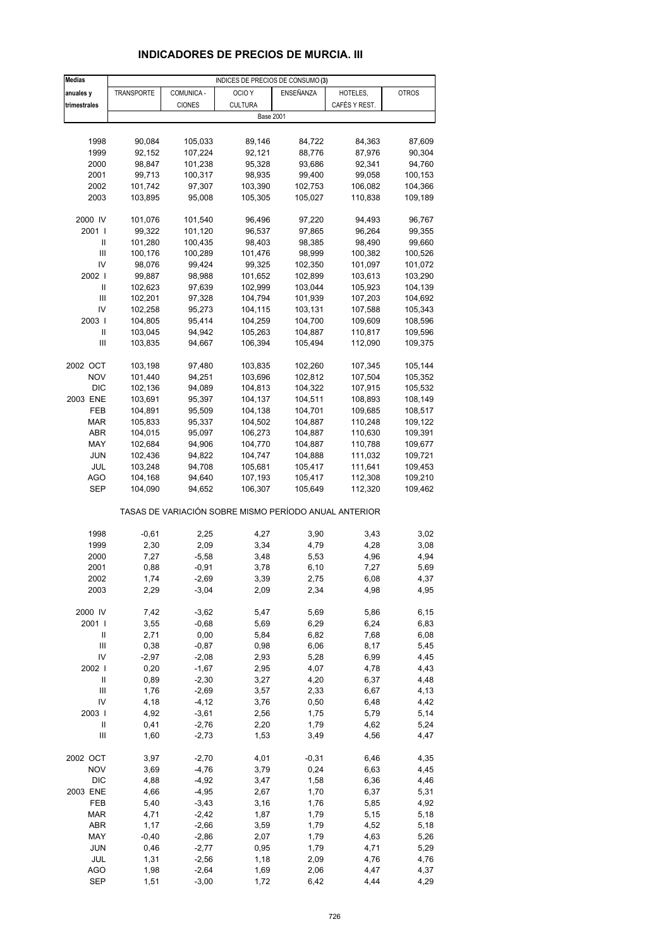# **INDICADORES DE PRECIOS DE MURCIA. III**

| <b>Medias</b>                       |                    |                    | INDICES DE PRECIOS DE CONSUMO (3)                     |                    |                    |                    |
|-------------------------------------|--------------------|--------------------|-------------------------------------------------------|--------------------|--------------------|--------------------|
| anuales y                           | <b>TRANSPORTE</b>  | COMUNICA -         | OCIO <sub>Y</sub>                                     | ENSEÑANZA          | HOTELES,           | <b>OTROS</b>       |
| trimestrales                        |                    | <b>CIONES</b>      | <b>CULTURA</b>                                        |                    | CAFÉS Y REST.      |                    |
|                                     |                    |                    | <b>Base 2001</b>                                      |                    |                    |                    |
|                                     |                    |                    |                                                       |                    |                    |                    |
| 1998                                | 90,084             | 105,033            | 89,146                                                | 84,722             | 84,363             | 87,609             |
| 1999                                | 92,152             | 107,224            | 92,121                                                | 88,776             | 87,976             | 90,304             |
| 2000                                | 98,847             | 101,238            | 95,328                                                | 93,686             | 92,341             | 94,760             |
| 2001                                | 99,713             | 100,317            | 98,935                                                | 99,400             | 99,058             | 100,153            |
| 2002                                | 101,742            | 97,307             | 103,390                                               | 102,753            | 106,082            | 104,366            |
| 2003                                | 103,895            | 95,008             | 105,305                                               | 105,027            | 110,838            | 109,189            |
|                                     |                    |                    |                                                       |                    |                    |                    |
| 2000 IV                             | 101,076            | 101,540            | 96,496                                                | 97,220             | 94,493             | 96,767             |
| 2001 l<br>Ш                         | 99,322<br>101,280  | 101,120<br>100,435 | 96,537<br>98,403                                      | 97,865<br>98,385   | 96,264<br>98,490   | 99,355<br>99,660   |
| III                                 | 100,176            | 100,289            | 101,476                                               | 98,999             | 100,382            | 100,526            |
| IV                                  | 98,076             | 99,424             | 99,325                                                | 102,350            | 101,097            | 101,072            |
| 2002                                | 99,887             | 98,988             | 101,652                                               | 102,899            | 103,613            | 103,290            |
| Ш                                   | 102,623            | 97,639             | 102,999                                               | 103,044            | 105,923            | 104,139            |
| III                                 | 102,201            | 97,328             | 104,794                                               | 101,939            | 107,203            | 104,692            |
| IV                                  | 102,258            | 95,273             | 104,115                                               | 103,131            | 107,588            | 105,343            |
| 2003                                | 104,805            | 95,414             | 104,259                                               | 104,700            | 109,609            | 108,596            |
| Ш                                   | 103,045            | 94,942             | 105,263                                               | 104,887            | 110,817            | 109,596            |
| Ш                                   | 103,835            | 94,667             | 106,394                                               | 105,494            | 112,090            | 109,375            |
|                                     |                    |                    |                                                       |                    |                    |                    |
| 2002 OCT                            | 103,198            | 97,480             | 103,835                                               | 102,260            | 107,345            | 105,144            |
| <b>NOV</b>                          | 101,440            | 94,251             | 103,696                                               | 102,812            | 107,504            | 105,352            |
| <b>DIC</b>                          | 102,136            | 94,089             | 104,813                                               | 104,322            | 107,915            | 105,532            |
| 2003 ENE                            | 103,691            | 95,397             | 104,137                                               | 104,511            | 108,893            | 108,149            |
| FEB                                 | 104,891            | 95,509             | 104,138                                               | 104,701            | 109,685            | 108,517            |
| <b>MAR</b><br>ABR                   | 105,833<br>104,015 | 95,337<br>95,097   | 104,502<br>106,273                                    | 104,887<br>104,887 | 110,248<br>110,630 | 109,122<br>109,391 |
| MAY                                 | 102,684            | 94,906             | 104,770                                               | 104,887            | 110,788            | 109,677            |
| JUN                                 | 102,436            | 94,822             | 104,747                                               | 104,888            | 111,032            | 109,721            |
| JUL                                 | 103,248            | 94,708             | 105,681                                               | 105,417            | 111,641            | 109,453            |
| AGO                                 | 104,168            | 94,640             | 107,193                                               | 105,417            | 112,308            | 109,210            |
| SEP                                 | 104,090            | 94,652             | 106,307                                               | 105,649            | 112,320            | 109,462            |
|                                     |                    |                    | TASAS DE VARIACIÓN SOBRE MISMO PERÍODO ANUAL ANTERIOR |                    |                    |                    |
|                                     |                    |                    |                                                       |                    |                    |                    |
| 1998<br>1999                        | $-0,61$<br>2,30    | 2,25<br>2,09       | 4,27<br>3,34                                          | 3,90<br>4,79       | 3,43<br>4,28       | 3,02<br>3,08       |
| 2000                                | 7,27               | $-5,58$            | 3,48                                                  | 5,53               | 4,96               | 4,94               |
| 2001                                | 0,88               | $-0,91$            | 3,78                                                  | 6, 10              | 7,27               | 5,69               |
| 2002                                | 1,74               | -2,69              | 3,39                                                  | 2,75               | 6,08               | 4,37               |
| 2003                                | 2,29               | $-3,04$            | 2,09                                                  | 2,34               | 4,98               | 4,95               |
|                                     |                    |                    |                                                       |                    |                    |                    |
| 2000 IV                             | 7,42               | $-3,62$            | 5,47                                                  | 5,69               | 5,86               | 6, 15              |
| 2001 l                              | 3,55               | $-0,68$            | 5,69                                                  | 6,29               | 6,24               | 6,83               |
| Ш<br>$\mathsf{III}$                 | 2,71<br>0,38       | 0,00<br>$-0,87$    | 5,84<br>0,98                                          | 6,82<br>6,06       | 7,68<br>8,17       | 6,08<br>5,45       |
| IV                                  | $-2,97$            | $-2,08$            | 2,93                                                  | 5,28               | 6,99               | 4,45               |
| 2002                                | 0,20               | $-1,67$            | 2,95                                                  | 4,07               | 4,78               | 4,43               |
| $\label{eq:1} \mathsf{I}\mathsf{I}$ | 0,89               | $-2,30$            | 3,27                                                  | 4,20               | 6,37               | 4,48               |
| $\mathsf{III}$                      | 1,76               | $-2,69$            | 3,57                                                  | 2,33               | 6,67               | 4,13               |
| IV                                  | 4,18               | $-4, 12$           | 3,76                                                  | 0,50               | 6,48               | 4,42               |
| 2003                                | 4,92               | $-3,61$            | 2,56                                                  | 1,75               | 5,79               | 5,14               |
| $\sf II$                            | 0,41               | $-2,76$            | 2,20                                                  | 1,79               | 4,62               | 5,24               |
| Ш                                   | 1,60               | $-2,73$            | 1,53                                                  | 3,49               | 4,56               | 4,47               |
| 2002 OCT                            | 3,97               | $-2,70$            | 4,01                                                  | $-0,31$            | 6,46               | 4,35               |
| <b>NOV</b>                          | 3,69               | $-4,76$            | 3,79                                                  | 0,24               | 6,63               | 4,45               |
| <b>DIC</b>                          | 4,88               | $-4,92$            | 3,47                                                  | 1,58               | 6,36               | 4,46               |
| 2003 ENE                            | 4,66               | $-4,95$            | 2,67                                                  | 1,70               | 6,37               | 5,31               |
| FEB                                 | 5,40               | $-3,43$            | 3,16                                                  | 1,76               | 5,85               | 4,92               |
| <b>MAR</b>                          | 4,71               | $-2,42$            | 1,87                                                  | 1,79               | 5,15               | 5,18               |
| ABR                                 | 1,17               | $-2,66$            | 3,59                                                  | 1,79               | 4,52               | 5,18               |
| MAY                                 | $-0,40$            | $-2,86$            | 2,07                                                  | 1,79               | 4,63               | 5,26               |
| <b>JUN</b>                          | 0,46               | $-2,77$            | 0,95                                                  | 1,79               | 4,71               | 5,29               |
| JUL                                 | 1,31               | $-2,56$            | 1,18                                                  | 2,09               | 4,76               | 4,76               |
| AGO<br>SEP                          | 1,98<br>1,51       | $-2,64$<br>$-3,00$ | 1,69<br>1,72                                          | 2,06<br>6,42       | 4,47<br>4,44       | 4,37<br>4,29       |
|                                     |                    |                    |                                                       |                    |                    |                    |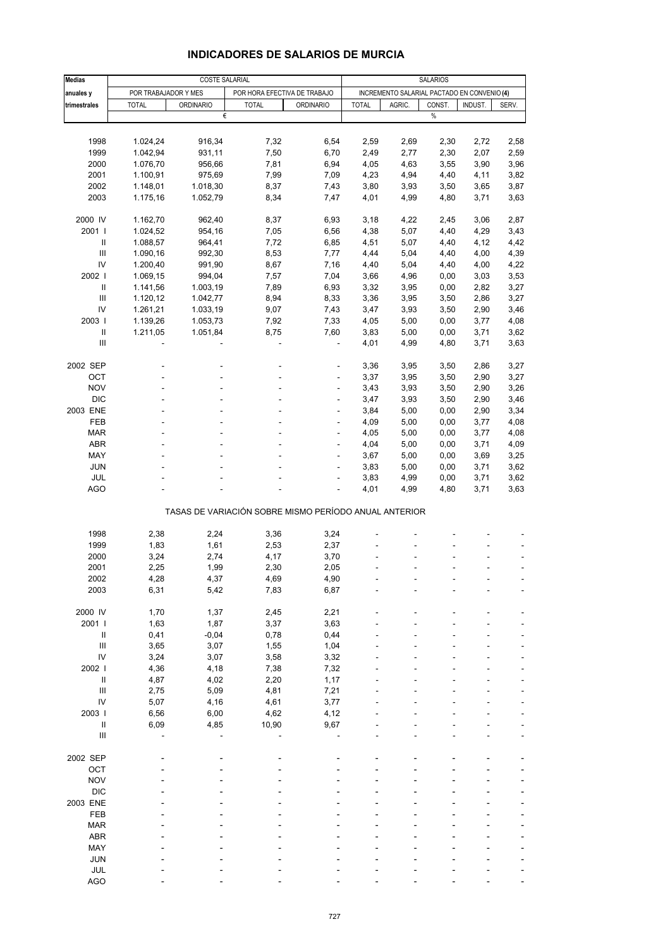|                                    |                      | COSTE SALARIAL   |                                                       |                  | <b>SALARIOS</b> |              |                                             |              |              |  |
|------------------------------------|----------------------|------------------|-------------------------------------------------------|------------------|-----------------|--------------|---------------------------------------------|--------------|--------------|--|
| <b>Medias</b>                      |                      |                  |                                                       |                  |                 |              |                                             |              |              |  |
| anuales y                          | POR TRABAJADOR Y MES |                  | POR HORA EFECTIVA DE TRABAJO                          |                  |                 |              | INCREMENTO SALARIAL PACTADO EN CONVENIO (4) |              |              |  |
| trimestrales                       | <b>TOTAL</b>         | <b>ORDINARIO</b> | <b>TOTAL</b><br>€                                     | <b>ORDINARIO</b> | <b>TOTAL</b>    | AGRIC.       | CONST.<br>$\%$                              | INDUST.      | SERV.        |  |
|                                    |                      |                  |                                                       |                  |                 |              |                                             |              |              |  |
|                                    |                      |                  |                                                       |                  |                 |              |                                             |              |              |  |
| 1998                               | 1.024,24             | 916,34           | 7,32                                                  | 6,54             | 2,59            | 2,69         | 2,30                                        | 2,72         | 2,58         |  |
| 1999                               | 1.042,94             | 931,11           | 7,50                                                  | 6,70             | 2,49            | 2,77         | 2,30                                        | 2,07         | 2,59         |  |
| 2000                               | 1.076,70             | 956,66           | 7,81                                                  | 6,94             | 4,05            | 4,63         | 3,55                                        | 3,90         | 3,96         |  |
| 2001                               | 1.100,91             | 975,69           | 7,99                                                  | 7,09             | 4,23            | 4,94         | 4,40                                        | 4,11         | 3,82         |  |
| 2002                               | 1.148,01             | 1.018,30         | 8,37                                                  | 7,43             | 3,80            | 3,93         | 3,50                                        | 3,65         | 3,87         |  |
| 2003                               | 1.175,16             | 1.052,79         | 8,34                                                  | 7,47             | 4,01            | 4,99         | 4,80                                        | 3,71         | 3,63         |  |
|                                    |                      |                  |                                                       |                  |                 |              |                                             |              |              |  |
| 2000 IV<br>2001 l                  | 1.162,70             | 962,40           | 8,37                                                  | 6,93             | 3,18            | 4,22         | 2,45                                        | 3,06         | 2,87         |  |
| Ш                                  | 1.024,52             | 954,16<br>964,41 | 7,05<br>7,72                                          | 6,56<br>6,85     | 4,38<br>4,51    | 5,07<br>5,07 | 4,40<br>4,40                                | 4,29<br>4,12 | 3,43<br>4,42 |  |
| Ш                                  | 1.088,57             |                  |                                                       |                  |                 |              |                                             |              |              |  |
| IV                                 | 1.090,16<br>1.200,40 | 992,30<br>991,90 | 8,53<br>8,67                                          | 7,77<br>7,16     | 4,44<br>4,40    | 5,04<br>5,04 | 4,40<br>4,40                                | 4,00<br>4,00 | 4,39<br>4,22 |  |
|                                    |                      |                  |                                                       |                  |                 |              |                                             |              |              |  |
| 2002                               | 1.069,15             | 994,04           | 7,57                                                  | 7,04             | 3,66            | 4,96         | 0,00                                        | 3,03         | 3,53         |  |
| $\mathbf{II}$                      | 1.141,56             | 1.003,19         | 7,89                                                  | 6,93             | 3,32            | 3,95         | 0,00                                        | 2,82         | 3,27         |  |
| Ш                                  | 1.120,12             | 1.042,77         | 8,94                                                  | 8,33             | 3,36            | 3,95         | 3,50                                        | 2,86         | 3,27         |  |
| IV                                 | 1.261,21             | 1.033,19         | 9,07                                                  | 7,43             | 3,47            | 3,93         | 3,50                                        | 2,90         | 3,46         |  |
| 2003                               | 1.139,26             | 1.053,73         | 7,92                                                  | 7,33             | 4,05            | 5,00         | 0,00                                        | 3,77         | 4,08         |  |
| $\ensuremath{\mathsf{II}}$         | 1.211,05             | 1.051,84         | 8,75                                                  | 7,60             | 3,83            | 5,00         | 0,00                                        | 3,71         | 3,62         |  |
| $\ensuremath{\mathsf{III}}\xspace$ |                      |                  | ä,                                                    | L,               | 4,01            | 4,99         | 4,80                                        | 3,71         | 3,63         |  |
|                                    |                      |                  |                                                       |                  |                 |              |                                             |              |              |  |
| 2002 SEP                           |                      |                  |                                                       | ä,               | 3,36            | 3,95         | 3,50                                        | 2,86         | 3,27         |  |
| OCT                                |                      |                  |                                                       |                  | 3,37            | 3,95         | 3,50                                        | 2,90         | 3,27         |  |
| <b>NOV</b>                         |                      |                  |                                                       | ÷                | 3,43            | 3,93         | 3,50                                        | 2,90         | 3,26         |  |
| <b>DIC</b>                         |                      |                  |                                                       | ä,               | 3,47            | 3,93         | 3,50                                        | 2,90         | 3,46         |  |
| 2003 ENE                           |                      |                  |                                                       | ä,               | 3,84            | 5,00         | 0,00                                        | 2,90         | 3,34         |  |
| FEB                                |                      |                  |                                                       |                  | 4,09            | 5,00         | 0,00                                        | 3,77         | 4,08         |  |
| <b>MAR</b>                         |                      |                  |                                                       | ä,               | 4,05            | 5,00         | 0,00                                        | 3,77         | 4,08         |  |
| ABR                                |                      |                  |                                                       | L,               | 4,04            | 5,00         | 0,00                                        | 3,71         | 4,09         |  |
| MAY                                |                      |                  |                                                       |                  | 3,67            | 5,00         | 0,00                                        | 3,69         | 3,25         |  |
| <b>JUN</b>                         |                      |                  |                                                       |                  | 3,83            | 5,00         | 0,00                                        | 3,71         | 3,62         |  |
| JUL                                |                      |                  |                                                       | ä,               | 3,83            | 4,99         | 0,00                                        | 3,71         | 3,62         |  |
| <b>AGO</b>                         |                      |                  |                                                       |                  | 4,01            | 4,99         | 4,80                                        | 3,71         | 3,63         |  |
|                                    |                      |                  | TASAS DE VARIACIÓN SOBRE MISMO PERÍODO ANUAL ANTERIOR |                  |                 |              |                                             |              |              |  |
|                                    |                      |                  |                                                       |                  |                 |              |                                             |              |              |  |
| 1998                               | 2,38                 | 2,24             | 3,36                                                  | 3,24             |                 |              |                                             |              |              |  |
| 1999                               | 1,83                 | 1,61             | 2,53                                                  | 2,37             |                 |              |                                             |              |              |  |
| 2000                               | 3,24                 | 2,74             | 4,17                                                  | 3,70             |                 |              |                                             |              |              |  |
| 2001                               | 2,25                 | 1,99             | 2,30                                                  | 2,05             |                 |              |                                             |              | ۰            |  |
| 2002                               | 4,28                 | 4,37             | 4,69                                                  | 4,90             |                 |              |                                             |              |              |  |
| 2003                               | 6,31                 | 5,42             | 7,83                                                  | 6,87             |                 |              |                                             |              |              |  |
|                                    |                      |                  |                                                       |                  |                 |              |                                             |              |              |  |
| 2000 IV                            | 1,70                 | 1,37             | 2,45                                                  | 2,21             |                 |              |                                             |              |              |  |
| 2001 l                             | 1,63                 | 1,87             | 3,37                                                  | 3,63             |                 |              |                                             |              |              |  |
| $\mathbf{II}$                      | 0,41                 | $-0,04$          | 0,78                                                  | 0,44             |                 |              |                                             |              |              |  |
| $\mathbf{III}$                     | 3,65                 | 3,07             | 1,55                                                  | 1,04             |                 |              |                                             |              |              |  |
| IV                                 | 3,24                 | 3,07             | 3,58                                                  | 3,32             |                 |              |                                             |              |              |  |
| 2002                               | 4,36                 | 4,18             | 7,38                                                  | 7,32             |                 |              |                                             |              |              |  |
| $\, \parallel$                     | 4,87                 | 4,02             | 2,20                                                  | 1,17             |                 |              |                                             |              |              |  |
| $\mathbf{III}$                     | 2,75                 | 5,09             | 4,81                                                  | 7,21             |                 |              |                                             |              |              |  |
| IV                                 | 5,07                 | 4,16             | 4,61                                                  | 3,77             |                 |              |                                             |              |              |  |
| 2003                               | 6,56                 | 6,00             | 4,62                                                  | 4,12             |                 |              |                                             |              |              |  |
| $\mathbf{II}$                      | 6,09                 | 4,85             | 10,90                                                 | 9,67             |                 |              |                                             |              |              |  |
| $\ensuremath{\mathsf{III}}\xspace$ |                      |                  |                                                       |                  |                 |              |                                             |              |              |  |
|                                    |                      |                  |                                                       |                  |                 |              |                                             |              |              |  |
| 2002 SEP                           |                      |                  |                                                       |                  |                 |              |                                             |              |              |  |
| OCT                                |                      |                  |                                                       |                  |                 |              |                                             |              |              |  |
| <b>NOV</b>                         |                      |                  |                                                       |                  |                 |              |                                             |              |              |  |
| <b>DIC</b>                         |                      |                  |                                                       |                  |                 |              |                                             |              |              |  |
| 2003 ENE                           |                      |                  |                                                       |                  |                 |              |                                             |              |              |  |
| FEB                                |                      |                  |                                                       |                  |                 |              |                                             |              | -            |  |
| <b>MAR</b>                         |                      |                  |                                                       |                  |                 |              |                                             |              |              |  |
| ABR                                |                      |                  |                                                       |                  |                 |              |                                             |              |              |  |
| MAY                                |                      |                  |                                                       |                  |                 |              |                                             |              |              |  |
| <b>JUN</b>                         |                      |                  |                                                       |                  |                 |              |                                             |              |              |  |
|                                    |                      |                  |                                                       |                  |                 |              |                                             |              |              |  |

#### **INDICADORES DE SALARIOS DE MURCIA**

JUL - - - - - - - - - - - - -AGO - - - - - - ---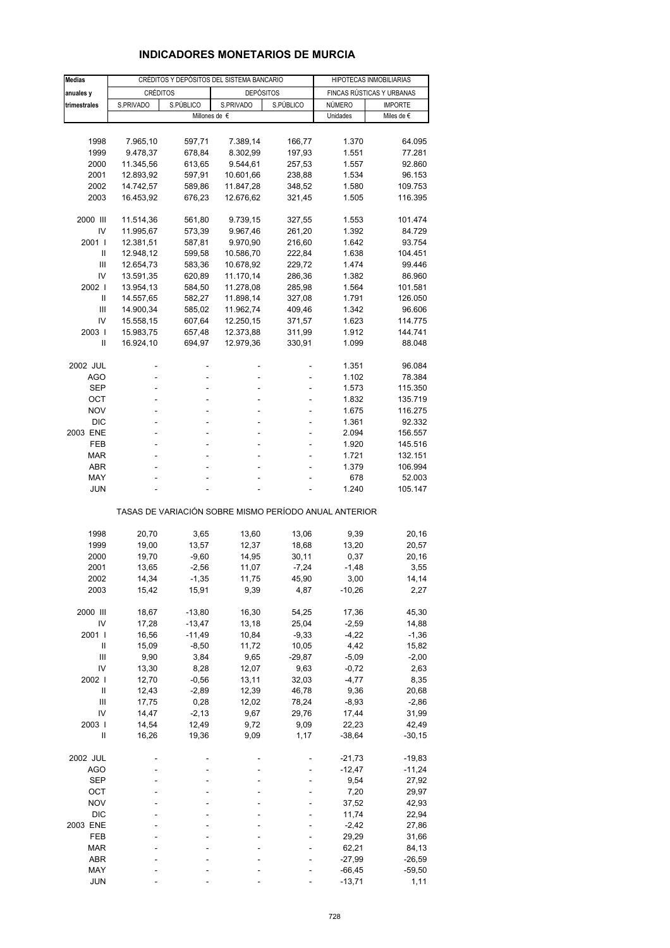# **INDICADORES MONETARIOS DE MURCIA**

| <b>Medias</b>  |           |               | CRÉDITOS Y DEPÓSITOS DEL SISTEMA BANCARIO             |           | HIPOTECAS INMOBILIARIAS |                           |  |
|----------------|-----------|---------------|-------------------------------------------------------|-----------|-------------------------|---------------------------|--|
| anuales y      | CRÉDITOS  |               | <b>DEPÓSITOS</b>                                      |           |                         | FINCAS RÚSTICAS Y URBANAS |  |
| trimestrales   | S.PRIVADO | S.PÚBLICO     | S.PRIVADO                                             | S.PÚBLICO | NÚMERO                  | <b>IMPORTE</b>            |  |
|                |           | Millones de € |                                                       |           | Unidades                | Miles de $\epsilon$       |  |
|                |           |               |                                                       |           |                         |                           |  |
| 1998           | 7.965,10  | 597,71        | 7.389,14                                              | 166,77    | 1.370                   | 64.095                    |  |
| 1999           | 9.478,37  | 678,84        | 8.302,99                                              | 197,93    | 1.551                   | 77.281                    |  |
| 2000           | 11.345,56 | 613,65        | 9.544,61                                              | 257,53    | 1.557                   | 92.860                    |  |
| 2001           | 12.893,92 | 597,91        | 10.601,66                                             | 238,88    | 1.534                   | 96.153                    |  |
| 2002           | 14.742,57 | 589,86        | 11.847,28                                             | 348,52    | 1.580                   | 109.753                   |  |
| 2003           | 16.453,92 | 676,23        | 12.676,62                                             | 321,45    | 1.505                   | 116.395                   |  |
|                |           |               |                                                       |           |                         |                           |  |
| 2000 III       | 11.514,36 | 561,80        | 9.739,15                                              | 327,55    | 1.553                   | 101.474                   |  |
| IV             | 11.995,67 | 573,39        | 9.967,46                                              | 261,20    | 1.392                   | 84.729                    |  |
| 2001 l         | 12.381,51 | 587,81        | 9.970,90                                              | 216,60    | 1.642                   | 93.754                    |  |
| Ш              | 12.948,12 | 599,58        | 10.586,70                                             | 222,84    | 1.638                   | 104.451                   |  |
| Ш              | 12.654,73 | 583,36        | 10.678,92                                             | 229,72    | 1.474                   | 99.446                    |  |
| IV             | 13.591,35 | 620,89        | 11.170,14                                             | 286,36    | 1.382                   | 86.960                    |  |
| 2002           | 13.954,13 | 584,50        | 11.278,08                                             | 285,98    | 1.564                   | 101.581                   |  |
| Ш              | 14.557,65 | 582,27        | 11.898,14                                             | 327,08    | 1.791                   | 126.050                   |  |
| Ш              | 14.900,34 | 585,02        | 11.962,74                                             | 409,46    | 1.342                   | 96.606                    |  |
| IV             | 15.558,15 |               | 12.250,15                                             | 371,57    | 1.623                   | 114.775                   |  |
| 2003           |           | 607,64        | 12.373,88                                             |           |                         | 144.741                   |  |
|                | 15.983,75 | 657,48        |                                                       | 311,99    | 1.912                   |                           |  |
| Ш              | 16.924,10 | 694,97        | 12.979,36                                             | 330,91    | 1.099                   | 88.048                    |  |
| 2002 JUL       |           | ÷,            |                                                       |           |                         |                           |  |
|                |           | L,            |                                                       |           | 1.351<br>1.102          | 96.084                    |  |
| AGO            |           |               |                                                       |           |                         | 78.384                    |  |
| SEP            |           |               |                                                       |           | 1.573                   | 115.350                   |  |
| ОСТ            | ۰         | ä,            | $\overline{\phantom{a}}$                              | ÷,        | 1.832                   | 135.719                   |  |
| <b>NOV</b>     |           |               |                                                       |           | 1.675                   | 116.275                   |  |
| <b>DIC</b>     |           |               |                                                       | ä,        | 1.361                   | 92.332                    |  |
| 2003 ENE       | ۰         | ä,            | ۰                                                     | ۰         | 2.094                   | 156.557                   |  |
| FEB            |           |               |                                                       |           | 1.920                   | 145.516                   |  |
| <b>MAR</b>     |           |               |                                                       |           | 1.721                   | 132.151                   |  |
| ABR            |           |               | $\overline{\phantom{a}}$                              |           | 1.379                   | 106.994                   |  |
| MAY            |           |               |                                                       |           | 678                     | 52.003                    |  |
| JUN            |           |               |                                                       |           | 1.240                   | 105.147                   |  |
|                |           |               | TASAS DE VARIACIÓN SOBRE MISMO PERÍODO ANUAL ANTERIOR |           |                         |                           |  |
|                |           |               |                                                       |           |                         |                           |  |
| 1998           | 20,70     | 3,65          | 13,60                                                 | 13,06     | 9,39                    | 20,16                     |  |
| 1999           | 19,00     | 13,57         | 12,37                                                 | 18,68     | 13,20                   | 20,57                     |  |
| 2000           | 19,70     | $-9,60$       | 14,95                                                 | 30,11     | 0,37                    | 20,16                     |  |
| 2001           | 13,65     | $-2,56$       | 11,07                                                 | $-7,24$   | $-1,48$                 | 3,55                      |  |
| 2002           | 14,34     | $-1,35$       | 11,75                                                 | 45,90     | 3,00                    | 14,14                     |  |
| 2003           | 15,42     | 15,91         | 9,39                                                  | 4,87      | $-10,26$                | 2,27                      |  |
|                |           |               |                                                       |           |                         |                           |  |
| 2000 III       | 18,67     | $-13,80$      | 16,30                                                 | 54,25     | 17,36                   | 45,30                     |  |
| IV             | 17,28     | $-13,47$      | 13,18                                                 | 25,04     | $-2,59$                 | 14,88                     |  |
| 2001 l         | 16,56     | $-11,49$      | 10,84                                                 | $-9,33$   | $-4,22$                 | -1,36                     |  |
| Ш              | 15,09     | $-8,50$       | 11,72                                                 | 10,05     | 4,42                    | 15,82                     |  |
| $\mathsf{III}$ | 9,90      | 3,84          | 9,65                                                  | $-29,87$  | $-5,09$                 | $-2,00$                   |  |
| IV             | 13,30     | 8,28          | 12,07                                                 | 9,63      | $-0,72$                 | 2,63                      |  |
| 2002           | 12,70     | $-0,56$       | 13,11                                                 | 32,03     | $-4,77$                 | 8,35                      |  |
| $\sf II$       | 12,43     | $-2,89$       | 12,39                                                 | 46,78     | 9,36                    | 20,68                     |  |
| Ш              | 17,75     | 0,28          | 12,02                                                 | 78,24     | $-8,93$                 | $-2,86$                   |  |
| IV             | 14,47     | $-2,13$       | 9,67                                                  | 29,76     | 17,44                   | 31,99                     |  |
| 2003           | 14,54     | 12,49         | 9,72                                                  | 9,09      | 22,23                   | 42,49                     |  |
| Ш              | 16,26     | 19,36         | 9,09                                                  | 1,17      | $-38,64$                | $-30,15$                  |  |
|                |           |               |                                                       |           |                         |                           |  |
| 2002 JUL       |           |               |                                                       |           | -21,73                  | $-19,83$                  |  |
| <b>AGO</b>     |           |               |                                                       |           | $-12,47$                | $-11,24$                  |  |
| SEP            |           |               |                                                       |           | 9,54                    | 27,92                     |  |
| OCT            |           |               |                                                       |           | 7,20                    | 29,97                     |  |
| <b>NOV</b>     |           |               |                                                       |           | 37,52                   | 42,93                     |  |
| <b>DIC</b>     |           |               |                                                       |           | 11,74                   | 22,94                     |  |
| 2003 ENE       |           |               |                                                       |           | $-2,42$                 | 27,86                     |  |
| FEB            |           |               |                                                       |           | 29,29                   | 31,66                     |  |
| <b>MAR</b>     |           |               |                                                       |           | 62,21                   | 84,13                     |  |
| ABR            |           |               |                                                       |           | $-27,99$                | $-26,59$                  |  |
| MAY            |           |               |                                                       |           | $-66,45$                | $-59,50$                  |  |
| JUN            |           |               |                                                       |           | $-13,71$                | 1,11                      |  |